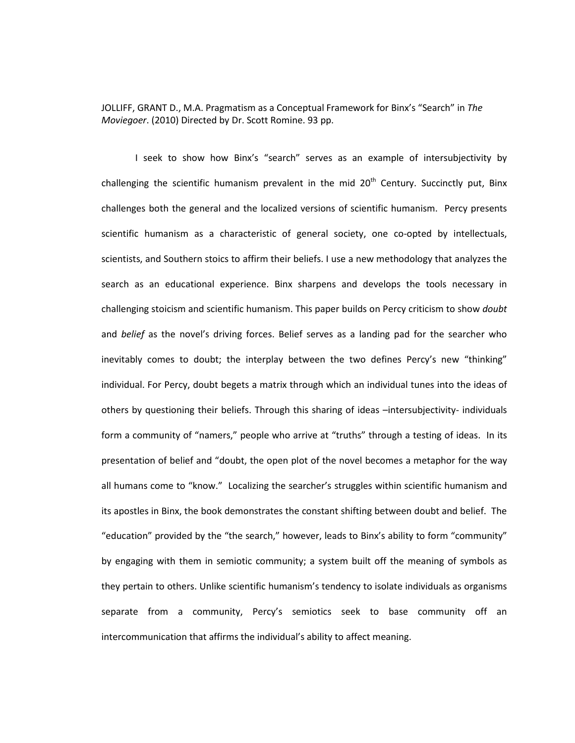JOLLIFF, GRANT D., M.A. Pragmatism as a Conceptual Framework for Binx's "Search" in *The Moviegoer*. (2010) Directed by Dr. Scott Romine. 93 pp.

I seek to show how Binx's "search" serves as an example of intersubjectivity by challenging the scientific humanism prevalent in the mid  $20<sup>th</sup>$  Century. Succinctly put, Binx challenges both the general and the localized versions of scientific humanism. Percy presents scientific humanism as a characteristic of general society, one co-opted by intellectuals, scientists, and Southern stoics to affirm their beliefs. I use a new methodology that analyzes the search as an educational experience. Binx sharpens and develops the tools necessary in challenging stoicism and scientific humanism. This paper builds on Percy criticism to show *doubt* and *belief* as the novel's driving forces. Belief serves as a landing pad for the searcher who inevitably comes to doubt; the interplay between the two defines Percy's new "thinking" individual. For Percy, doubt begets a matrix through which an individual tunes into the ideas of others by questioning their beliefs. Through this sharing of ideas –intersubjectivity- individuals form a community of "namers," people who arrive at "truths" through a testing of ideas. In its presentation of belief and "doubt, the open plot of the novel becomes a metaphor for the way all humans come to "know." Localizing the searcher's struggles within scientific humanism and its apostles in Binx, the book demonstrates the constant shifting between doubt and belief. The "education" provided by the "the search," however, leads to Binx's ability to form "community" by engaging with them in semiotic community; a system built off the meaning of symbols as they pertain to others. Unlike scientific humanism's tendency to isolate individuals as organisms separate from a community, Percy's semiotics seek to base community off an intercommunication that affirms the individual's ability to affect meaning.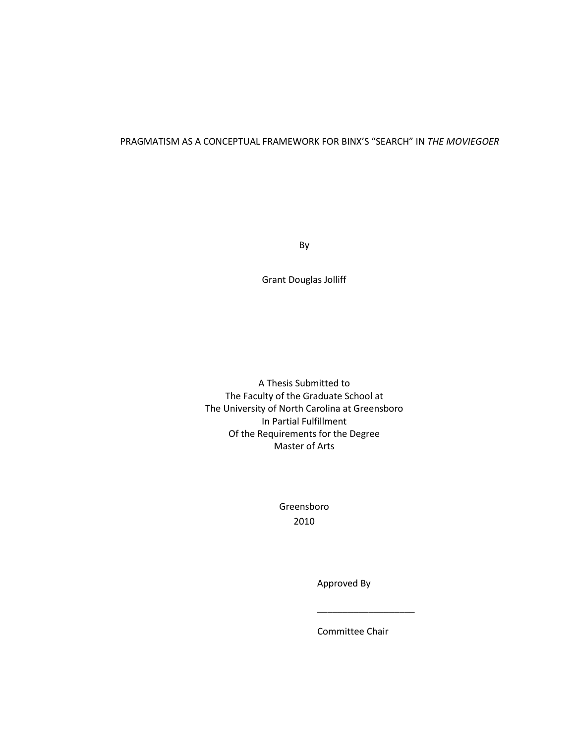# PRAGMATISM AS A CONCEPTUAL FRAMEWORK FOR BINX'S "SEARCH" IN *THE MOVIEGOER*

By

Grant Douglas Jolliff

A Thesis Submitted to The Faculty of the Graduate School at The University of North Carolina at Greensboro In Partial Fulfillment Of the Requirements for the Degree Master of Arts

> Greensboro 2010

 $\frac{1}{2}$  ,  $\frac{1}{2}$  ,  $\frac{1}{2}$  ,  $\frac{1}{2}$  ,  $\frac{1}{2}$  ,  $\frac{1}{2}$  ,  $\frac{1}{2}$  ,  $\frac{1}{2}$  ,  $\frac{1}{2}$  ,  $\frac{1}{2}$  ,  $\frac{1}{2}$  ,  $\frac{1}{2}$  ,  $\frac{1}{2}$  ,  $\frac{1}{2}$  ,  $\frac{1}{2}$  ,  $\frac{1}{2}$  ,  $\frac{1}{2}$  ,  $\frac{1}{2}$  ,  $\frac{1$ 

Approved By

Committee Chair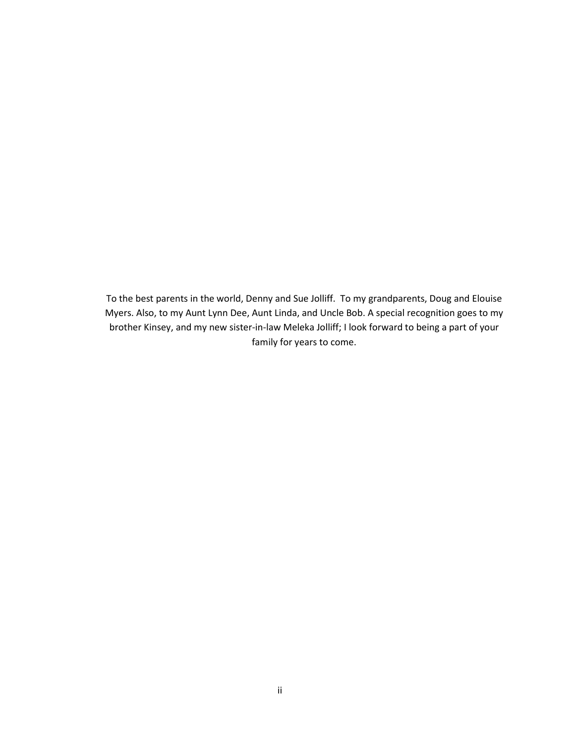To the best parents in the world, Denny and Sue Jolliff. To my grandparents, Doug and Elouise Myers. Also, to my Aunt Lynn Dee, Aunt Linda, and Uncle Bob. A special recognition goes to my brother Kinsey, and my new sister-in-law Meleka Jolliff; I look forward to being a part of your family for years to come.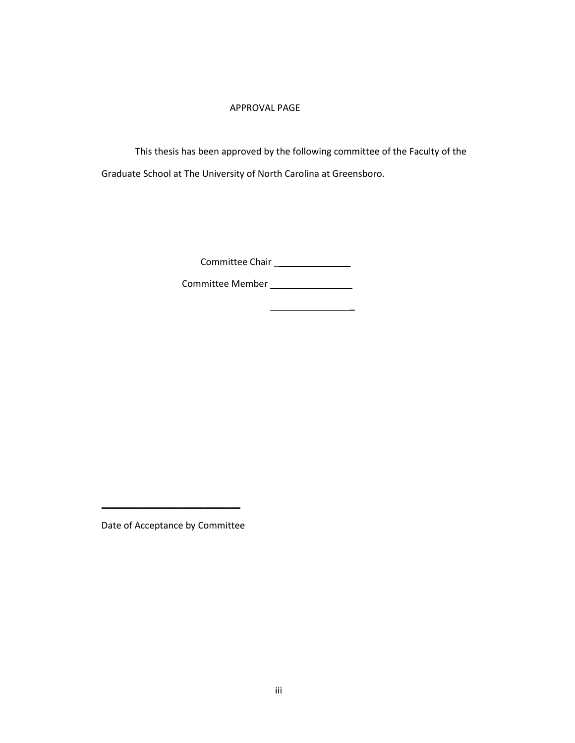## APPROVAL PAGE

This thesis has been approved by the following committee of the Faculty of the Graduate School at The University of North Carolina at Greensboro.

Committee Chair \_\_\_\_\_\_\_\_\_\_\_\_\_\_\_\_

 $\mathcal{L}=\mathcal{L}^{\text{max}}$ 

Committee Member \_\_\_\_\_\_\_\_\_\_\_\_\_\_\_\_

Date of Acceptance by Committee

 $\mathcal{L}_\text{max}$  , where  $\mathcal{L}_\text{max}$  and  $\mathcal{L}_\text{max}$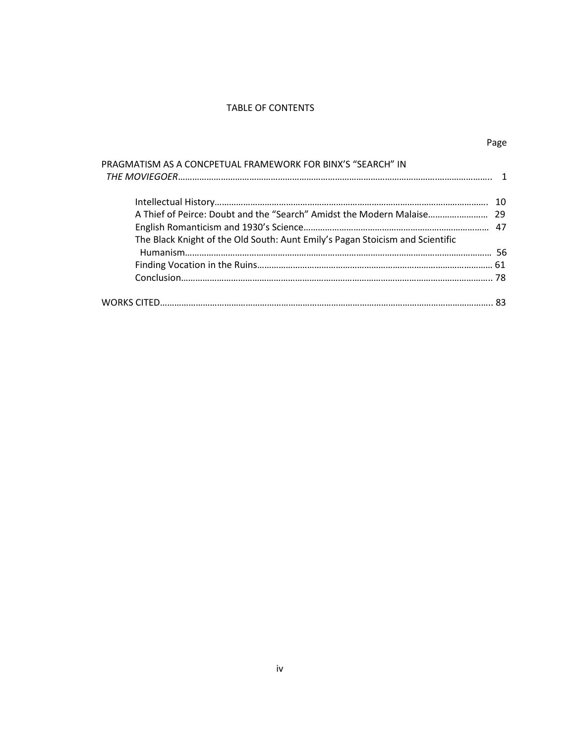### TABLE OF CONTENTS

| . .<br>۰. |
|-----------|
|-----------|

| PRAGMATISM AS A CONCPETUAL FRAMEWORK FOR BINX'S "SEARCH" IN                   |  |
|-------------------------------------------------------------------------------|--|
|                                                                               |  |
|                                                                               |  |
|                                                                               |  |
| A Thief of Peirce: Doubt and the "Search" Amidst the Modern Malaise 29        |  |
|                                                                               |  |
| The Black Knight of the Old South: Aunt Emily's Pagan Stoicism and Scientific |  |
|                                                                               |  |
|                                                                               |  |
|                                                                               |  |
|                                                                               |  |
|                                                                               |  |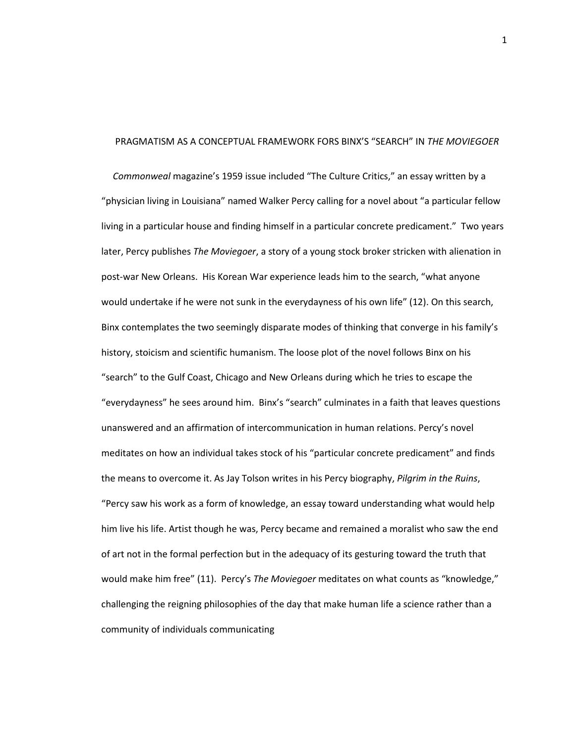### PRAGMATISM AS A CONCEPTUAL FRAMEWORK FORS BINX'S "SEARCH" IN *THE MOVIEGOER*

*Commonweal* magazine's 1959 issue included "The Culture Critics," an essay written by a "physician living in Louisiana" named Walker Percy calling for a novel about "a particular fellow living in a particular house and finding himself in a particular concrete predicament." Two years later, Percy publishes *The Moviegoer*, a story of a young stock broker stricken with alienation in post-war New Orleans. His Korean War experience leads him to the search, "what anyone would undertake if he were not sunk in the everydayness of his own life" (12). On this search, Binx contemplates the two seemingly disparate modes of thinking that converge in his family's history, stoicism and scientific humanism. The loose plot of the novel follows Binx on his "search" to the Gulf Coast, Chicago and New Orleans during which he tries to escape the "everydayness" he sees around him. Binx's "search" culminates in a faith that leaves questions unanswered and an affirmation of intercommunication in human relations. Percy's novel meditates on how an individual takes stock of his "particular concrete predicament" and finds the means to overcome it. As Jay Tolson writes in his Percy biography, *Pilgrim in the Ruins*, "Percy saw his work as a form of knowledge, an essay toward understanding what would help him live his life. Artist though he was, Percy became and remained a moralist who saw the end of art not in the formal perfection but in the adequacy of its gesturing toward the truth that would make him free" (11). Percy's *The Moviegoer* meditates on what counts as "knowledge," challenging the reigning philosophies of the day that make human life a science rather than a community of individuals communicating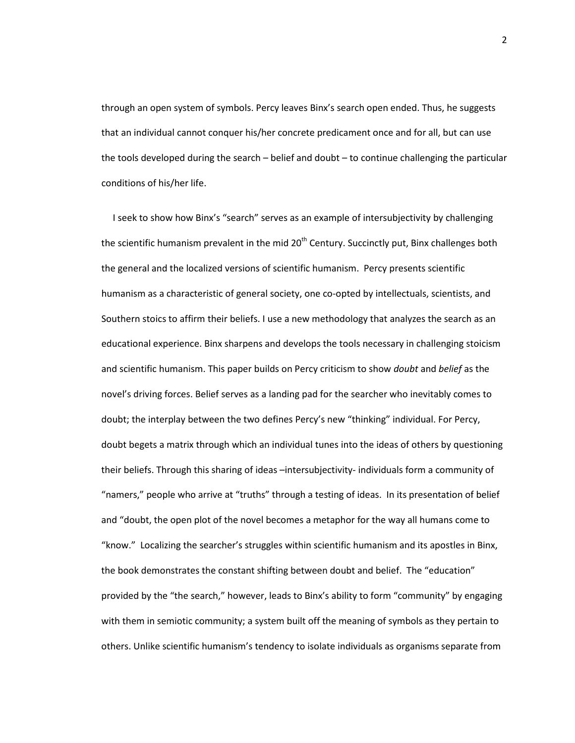through an open system of symbols. Percy leaves Binx's search open ended. Thus, he suggests that an individual cannot conquer his/her concrete predicament once and for all, but can use the tools developed during the search – belief and doubt – to continue challenging the particular conditions of his/her life.

I seek to show how Binx's "search" serves as an example of intersubjectivity by challenging the scientific humanism prevalent in the mid  $20<sup>th</sup>$  Century. Succinctly put, Binx challenges both the general and the localized versions of scientific humanism. Percy presents scientific humanism as a characteristic of general society, one co-opted by intellectuals, scientists, and Southern stoics to affirm their beliefs. I use a new methodology that analyzes the search as an educational experience. Binx sharpens and develops the tools necessary in challenging stoicism and scientific humanism. This paper builds on Percy criticism to show *doubt* and *belief* as the novel's driving forces. Belief serves as a landing pad for the searcher who inevitably comes to doubt; the interplay between the two defines Percy's new "thinking" individual. For Percy, doubt begets a matrix through which an individual tunes into the ideas of others by questioning their beliefs. Through this sharing of ideas –intersubjectivity- individuals form a community of "namers," people who arrive at "truths" through a testing of ideas. In its presentation of belief and "doubt, the open plot of the novel becomes a metaphor for the way all humans come to "know." Localizing the searcher's struggles within scientific humanism and its apostles in Binx, the book demonstrates the constant shifting between doubt and belief. The "education" provided by the "the search," however, leads to Binx's ability to form "community" by engaging with them in semiotic community; a system built off the meaning of symbols as they pertain to others. Unlike scientific humanism's tendency to isolate individuals as organisms separate from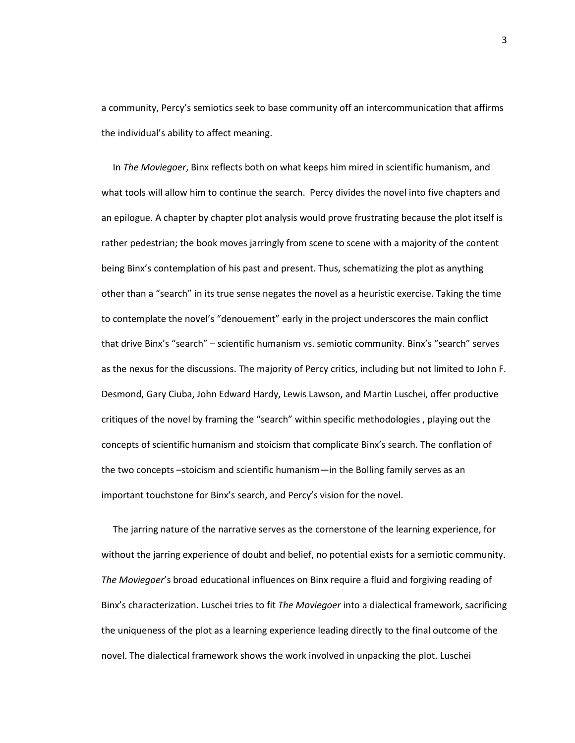a community, Percy's semiotics seek to base community off an intercommunication that affirms the individual's ability to affect meaning.

In *The Moviegoer*, Binx reflects both on what keeps him mired in scientific humanism, and what tools will allow him to continue the search. Percy divides the novel into five chapters and an epilogue. A chapter by chapter plot analysis would prove frustrating because the plot itself is rather pedestrian; the book moves jarringly from scene to scene with a majority of the content being Binx's contemplation of his past and present. Thus, schematizing the plot as anything other than a "search" in its true sense negates the novel as a heuristic exercise. Taking the time to contemplate the novel's "denouement" early in the project underscores the main conflict that drive Binx's "search" – scientific humanism vs. semiotic community. Binx's "search" serves as the nexus for the discussions. The majority of Percy critics, including but not limited to John F. Desmond, Gary Ciuba, John Edward Hardy, Lewis Lawson, and Martin Luschei, offer productive critiques of the novel by framing the "search" within specific methodologies , playing out the concepts of scientific humanism and stoicism that complicate Binx's search. The conflation of the two concepts –stoicism and scientific humanism—in the Bolling family serves as an important touchstone for Binx's search, and Percy's vision for the novel.

The jarring nature of the narrative serves as the cornerstone of the learning experience, for without the jarring experience of doubt and belief, no potential exists for a semiotic community. *The Moviegoer*'s broad educational influences on Binx require a fluid and forgiving reading of Binx's characterization. Luschei tries to fit *The Moviegoer* into a dialectical framework, sacrificing the uniqueness of the plot as a learning experience leading directly to the final outcome of the novel. The dialectical framework shows the work involved in unpacking the plot. Luschei

3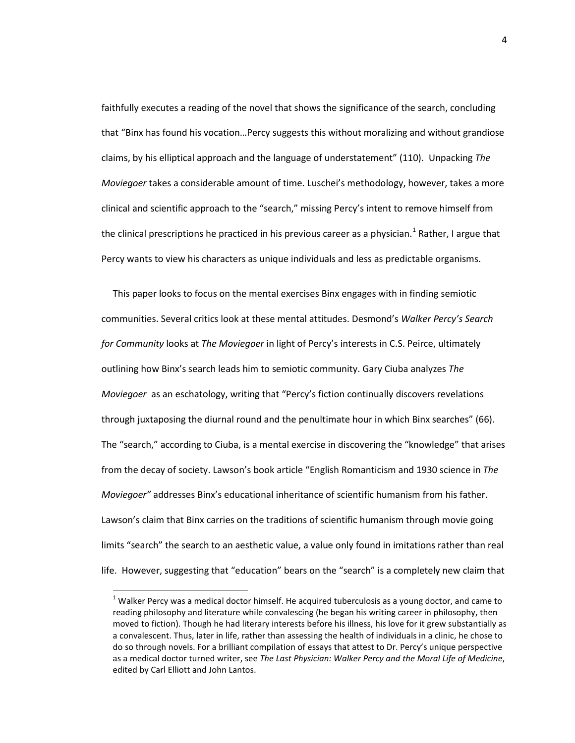faithfully executes a reading of the novel that shows the significance of the search, concluding that "Binx has found his vocation…Percy suggests this without moralizing and without grandiose claims, by his elliptical approach and the language of understatement" (110). Unpacking *The Moviegoer* takes a considerable amount of time. Luschei's methodology, however, takes a more clinical and scientific approach to the "search," missing Percy's intent to remove himself from the clinical prescriptions he practiced in his previous career as a physician.<sup>[1](#page-8-0)</sup> Rather, I argue that Percy wants to view his characters as unique individuals and less as predictable organisms.

This paper looks to focus on the mental exercises Binx engages with in finding semiotic communities. Several critics look at these mental attitudes. Desmond's *Walker Percy's Search for Community* looks at *The Moviegoer* in light of Percy's interests in C.S. Peirce, ultimately outlining how Binx's search leads him to semiotic community. Gary Ciuba analyzes *The Moviegoer* as an eschatology, writing that "Percy's fiction continually discovers revelations through juxtaposing the diurnal round and the penultimate hour in which Binx searches" (66). The "search," according to Ciuba, is a mental exercise in discovering the "knowledge" that arises from the decay of society. Lawson's book article "English Romanticism and 1930 science in *The Moviegoer"* addresses Binx's educational inheritance of scientific humanism from his father. Lawson's claim that Binx carries on the traditions of scientific humanism through movie going limits "search" the search to an aesthetic value, a value only found in imitations rather than real life. However, suggesting that "education" bears on the "search" is a completely new claim that

<span id="page-8-0"></span> $1$  Walker Percy was a medical doctor himself. He acquired tuberculosis as a young doctor, and came to reading philosophy and literature while convalescing (he began his writing career in philosophy, then moved to fiction). Though he had literary interests before his illness, his love for it grew substantially as a convalescent. Thus, later in life, rather than assessing the health of individuals in a clinic, he chose to do so through novels. For a brilliant compilation of essays that attest to Dr. Percy's unique perspective as a medical doctor turned writer, see *The Last Physician: Walker Percy and the Moral Life of Medicine*, edited by Carl Elliott and John Lantos.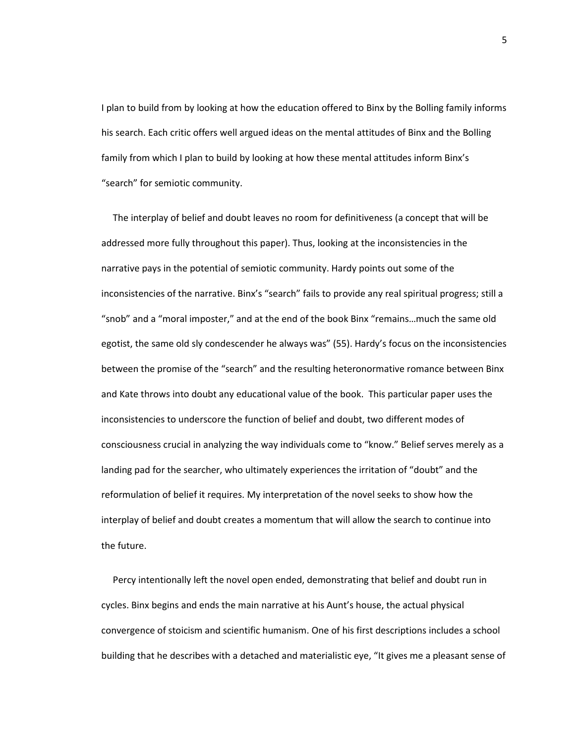I plan to build from by looking at how the education offered to Binx by the Bolling family informs his search. Each critic offers well argued ideas on the mental attitudes of Binx and the Bolling family from which I plan to build by looking at how these mental attitudes inform Binx's "search" for semiotic community.

The interplay of belief and doubt leaves no room for definitiveness (a concept that will be addressed more fully throughout this paper). Thus, looking at the inconsistencies in the narrative pays in the potential of semiotic community. Hardy points out some of the inconsistencies of the narrative. Binx's "search" fails to provide any real spiritual progress; still a "snob" and a "moral imposter," and at the end of the book Binx "remains…much the same old egotist, the same old sly condescender he always was" (55). Hardy's focus on the inconsistencies between the promise of the "search" and the resulting heteronormative romance between Binx and Kate throws into doubt any educational value of the book. This particular paper uses the inconsistencies to underscore the function of belief and doubt, two different modes of consciousness crucial in analyzing the way individuals come to "know." Belief serves merely as a landing pad for the searcher, who ultimately experiences the irritation of "doubt" and the reformulation of belief it requires. My interpretation of the novel seeks to show how the interplay of belief and doubt creates a momentum that will allow the search to continue into the future.

Percy intentionally left the novel open ended, demonstrating that belief and doubt run in cycles. Binx begins and ends the main narrative at his Aunt's house, the actual physical convergence of stoicism and scientific humanism. One of his first descriptions includes a school building that he describes with a detached and materialistic eye, "It gives me a pleasant sense of

5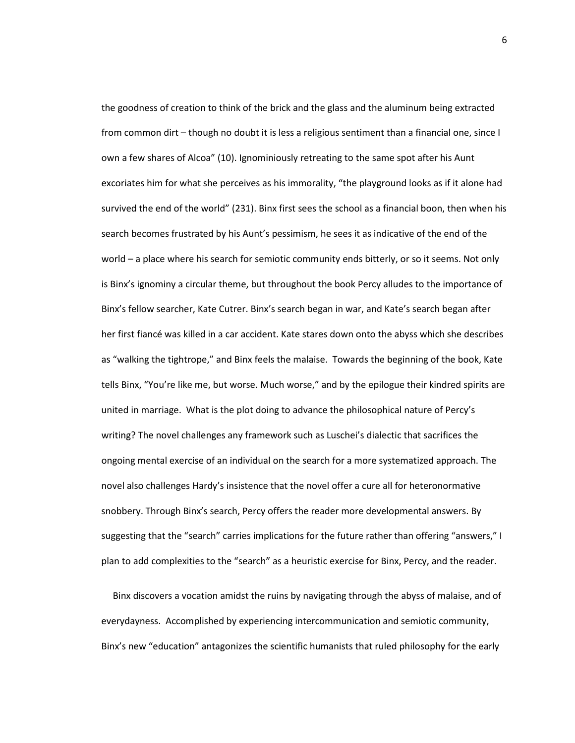the goodness of creation to think of the brick and the glass and the aluminum being extracted from common dirt – though no doubt it is less a religious sentiment than a financial one, since I own a few shares of Alcoa" (10). Ignominiously retreating to the same spot after his Aunt excoriates him for what she perceives as his immorality, "the playground looks as if it alone had survived the end of the world" (231). Binx first sees the school as a financial boon, then when his search becomes frustrated by his Aunt's pessimism, he sees it as indicative of the end of the world – a place where his search for semiotic community ends bitterly, or so it seems. Not only is Binx's ignominy a circular theme, but throughout the book Percy alludes to the importance of Binx's fellow searcher, Kate Cutrer. Binx's search began in war, and Kate's search began after her first fiancé was killed in a car accident. Kate stares down onto the abyss which she describes as "walking the tightrope," and Binx feels the malaise. Towards the beginning of the book, Kate tells Binx, "You're like me, but worse. Much worse," and by the epilogue their kindred spirits are united in marriage. What is the plot doing to advance the philosophical nature of Percy's writing? The novel challenges any framework such as Luschei's dialectic that sacrifices the ongoing mental exercise of an individual on the search for a more systematized approach. The novel also challenges Hardy's insistence that the novel offer a cure all for heteronormative snobbery. Through Binx's search, Percy offers the reader more developmental answers. By suggesting that the "search" carries implications for the future rather than offering "answers," I plan to add complexities to the "search" as a heuristic exercise for Binx, Percy, and the reader.

Binx discovers a vocation amidst the ruins by navigating through the abyss of malaise, and of everydayness. Accomplished by experiencing intercommunication and semiotic community, Binx's new "education" antagonizes the scientific humanists that ruled philosophy for the early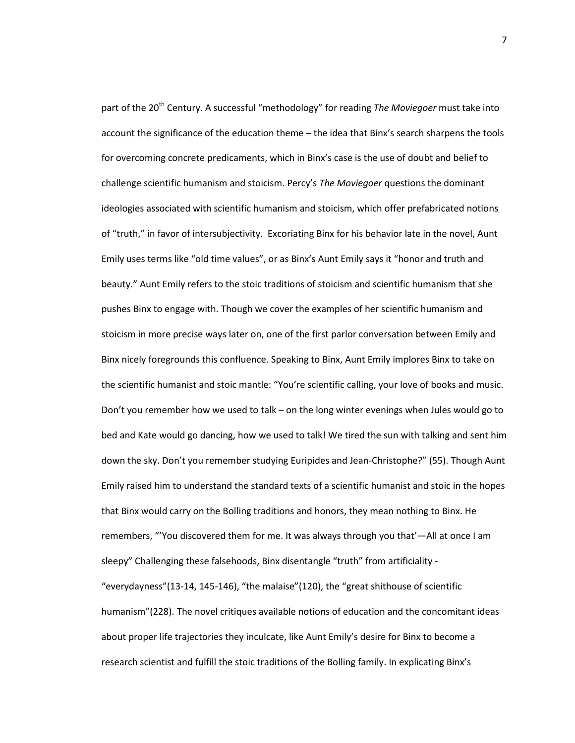part of the 20<sup>th</sup> Century. A successful "methodology" for reading *The Moviegoer* must take into account the significance of the education theme – the idea that Binx's search sharpens the tools for overcoming concrete predicaments, which in Binx's case is the use of doubt and belief to challenge scientific humanism and stoicism. Percy's *The Moviegoer* questions the dominant ideologies associated with scientific humanism and stoicism, which offer prefabricated notions of "truth," in favor of intersubjectivity. Excoriating Binx for his behavior late in the novel, Aunt Emily uses terms like "old time values", or as Binx's Aunt Emily says it "honor and truth and beauty." Aunt Emily refers to the stoic traditions of stoicism and scientific humanism that she pushes Binx to engage with. Though we cover the examples of her scientific humanism and stoicism in more precise ways later on, one of the first parlor conversation between Emily and Binx nicely foregrounds this confluence. Speaking to Binx, Aunt Emily implores Binx to take on the scientific humanist and stoic mantle: "You're scientific calling, your love of books and music. Don't you remember how we used to talk – on the long winter evenings when Jules would go to bed and Kate would go dancing, how we used to talk! We tired the sun with talking and sent him down the sky. Don't you remember studying Euripides and Jean-Christophe?" (55). Though Aunt Emily raised him to understand the standard texts of a scientific humanist and stoic in the hopes that Binx would carry on the Bolling traditions and honors, they mean nothing to Binx. He remembers, "'You discovered them for me. It was always through you that'—All at once I am sleepy" Challenging these falsehoods, Binx disentangle "truth" from artificiality - "everydayness"(13-14, 145-146), "the malaise"(120), the "great shithouse of scientific humanism"(228). The novel critiques available notions of education and the concomitant ideas about proper life trajectories they inculcate, like Aunt Emily's desire for Binx to become a research scientist and fulfill the stoic traditions of the Bolling family. In explicating Binx's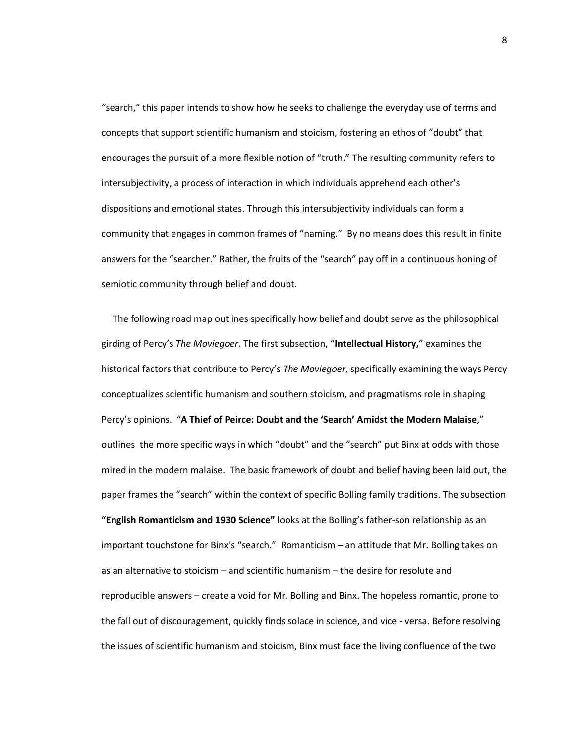"search," this paper intends to show how he seeks to challenge the everyday use of terms and concepts that support scientific humanism and stoicism, fostering an ethos of "doubt" that encourages the pursuit of a more flexible notion of "truth." The resulting community refers to intersubjectivity, a process of interaction in which individuals apprehend each other's dispositions and emotional states. Through this intersubjectivity individuals can form a community that engages in common frames of "naming." By no means does this result in finite answers for the "searcher." Rather, the fruits of the "search" pay off in a continuous honing of semiotic community through belief and doubt.

The following road map outlines specifically how belief and doubt serve as the philosophical girding of Percy's *The Moviegoer*. The first subsection, "**Intellectual History,**" examines the historical factors that contribute to Percy's *The Moviegoer*, specifically examining the ways Percy conceptualizes scientific humanism and southern stoicism, and pragmatisms role in shaping Percy's opinions. "**A Thief of Peirce: Doubt and the 'Search' Amidst the Modern Malaise**," outlines the more specific ways in which "doubt" and the "search" put Binx at odds with those mired in the modern malaise. The basic framework of doubt and belief having been laid out, the paper frames the "search" within the context of specific Bolling family traditions. The subsection **"English Romanticism and 1930 Science"** looks at the Bolling's father-son relationship as an important touchstone for Binx's "search." Romanticism – an attitude that Mr. Bolling takes on as an alternative to stoicism – and scientific humanism – the desire for resolute and reproducible answers – create a void for Mr. Bolling and Binx. The hopeless romantic, prone to the fall out of discouragement, quickly finds solace in science, and vice - versa. Before resolving the issues of scientific humanism and stoicism, Binx must face the living confluence of the two

8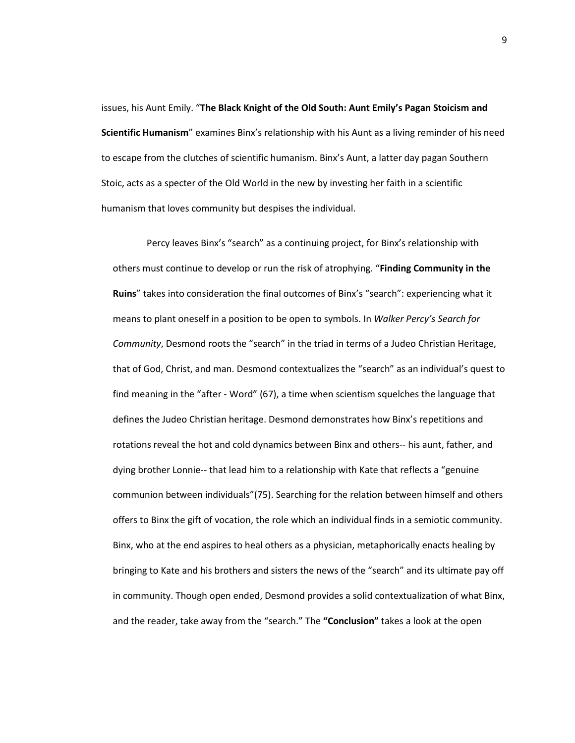issues, his Aunt Emily. "**The Black Knight of the Old South: Aunt Emily's Pagan Stoicism and Scientific Humanism**" examines Binx's relationship with his Aunt as a living reminder of his need to escape from the clutches of scientific humanism. Binx's Aunt, a latter day pagan Southern Stoic, acts as a specter of the Old World in the new by investing her faith in a scientific humanism that loves community but despises the individual.

Percy leaves Binx's "search" as a continuing project, for Binx's relationship with others must continue to develop or run the risk of atrophying. "**Finding Community in the Ruins**" takes into consideration the final outcomes of Binx's "search": experiencing what it means to plant oneself in a position to be open to symbols. In *Walker Percy's Search for Community*, Desmond roots the "search" in the triad in terms of a Judeo Christian Heritage, that of God, Christ, and man. Desmond contextualizes the "search" as an individual's quest to find meaning in the "after - Word" (67), a time when scientism squelches the language that defines the Judeo Christian heritage. Desmond demonstrates how Binx's repetitions and rotations reveal the hot and cold dynamics between Binx and others-- his aunt, father, and dying brother Lonnie-- that lead him to a relationship with Kate that reflects a "genuine communion between individuals"(75). Searching for the relation between himself and others offers to Binx the gift of vocation, the role which an individual finds in a semiotic community. Binx, who at the end aspires to heal others as a physician, metaphorically enacts healing by bringing to Kate and his brothers and sisters the news of the "search" and its ultimate pay off in community. Though open ended, Desmond provides a solid contextualization of what Binx, and the reader, take away from the "search." The **"Conclusion"** takes a look at the open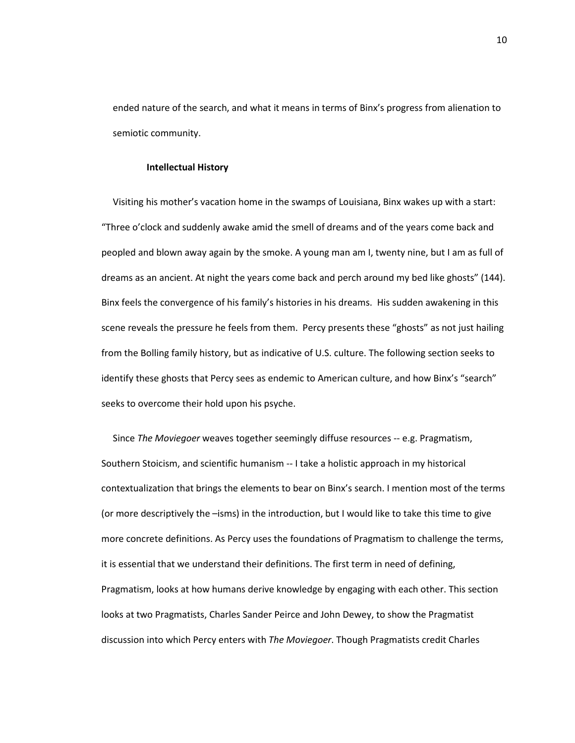ended nature of the search, and what it means in terms of Binx's progress from alienation to semiotic community.

#### **Intellectual History**

Visiting his mother's vacation home in the swamps of Louisiana, Binx wakes up with a start: "Three o'clock and suddenly awake amid the smell of dreams and of the years come back and peopled and blown away again by the smoke. A young man am I, twenty nine, but I am as full of dreams as an ancient. At night the years come back and perch around my bed like ghosts" (144). Binx feels the convergence of his family's histories in his dreams. His sudden awakening in this scene reveals the pressure he feels from them. Percy presents these "ghosts" as not just hailing from the Bolling family history, but as indicative of U.S. culture. The following section seeks to identify these ghosts that Percy sees as endemic to American culture, and how Binx's "search" seeks to overcome their hold upon his psyche.

Since *The Moviegoer* weaves together seemingly diffuse resources -- e.g. Pragmatism, Southern Stoicism, and scientific humanism -- I take a holistic approach in my historical contextualization that brings the elements to bear on Binx's search. I mention most of the terms (or more descriptively the –isms) in the introduction, but I would like to take this time to give more concrete definitions. As Percy uses the foundations of Pragmatism to challenge the terms, it is essential that we understand their definitions. The first term in need of defining, Pragmatism, looks at how humans derive knowledge by engaging with each other. This section looks at two Pragmatists, Charles Sander Peirce and John Dewey, to show the Pragmatist discussion into which Percy enters with *The Moviegoer*. Though Pragmatists credit Charles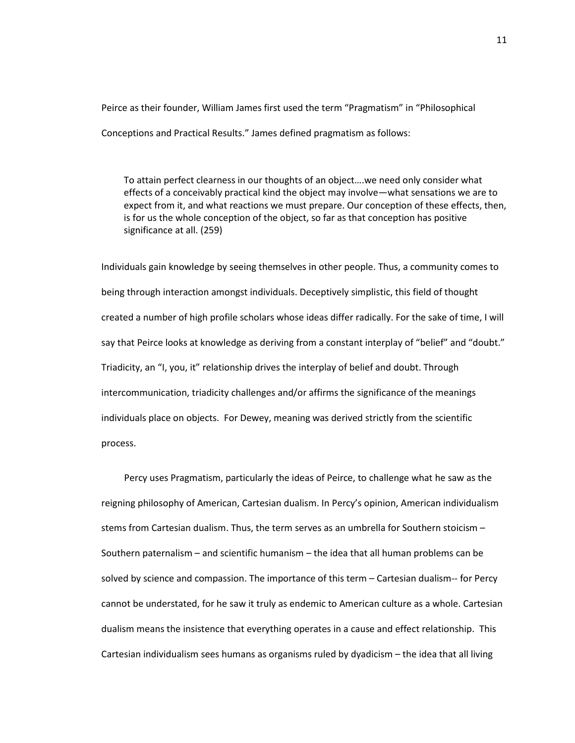Peirce as their founder, William James first used the term "Pragmatism" in "Philosophical Conceptions and Practical Results." James defined pragmatism as follows:

To attain perfect clearness in our thoughts of an object….we need only consider what effects of a conceivably practical kind the object may involve—what sensations we are to expect from it, and what reactions we must prepare. Our conception of these effects, then, is for us the whole conception of the object, so far as that conception has positive significance at all. (259)

Individuals gain knowledge by seeing themselves in other people. Thus, a community comes to being through interaction amongst individuals. Deceptively simplistic, this field of thought created a number of high profile scholars whose ideas differ radically. For the sake of time, I will say that Peirce looks at knowledge as deriving from a constant interplay of "belief" and "doubt." Triadicity, an "I, you, it" relationship drives the interplay of belief and doubt. Through intercommunication, triadicity challenges and/or affirms the significance of the meanings individuals place on objects. For Dewey, meaning was derived strictly from the scientific process.

Percy uses Pragmatism, particularly the ideas of Peirce, to challenge what he saw as the reigning philosophy of American, Cartesian dualism. In Percy's opinion, American individualism stems from Cartesian dualism. Thus, the term serves as an umbrella for Southern stoicism – Southern paternalism – and scientific humanism – the idea that all human problems can be solved by science and compassion. The importance of this term – Cartesian dualism-- for Percy cannot be understated, for he saw it truly as endemic to American culture as a whole. Cartesian dualism means the insistence that everything operates in a cause and effect relationship. This Cartesian individualism sees humans as organisms ruled by dyadicism – the idea that all living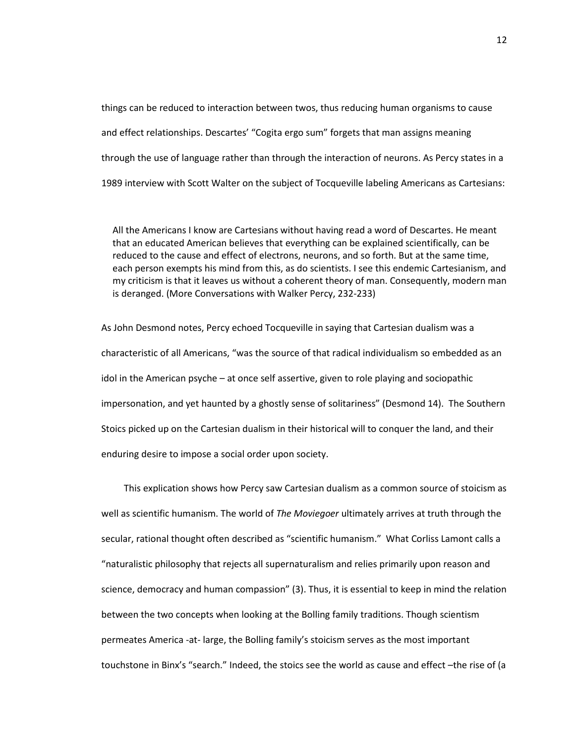things can be reduced to interaction between twos, thus reducing human organisms to cause and effect relationships. Descartes' "Cogita ergo sum" forgets that man assigns meaning through the use of language rather than through the interaction of neurons. As Percy states in a 1989 interview with Scott Walter on the subject of Tocqueville labeling Americans as Cartesians:

All the Americans I know are Cartesians without having read a word of Descartes. He meant that an educated American believes that everything can be explained scientifically, can be reduced to the cause and effect of electrons, neurons, and so forth. But at the same time, each person exempts his mind from this, as do scientists. I see this endemic Cartesianism, and my criticism is that it leaves us without a coherent theory of man. Consequently, modern man is deranged. (More Conversations with Walker Percy, 232-233)

As John Desmond notes, Percy echoed Tocqueville in saying that Cartesian dualism was a characteristic of all Americans, "was the source of that radical individualism so embedded as an idol in the American psyche – at once self assertive, given to role playing and sociopathic impersonation, and yet haunted by a ghostly sense of solitariness" (Desmond 14). The Southern Stoics picked up on the Cartesian dualism in their historical will to conquer the land, and their enduring desire to impose a social order upon society.

This explication shows how Percy saw Cartesian dualism as a common source of stoicism as well as scientific humanism. The world of *The Moviegoer* ultimately arrives at truth through the secular, rational thought often described as "scientific humanism." What Corliss Lamont calls a "naturalistic philosophy that rejects all supernaturalism and relies primarily upon reason and science, democracy and human compassion" (3). Thus, it is essential to keep in mind the relation between the two concepts when looking at the Bolling family traditions. Though scientism permeates America -at- large, the Bolling family's stoicism serves as the most important touchstone in Binx's "search." Indeed, the stoics see the world as cause and effect –the rise of (a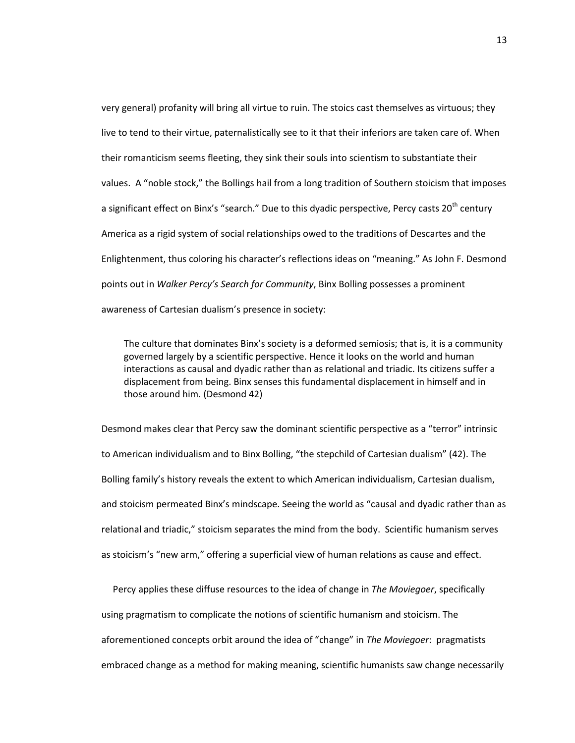very general) profanity will bring all virtue to ruin. The stoics cast themselves as virtuous; they live to tend to their virtue, paternalistically see to it that their inferiors are taken care of. When their romanticism seems fleeting, they sink their souls into scientism to substantiate their values. A "noble stock," the Bollings hail from a long tradition of Southern stoicism that imposes a significant effect on Binx's "search." Due to this dyadic perspective, Percy casts 20<sup>th</sup> century America as a rigid system of social relationships owed to the traditions of Descartes and the Enlightenment, thus coloring his character's reflections ideas on "meaning." As John F. Desmond points out in *Walker Percy's Search for Community*, Binx Bolling possesses a prominent awareness of Cartesian dualism's presence in society:

The culture that dominates Binx's society is a deformed semiosis; that is, it is a community governed largely by a scientific perspective. Hence it looks on the world and human interactions as causal and dyadic rather than as relational and triadic. Its citizens suffer a displacement from being. Binx senses this fundamental displacement in himself and in those around him. (Desmond 42)

Desmond makes clear that Percy saw the dominant scientific perspective as a "terror" intrinsic to American individualism and to Binx Bolling, "the stepchild of Cartesian dualism" (42). The Bolling family's history reveals the extent to which American individualism, Cartesian dualism, and stoicism permeated Binx's mindscape. Seeing the world as "causal and dyadic rather than as relational and triadic," stoicism separates the mind from the body. Scientific humanism serves as stoicism's "new arm," offering a superficial view of human relations as cause and effect.

Percy applies these diffuse resources to the idea of change in *The Moviegoer*, specifically using pragmatism to complicate the notions of scientific humanism and stoicism. The aforementioned concepts orbit around the idea of "change" in *The Moviegoer*: pragmatists embraced change as a method for making meaning, scientific humanists saw change necessarily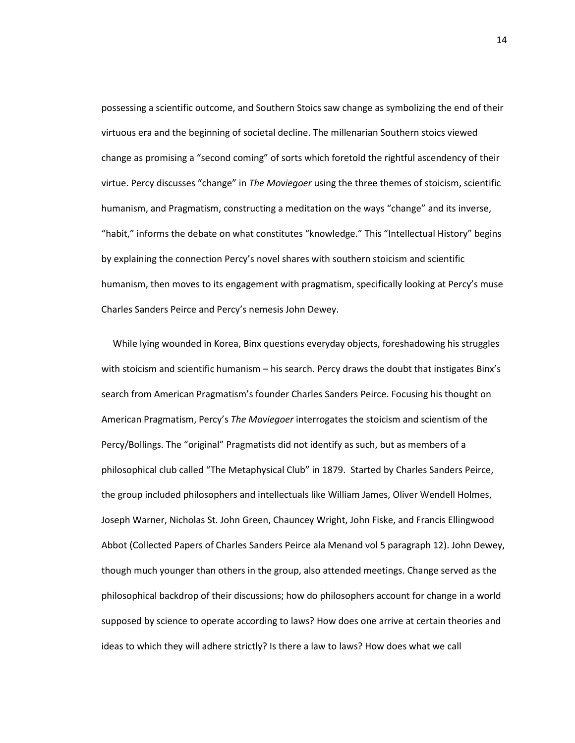possessing a scientific outcome, and Southern Stoics saw change as symbolizing the end of their virtuous era and the beginning of societal decline. The millenarian Southern stoics viewed change as promising a "second coming" of sorts which foretold the rightful ascendency of their virtue. Percy discusses "change" in *The Moviegoer* using the three themes of stoicism, scientific humanism, and Pragmatism, constructing a meditation on the ways "change" and its inverse, "habit," informs the debate on what constitutes "knowledge." This "Intellectual History" begins by explaining the connection Percy's novel shares with southern stoicism and scientific humanism, then moves to its engagement with pragmatism, specifically looking at Percy's muse Charles Sanders Peirce and Percy's nemesis John Dewey.

While lying wounded in Korea, Binx questions everyday objects, foreshadowing his struggles with stoicism and scientific humanism – his search. Percy draws the doubt that instigates Binx's search from American Pragmatism's founder Charles Sanders Peirce. Focusing his thought on American Pragmatism, Percy's *The Moviegoer* interrogates the stoicism and scientism of the Percy/Bollings. The "original" Pragmatists did not identify as such, but as members of a philosophical club called "The Metaphysical Club" in 1879. Started by Charles Sanders Peirce, the group included philosophers and intellectuals like William James, Oliver Wendell Holmes, Joseph Warner, Nicholas St. John Green, Chauncey Wright, John Fiske, and Francis Ellingwood Abbot (Collected Papers of Charles Sanders Peirce ala Menand vol 5 paragraph 12). John Dewey, though much younger than others in the group, also attended meetings. Change served as the philosophical backdrop of their discussions; how do philosophers account for change in a world supposed by science to operate according to laws? How does one arrive at certain theories and ideas to which they will adhere strictly? Is there a law to laws? How does what we call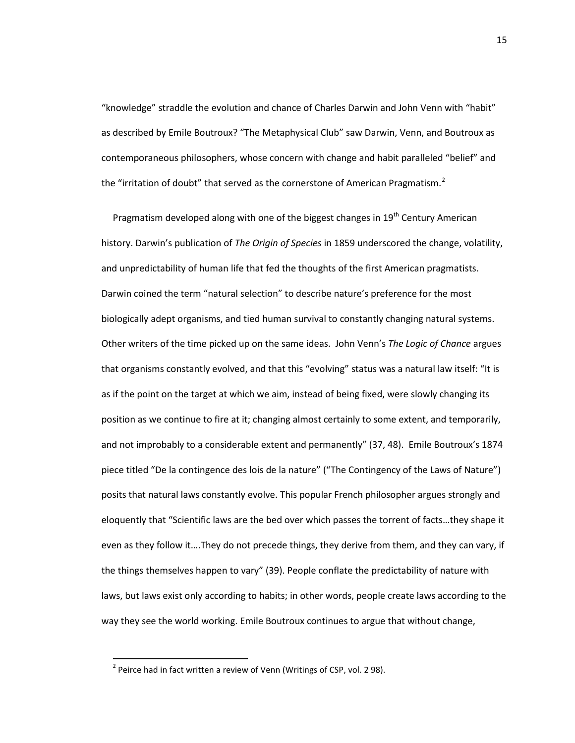"knowledge" straddle the evolution and chance of Charles Darwin and John Venn with "habit" as described by Emile Boutroux? "The Metaphysical Club" saw Darwin, Venn, and Boutroux as contemporaneous philosophers, whose concern with change and habit paralleled "belief" and the "irritation of doubt" that served as the cornerstone of American Pragmatism.<sup>[2](#page-19-0)</sup>

Pragmatism developed along with one of the biggest changes in 19<sup>th</sup> Century American history. Darwin's publication of *The Origin of Species* in 1859 underscored the change, volatility, and unpredictability of human life that fed the thoughts of the first American pragmatists. Darwin coined the term "natural selection" to describe nature's preference for the most biologically adept organisms, and tied human survival to constantly changing natural systems. Other writers of the time picked up on the same ideas. John Venn's *The Logic of Chance* argues that organisms constantly evolved, and that this "evolving" status was a natural law itself: "It is as if the point on the target at which we aim, instead of being fixed, were slowly changing its position as we continue to fire at it; changing almost certainly to some extent, and temporarily, and not improbably to a considerable extent and permanently" (37, 48). Emile Boutroux's 1874 piece titled "De la contingence des lois de la nature" ("The Contingency of the Laws of Nature") posits that natural laws constantly evolve. This popular French philosopher argues strongly and eloquently that "Scientific laws are the bed over which passes the torrent of facts…they shape it even as they follow it….They do not precede things, they derive from them, and they can vary, if the things themselves happen to vary" (39). People conflate the predictability of nature with laws, but laws exist only according to habits; in other words, people create laws according to the way they see the world working. Emile Boutroux continues to argue that without change,

<span id="page-19-0"></span> $2$  Peirce had in fact written a review of Venn (Writings of CSP, vol. 298).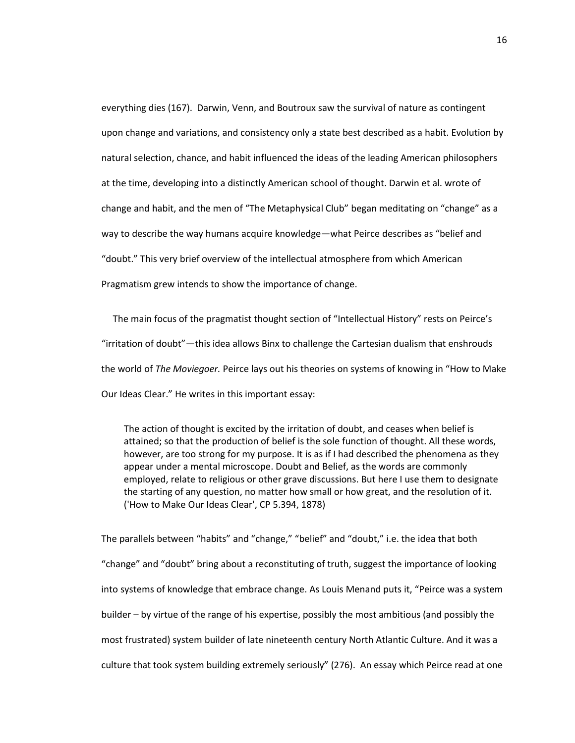everything dies (167). Darwin, Venn, and Boutroux saw the survival of nature as contingent upon change and variations, and consistency only a state best described as a habit. Evolution by natural selection, chance, and habit influenced the ideas of the leading American philosophers at the time, developing into a distinctly American school of thought. Darwin et al. wrote of change and habit, and the men of "The Metaphysical Club" began meditating on "change" as a way to describe the way humans acquire knowledge—what Peirce describes as "belief and "doubt." This very brief overview of the intellectual atmosphere from which American Pragmatism grew intends to show the importance of change.

The main focus of the pragmatist thought section of "Intellectual History" rests on Peirce's "irritation of doubt"—this idea allows Binx to challenge the Cartesian dualism that enshrouds the world of *The Moviegoer.* Peirce lays out his theories on systems of knowing in "How to Make Our Ideas Clear." He writes in this important essay:

The action of thought is excited by the irritation of doubt, and ceases when belief is attained; so that the production of belief is the sole function of thought. All these words, however, are too strong for my purpose. It is as if I had described the phenomena as they appear under a mental microscope. Doubt and Belief, as the words are commonly employed, relate to religious or other grave discussions. But here I use them to designate the starting of any question, no matter how small or how great, and the resolution of it. ('How to Make Our Ideas Clear', CP 5.394, 1878)

The parallels between "habits" and "change," "belief" and "doubt," i.e. the idea that both "change" and "doubt" bring about a reconstituting of truth, suggest the importance of looking into systems of knowledge that embrace change. As Louis Menand puts it, "Peirce was a system builder – by virtue of the range of his expertise, possibly the most ambitious (and possibly the most frustrated) system builder of late nineteenth century North Atlantic Culture. And it was a culture that took system building extremely seriously" (276). An essay which Peirce read at one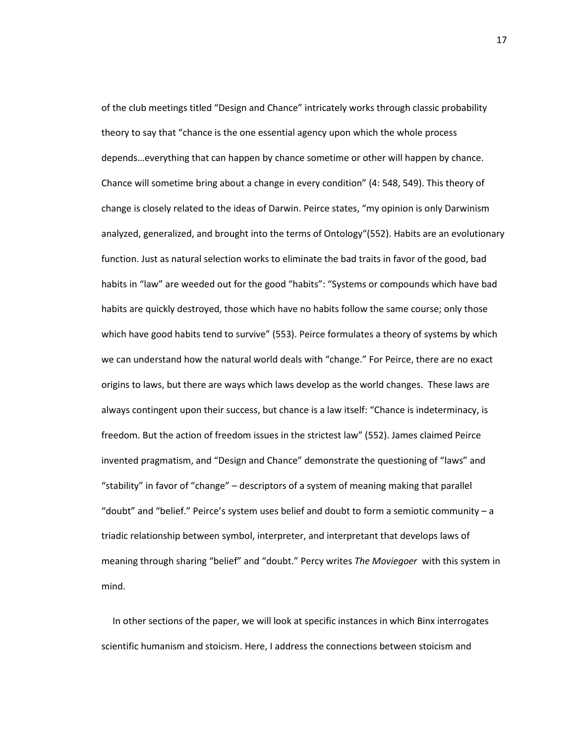of the club meetings titled "Design and Chance" intricately works through classic probability theory to say that "chance is the one essential agency upon which the whole process depends…everything that can happen by chance sometime or other will happen by chance. Chance will sometime bring about a change in every condition" (4: 548, 549). This theory of change is closely related to the ideas of Darwin. Peirce states, "my opinion is only Darwinism analyzed, generalized, and brought into the terms of Ontology"(552). Habits are an evolutionary function. Just as natural selection works to eliminate the bad traits in favor of the good, bad habits in "law" are weeded out for the good "habits": "Systems or compounds which have bad habits are quickly destroyed, those which have no habits follow the same course; only those which have good habits tend to survive" (553). Peirce formulates a theory of systems by which we can understand how the natural world deals with "change." For Peirce, there are no exact origins to laws, but there are ways which laws develop as the world changes. These laws are always contingent upon their success, but chance is a law itself: "Chance is indeterminacy, is freedom. But the action of freedom issues in the strictest law" (552). James claimed Peirce invented pragmatism, and "Design and Chance" demonstrate the questioning of "laws" and "stability" in favor of "change" – descriptors of a system of meaning making that parallel "doubt" and "belief." Peirce's system uses belief and doubt to form a semiotic community – a triadic relationship between symbol, interpreter, and interpretant that develops laws of meaning through sharing "belief" and "doubt." Percy writes *The Moviegoer* with this system in mind.

In other sections of the paper, we will look at specific instances in which Binx interrogates scientific humanism and stoicism. Here, I address the connections between stoicism and

17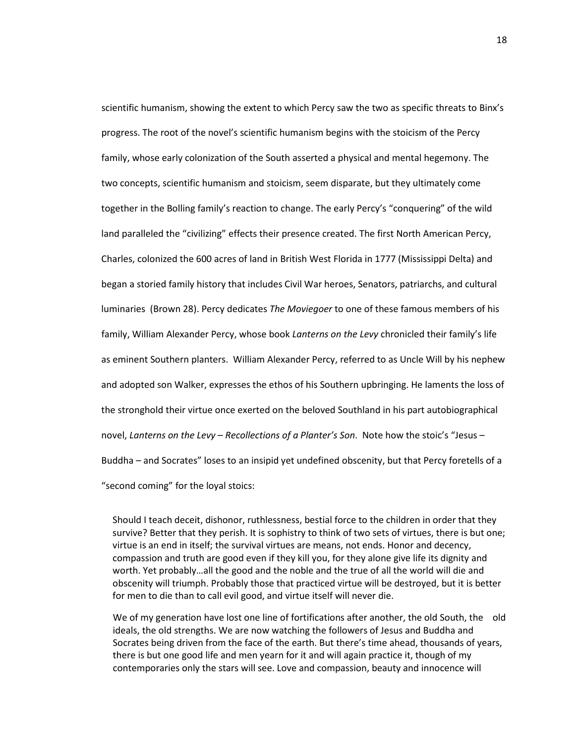scientific humanism, showing the extent to which Percy saw the two as specific threats to Binx's progress. The root of the novel's scientific humanism begins with the stoicism of the Percy family, whose early colonization of the South asserted a physical and mental hegemony. The two concepts, scientific humanism and stoicism, seem disparate, but they ultimately come together in the Bolling family's reaction to change. The early Percy's "conquering" of the wild land paralleled the "civilizing" effects their presence created. The first North American Percy, Charles, colonized the 600 acres of land in British West Florida in 1777 (Mississippi Delta) and began a storied family history that includes Civil War heroes, Senators, patriarchs, and cultural luminaries (Brown 28). Percy dedicates *The Moviegoer* to one of these famous members of his family, William Alexander Percy, whose book *Lanterns on the Levy* chronicled their family's life as eminent Southern planters. William Alexander Percy, referred to as Uncle Will by his nephew and adopted son Walker, expresses the ethos of his Southern upbringing. He laments the loss of the stronghold their virtue once exerted on the beloved Southland in his part autobiographical novel, *Lanterns on the Levy – Recollections of a Planter's Son*. Note how the stoic's "Jesus – Buddha – and Socrates" loses to an insipid yet undefined obscenity, but that Percy foretells of a "second coming" for the loyal stoics:

Should I teach deceit, dishonor, ruthlessness, bestial force to the children in order that they survive? Better that they perish. It is sophistry to think of two sets of virtues, there is but one; virtue is an end in itself; the survival virtues are means, not ends. Honor and decency, compassion and truth are good even if they kill you, for they alone give life its dignity and worth. Yet probably…all the good and the noble and the true of all the world will die and obscenity will triumph. Probably those that practiced virtue will be destroyed, but it is better for men to die than to call evil good, and virtue itself will never die.

We of my generation have lost one line of fortifications after another, the old South, the old ideals, the old strengths. We are now watching the followers of Jesus and Buddha and Socrates being driven from the face of the earth. But there's time ahead, thousands of years, there is but one good life and men yearn for it and will again practice it, though of my contemporaries only the stars will see. Love and compassion, beauty and innocence will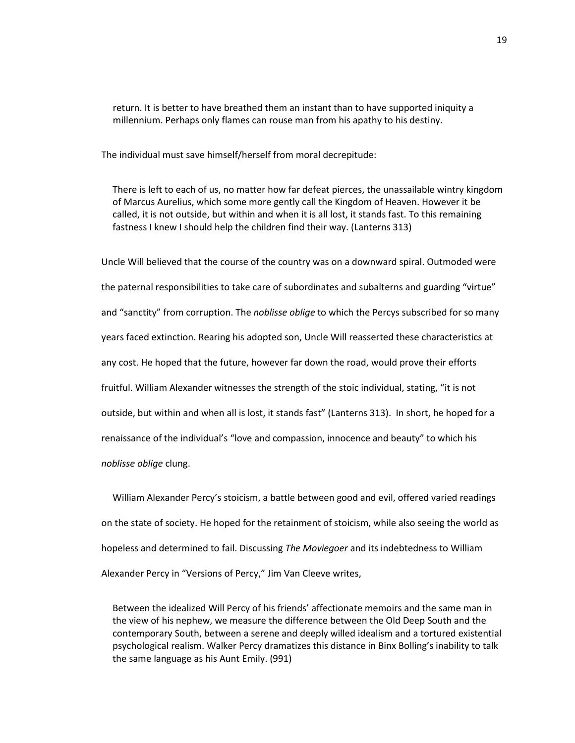return. It is better to have breathed them an instant than to have supported iniquity a millennium. Perhaps only flames can rouse man from his apathy to his destiny.

The individual must save himself/herself from moral decrepitude:

There is left to each of us, no matter how far defeat pierces, the unassailable wintry kingdom of Marcus Aurelius, which some more gently call the Kingdom of Heaven. However it be called, it is not outside, but within and when it is all lost, it stands fast. To this remaining fastness I knew I should help the children find their way. (Lanterns 313)

Uncle Will believed that the course of the country was on a downward spiral. Outmoded were the paternal responsibilities to take care of subordinates and subalterns and guarding "virtue" and "sanctity" from corruption. The *noblisse oblige* to which the Percys subscribed for so many years faced extinction. Rearing his adopted son, Uncle Will reasserted these characteristics at any cost. He hoped that the future, however far down the road, would prove their efforts fruitful. William Alexander witnesses the strength of the stoic individual, stating, "it is not outside, but within and when all is lost, it stands fast" (Lanterns 313). In short, he hoped for a renaissance of the individual's "love and compassion, innocence and beauty" to which his *noblisse oblige* clung.

William Alexander Percy's stoicism, a battle between good and evil, offered varied readings on the state of society. He hoped for the retainment of stoicism, while also seeing the world as hopeless and determined to fail. Discussing *The Moviegoer* and its indebtedness to William Alexander Percy in "Versions of Percy," Jim Van Cleeve writes,

Between the idealized Will Percy of his friends' affectionate memoirs and the same man in the view of his nephew, we measure the difference between the Old Deep South and the contemporary South, between a serene and deeply willed idealism and a tortured existential psychological realism. Walker Percy dramatizes this distance in Binx Bolling's inability to talk the same language as his Aunt Emily. (991)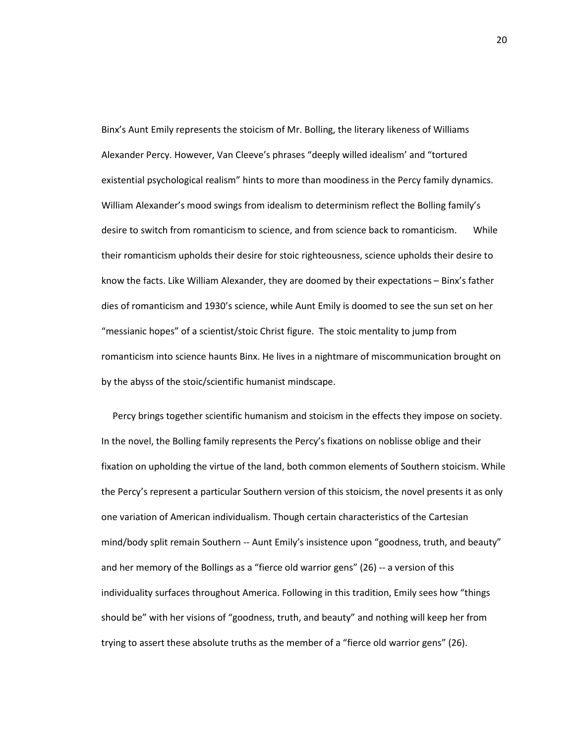Binx's Aunt Emily represents the stoicism of Mr. Bolling, the literary likeness of Williams Alexander Percy. However, Van Cleeve's phrases "deeply willed idealism' and "tortured existential psychological realism" hints to more than moodiness in the Percy family dynamics. William Alexander's mood swings from idealism to determinism reflect the Bolling family's desire to switch from romanticism to science, and from science back to romanticism. While their romanticism upholds their desire for stoic righteousness, science upholds their desire to know the facts. Like William Alexander, they are doomed by their expectations – Binx's father dies of romanticism and 1930's science, while Aunt Emily is doomed to see the sun set on her "messianic hopes" of a scientist/stoic Christ figure. The stoic mentality to jump from romanticism into science haunts Binx. He lives in a nightmare of miscommunication brought on by the abyss of the stoic/scientific humanist mindscape.

Percy brings together scientific humanism and stoicism in the effects they impose on society. In the novel, the Bolling family represents the Percy's fixations on noblisse oblige and their fixation on upholding the virtue of the land, both common elements of Southern stoicism. While the Percy's represent a particular Southern version of this stoicism, the novel presents it as only one variation of American individualism. Though certain characteristics of the Cartesian mind/body split remain Southern -- Aunt Emily's insistence upon "goodness, truth, and beauty" and her memory of the Bollings as a "fierce old warrior gens" (26) -- a version of this individuality surfaces throughout America. Following in this tradition, Emily sees how "things should be" with her visions of "goodness, truth, and beauty" and nothing will keep her from trying to assert these absolute truths as the member of a "fierce old warrior gens" (26).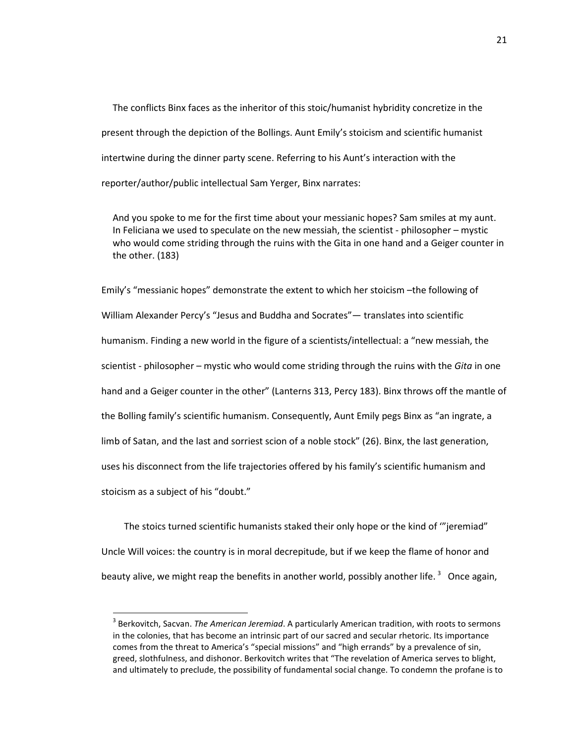The conflicts Binx faces as the inheritor of this stoic/humanist hybridity concretize in the present through the depiction of the Bollings. Aunt Emily's stoicism and scientific humanist intertwine during the dinner party scene. Referring to his Aunt's interaction with the reporter/author/public intellectual Sam Yerger, Binx narrates:

And you spoke to me for the first time about your messianic hopes? Sam smiles at my aunt. In Feliciana we used to speculate on the new messiah, the scientist - philosopher – mystic who would come striding through the ruins with the Gita in one hand and a Geiger counter in the other. (183)

Emily's "messianic hopes" demonstrate the extent to which her stoicism –the following of William Alexander Percy's "Jesus and Buddha and Socrates"— translates into scientific humanism. Finding a new world in the figure of a scientists/intellectual: a "new messiah, the scientist - philosopher – mystic who would come striding through the ruins with the *Gita* in one hand and a Geiger counter in the other" (Lanterns 313, Percy 183). Binx throws off the mantle of the Bolling family's scientific humanism. Consequently, Aunt Emily pegs Binx as "an ingrate, a limb of Satan, and the last and sorriest scion of a noble stock" (26). Binx, the last generation, uses his disconnect from the life trajectories offered by his family's scientific humanism and stoicism as a subject of his "doubt."

The stoics turned scientific humanists staked their only hope or the kind of '"jeremiad" Uncle Will voices: the country is in moral decrepitude, but if we keep the flame of honor and beauty alive, we might reap the benefits in another world, possibly another life.  $3$  Once again,

<span id="page-25-0"></span> <sup>3</sup> Berkovitch, Sacvan. *The American Jeremiad*. A particularly American tradition, with roots to sermons in the colonies, that has become an intrinsic part of our sacred and secular rhetoric. Its importance comes from the threat to America's "special missions" and "high errands" by a prevalence of sin, greed, slothfulness, and dishonor. Berkovitch writes that "The revelation of America serves to blight, and ultimately to preclude, the possibility of fundamental social change. To condemn the profane is to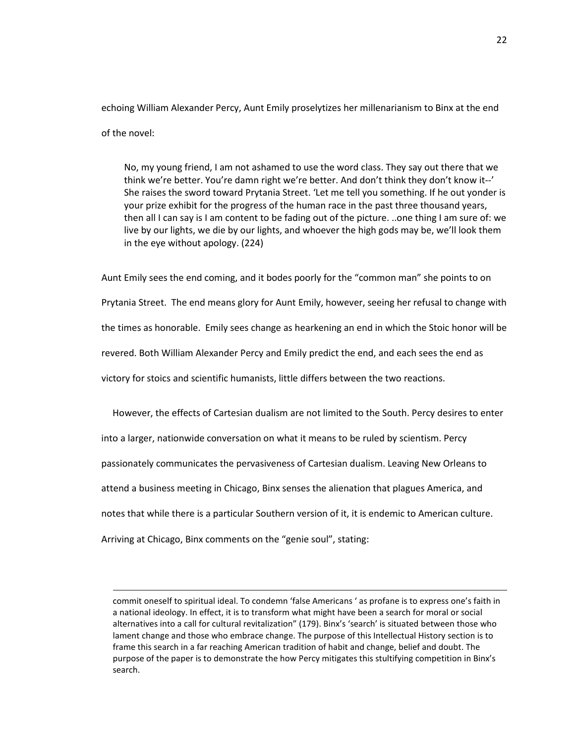echoing William Alexander Percy, Aunt Emily proselytizes her millenarianism to Binx at the end of the novel:

No, my young friend, I am not ashamed to use the word class. They say out there that we think we're better. You're damn right we're better. And don't think they don't know it--' She raises the sword toward Prytania Street. 'Let me tell you something. If he out yonder is your prize exhibit for the progress of the human race in the past three thousand years, then all I can say is I am content to be fading out of the picture. ..one thing I am sure of: we live by our lights, we die by our lights, and whoever the high gods may be, we'll look them in the eye without apology. (224)

Aunt Emily sees the end coming, and it bodes poorly for the "common man" she points to on Prytania Street. The end means glory for Aunt Emily, however, seeing her refusal to change with the times as honorable. Emily sees change as hearkening an end in which the Stoic honor will be revered. Both William Alexander Percy and Emily predict the end, and each sees the end as victory for stoics and scientific humanists, little differs between the two reactions.

However, the effects of Cartesian dualism are not limited to the South. Percy desires to enter into a larger, nationwide conversation on what it means to be ruled by scientism. Percy passionately communicates the pervasiveness of Cartesian dualism. Leaving New Orleans to attend a business meeting in Chicago, Binx senses the alienation that plagues America, and notes that while there is a particular Southern version of it, it is endemic to American culture. Arriving at Chicago, Binx comments on the "genie soul", stating:

commit oneself to spiritual ideal. To condemn 'false Americans ' as profane is to express one's faith in a national ideology. In effect, it is to transform what might have been a search for moral or social alternatives into a call for cultural revitalization" (179). Binx's 'search' is situated between those who lament change and those who embrace change. The purpose of this Intellectual History section is to frame this search in a far reaching American tradition of habit and change, belief and doubt. The purpose of the paper is to demonstrate the how Percy mitigates this stultifying competition in Binx's search.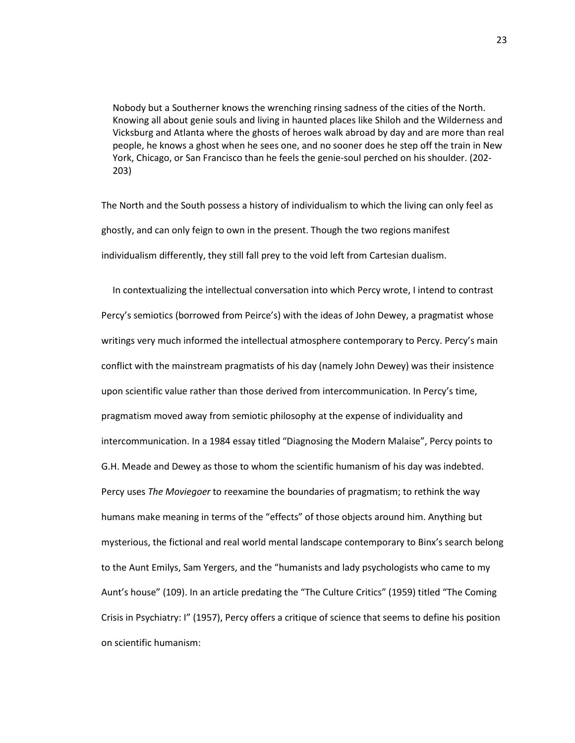Nobody but a Southerner knows the wrenching rinsing sadness of the cities of the North. Knowing all about genie souls and living in haunted places like Shiloh and the Wilderness and Vicksburg and Atlanta where the ghosts of heroes walk abroad by day and are more than real people, he knows a ghost when he sees one, and no sooner does he step off the train in New York, Chicago, or San Francisco than he feels the genie-soul perched on his shoulder. (202- 203)

The North and the South possess a history of individualism to which the living can only feel as ghostly, and can only feign to own in the present. Though the two regions manifest individualism differently, they still fall prey to the void left from Cartesian dualism.

In contextualizing the intellectual conversation into which Percy wrote, I intend to contrast Percy's semiotics (borrowed from Peirce's) with the ideas of John Dewey, a pragmatist whose writings very much informed the intellectual atmosphere contemporary to Percy. Percy's main conflict with the mainstream pragmatists of his day (namely John Dewey) was their insistence upon scientific value rather than those derived from intercommunication. In Percy's time, pragmatism moved away from semiotic philosophy at the expense of individuality and intercommunication. In a 1984 essay titled "Diagnosing the Modern Malaise", Percy points to G.H. Meade and Dewey as those to whom the scientific humanism of his day was indebted. Percy uses *The Moviegoer* to reexamine the boundaries of pragmatism; to rethink the way humans make meaning in terms of the "effects" of those objects around him. Anything but mysterious, the fictional and real world mental landscape contemporary to Binx's search belong to the Aunt Emilys, Sam Yergers, and the "humanists and lady psychologists who came to my Aunt's house" (109). In an article predating the "The Culture Critics" (1959) titled "The Coming Crisis in Psychiatry: I" (1957), Percy offers a critique of science that seems to define his position on scientific humanism: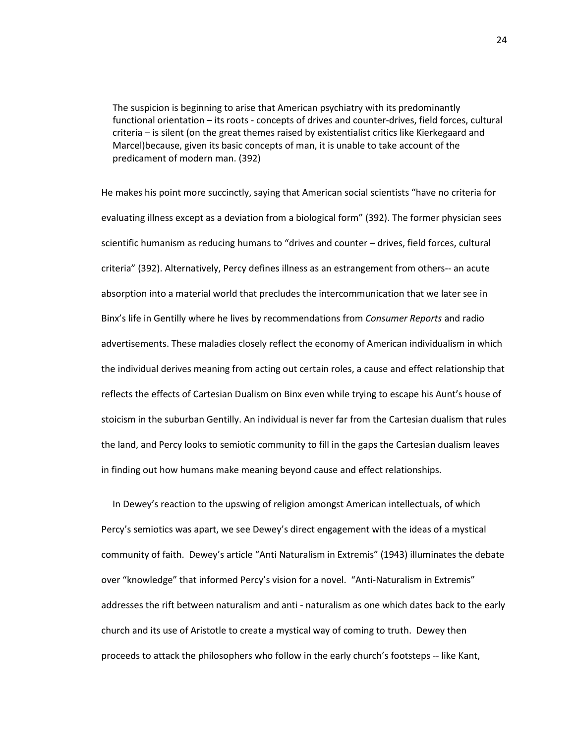The suspicion is beginning to arise that American psychiatry with its predominantly functional orientation – its roots - concepts of drives and counter-drives, field forces, cultural criteria – is silent (on the great themes raised by existentialist critics like Kierkegaard and Marcel)because, given its basic concepts of man, it is unable to take account of the predicament of modern man. (392)

He makes his point more succinctly, saying that American social scientists "have no criteria for evaluating illness except as a deviation from a biological form" (392). The former physician sees scientific humanism as reducing humans to "drives and counter – drives, field forces, cultural criteria" (392). Alternatively, Percy defines illness as an estrangement from others-- an acute absorption into a material world that precludes the intercommunication that we later see in Binx's life in Gentilly where he lives by recommendations from *Consumer Reports* and radio advertisements. These maladies closely reflect the economy of American individualism in which the individual derives meaning from acting out certain roles, a cause and effect relationship that reflects the effects of Cartesian Dualism on Binx even while trying to escape his Aunt's house of stoicism in the suburban Gentilly. An individual is never far from the Cartesian dualism that rules the land, and Percy looks to semiotic community to fill in the gaps the Cartesian dualism leaves in finding out how humans make meaning beyond cause and effect relationships.

In Dewey's reaction to the upswing of religion amongst American intellectuals, of which Percy's semiotics was apart, we see Dewey's direct engagement with the ideas of a mystical community of faith. Dewey's article "Anti Naturalism in Extremis" (1943) illuminates the debate over "knowledge" that informed Percy's vision for a novel. "Anti-Naturalism in Extremis" addresses the rift between naturalism and anti - naturalism as one which dates back to the early church and its use of Aristotle to create a mystical way of coming to truth. Dewey then proceeds to attack the philosophers who follow in the early church's footsteps -- like Kant,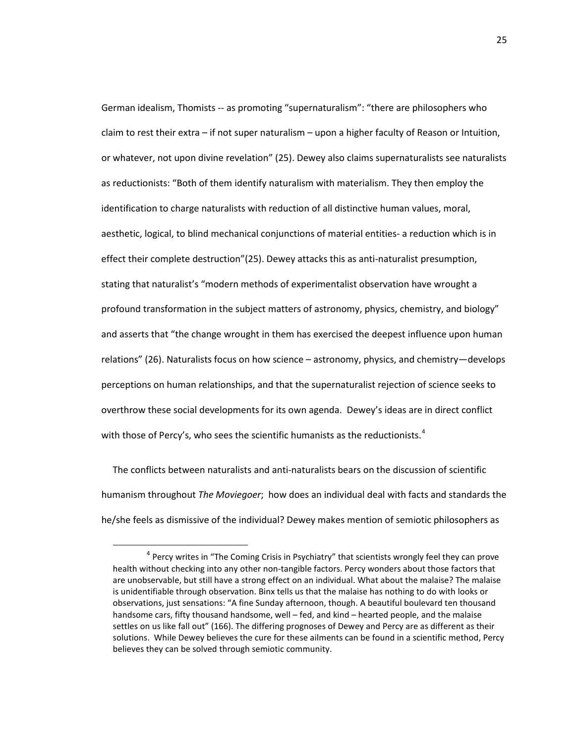German idealism, Thomists -- as promoting "supernaturalism": "there are philosophers who claim to rest their extra – if not super naturalism – upon a higher faculty of Reason or Intuition, or whatever, not upon divine revelation" (25). Dewey also claims supernaturalists see naturalists as reductionists: "Both of them identify naturalism with materialism. They then employ the identification to charge naturalists with reduction of all distinctive human values, moral, aesthetic, logical, to blind mechanical conjunctions of material entities- a reduction which is in effect their complete destruction"(25). Dewey attacks this as anti-naturalist presumption, stating that naturalist's "modern methods of experimentalist observation have wrought a profound transformation in the subject matters of astronomy, physics, chemistry, and biology" and asserts that "the change wrought in them has exercised the deepest influence upon human relations" (26). Naturalists focus on how science – astronomy, physics, and chemistry—develops perceptions on human relationships, and that the supernaturalist rejection of science seeks to overthrow these social developments for its own agenda. Dewey's ideas are in direct conflict with those of Percy's, who sees the scientific humanists as the reductionists.<sup>[4](#page-29-0)</sup>

The conflicts between naturalists and anti-naturalists bears on the discussion of scientific humanism throughout *The Moviegoer*; how does an individual deal with facts and standards the he/she feels as dismissive of the individual? Dewey makes mention of semiotic philosophers as

<span id="page-29-0"></span><sup>&</sup>lt;sup>4</sup> Percy writes in "The Coming Crisis in Psychiatry" that scientists wrongly feel they can prove health without checking into any other non-tangible factors. Percy wonders about those factors that are unobservable, but still have a strong effect on an individual. What about the malaise? The malaise is unidentifiable through observation. Binx tells us that the malaise has nothing to do with looks or observations, just sensations: "A fine Sunday afternoon, though. A beautiful boulevard ten thousand handsome cars, fifty thousand handsome, well – fed, and kind – hearted people, and the malaise settles on us like fall out" (166). The differing prognoses of Dewey and Percy are as different as their solutions. While Dewey believes the cure for these ailments can be found in a scientific method, Percy believes they can be solved through semiotic community.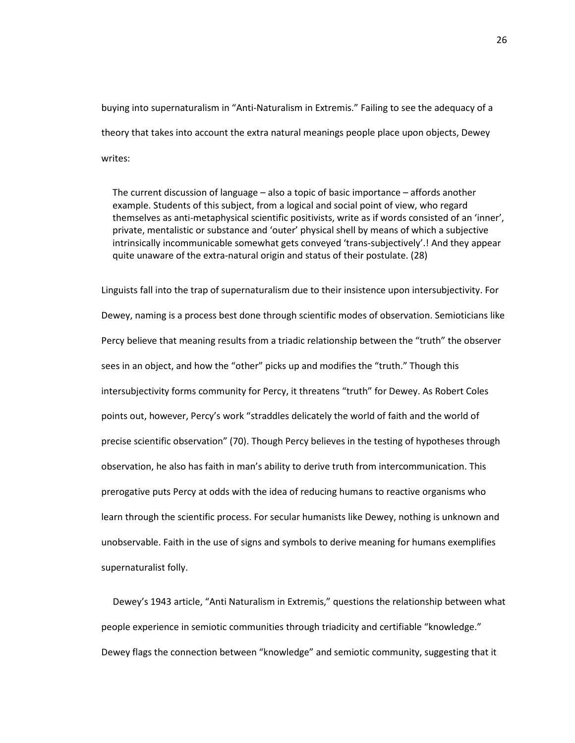buying into supernaturalism in "Anti-Naturalism in Extremis." Failing to see the adequacy of a theory that takes into account the extra natural meanings people place upon objects, Dewey writes:

The current discussion of language – also a topic of basic importance – affords another example. Students of this subject, from a logical and social point of view, who regard themselves as anti-metaphysical scientific positivists, write as if words consisted of an 'inner', private, mentalistic or substance and 'outer' physical shell by means of which a subjective intrinsically incommunicable somewhat gets conveyed 'trans-subjectively'.! And they appear quite unaware of the extra-natural origin and status of their postulate. (28)

Linguists fall into the trap of supernaturalism due to their insistence upon intersubjectivity. For Dewey, naming is a process best done through scientific modes of observation. Semioticians like Percy believe that meaning results from a triadic relationship between the "truth" the observer sees in an object, and how the "other" picks up and modifies the "truth." Though this intersubjectivity forms community for Percy, it threatens "truth" for Dewey. As Robert Coles points out, however, Percy's work "straddles delicately the world of faith and the world of precise scientific observation" (70). Though Percy believes in the testing of hypotheses through observation, he also has faith in man's ability to derive truth from intercommunication. This prerogative puts Percy at odds with the idea of reducing humans to reactive organisms who learn through the scientific process. For secular humanists like Dewey, nothing is unknown and unobservable. Faith in the use of signs and symbols to derive meaning for humans exemplifies supernaturalist folly.

Dewey's 1943 article, "Anti Naturalism in Extremis," questions the relationship between what people experience in semiotic communities through triadicity and certifiable "knowledge." Dewey flags the connection between "knowledge" and semiotic community, suggesting that it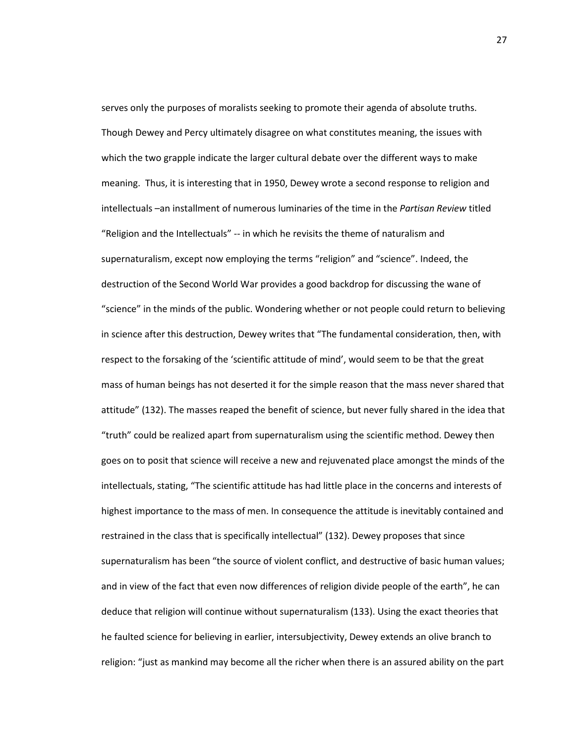serves only the purposes of moralists seeking to promote their agenda of absolute truths. Though Dewey and Percy ultimately disagree on what constitutes meaning, the issues with which the two grapple indicate the larger cultural debate over the different ways to make meaning. Thus, it is interesting that in 1950, Dewey wrote a second response to religion and intellectuals –an installment of numerous luminaries of the time in the *Partisan Review* titled "Religion and the Intellectuals" -- in which he revisits the theme of naturalism and supernaturalism, except now employing the terms "religion" and "science". Indeed, the destruction of the Second World War provides a good backdrop for discussing the wane of "science" in the minds of the public. Wondering whether or not people could return to believing in science after this destruction, Dewey writes that "The fundamental consideration, then, with respect to the forsaking of the 'scientific attitude of mind', would seem to be that the great mass of human beings has not deserted it for the simple reason that the mass never shared that attitude" (132). The masses reaped the benefit of science, but never fully shared in the idea that "truth" could be realized apart from supernaturalism using the scientific method. Dewey then goes on to posit that science will receive a new and rejuvenated place amongst the minds of the intellectuals, stating, "The scientific attitude has had little place in the concerns and interests of highest importance to the mass of men. In consequence the attitude is inevitably contained and restrained in the class that is specifically intellectual" (132). Dewey proposes that since supernaturalism has been "the source of violent conflict, and destructive of basic human values; and in view of the fact that even now differences of religion divide people of the earth", he can deduce that religion will continue without supernaturalism (133). Using the exact theories that he faulted science for believing in earlier, intersubjectivity, Dewey extends an olive branch to religion: "just as mankind may become all the richer when there is an assured ability on the part

27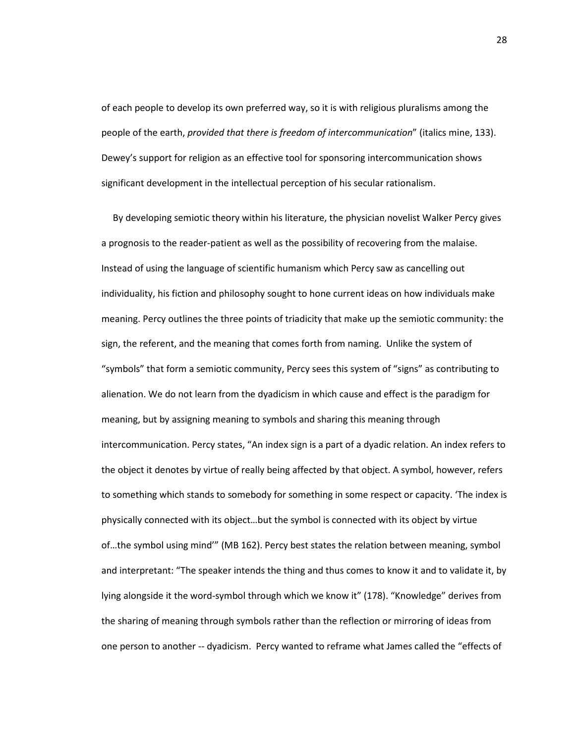of each people to develop its own preferred way, so it is with religious pluralisms among the people of the earth, *provided that there is freedom of intercommunication*" (italics mine, 133). Dewey's support for religion as an effective tool for sponsoring intercommunication shows significant development in the intellectual perception of his secular rationalism.

By developing semiotic theory within his literature, the physician novelist Walker Percy gives a prognosis to the reader-patient as well as the possibility of recovering from the malaise. Instead of using the language of scientific humanism which Percy saw as cancelling out individuality, his fiction and philosophy sought to hone current ideas on how individuals make meaning. Percy outlines the three points of triadicity that make up the semiotic community: the sign, the referent, and the meaning that comes forth from naming. Unlike the system of "symbols" that form a semiotic community, Percy sees this system of "signs" as contributing to alienation. We do not learn from the dyadicism in which cause and effect is the paradigm for meaning, but by assigning meaning to symbols and sharing this meaning through intercommunication. Percy states, "An index sign is a part of a dyadic relation. An index refers to the object it denotes by virtue of really being affected by that object. A symbol, however, refers to something which stands to somebody for something in some respect or capacity. 'The index is physically connected with its object…but the symbol is connected with its object by virtue of…the symbol using mind'" (MB 162). Percy best states the relation between meaning, symbol and interpretant: "The speaker intends the thing and thus comes to know it and to validate it, by lying alongside it the word-symbol through which we know it" (178). "Knowledge" derives from the sharing of meaning through symbols rather than the reflection or mirroring of ideas from one person to another -- dyadicism. Percy wanted to reframe what James called the "effects of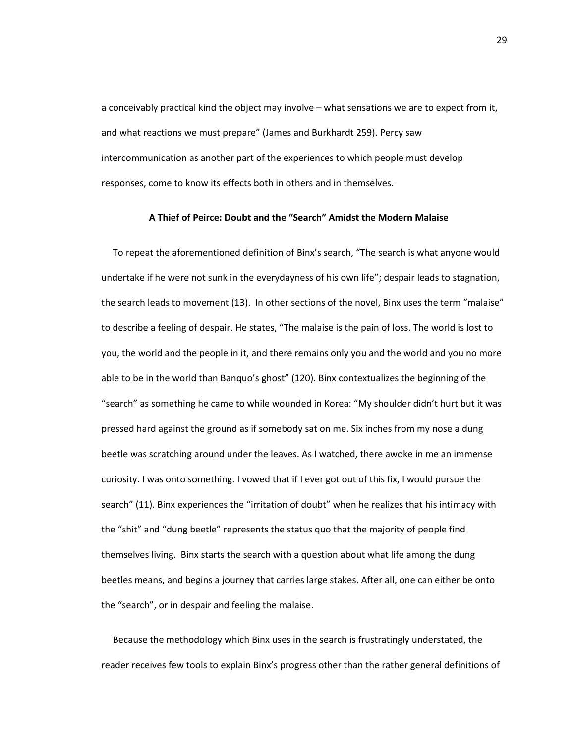a conceivably practical kind the object may involve – what sensations we are to expect from it, and what reactions we must prepare" (James and Burkhardt 259). Percy saw intercommunication as another part of the experiences to which people must develop responses, come to know its effects both in others and in themselves.

#### **A Thief of Peirce: Doubt and the "Search" Amidst the Modern Malaise**

To repeat the aforementioned definition of Binx's search, "The search is what anyone would undertake if he were not sunk in the everydayness of his own life"; despair leads to stagnation, the search leads to movement (13). In other sections of the novel, Binx uses the term "malaise" to describe a feeling of despair. He states, "The malaise is the pain of loss. The world is lost to you, the world and the people in it, and there remains only you and the world and you no more able to be in the world than Banquo's ghost" (120). Binx contextualizes the beginning of the "search" as something he came to while wounded in Korea: "My shoulder didn't hurt but it was pressed hard against the ground as if somebody sat on me. Six inches from my nose a dung beetle was scratching around under the leaves. As I watched, there awoke in me an immense curiosity. I was onto something. I vowed that if I ever got out of this fix, I would pursue the search" (11). Binx experiences the "irritation of doubt" when he realizes that his intimacy with the "shit" and "dung beetle" represents the status quo that the majority of people find themselves living. Binx starts the search with a question about what life among the dung beetles means, and begins a journey that carries large stakes. After all, one can either be onto the "search", or in despair and feeling the malaise.

Because the methodology which Binx uses in the search is frustratingly understated, the reader receives few tools to explain Binx's progress other than the rather general definitions of

29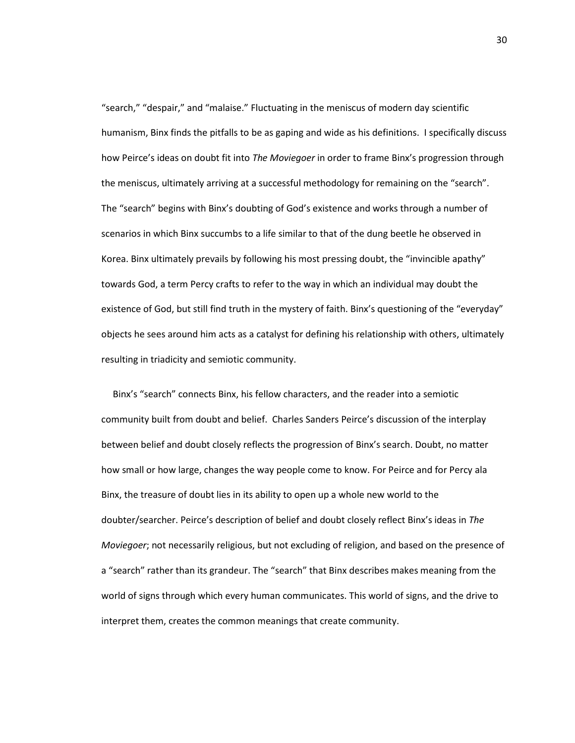"search," "despair," and "malaise." Fluctuating in the meniscus of modern day scientific humanism, Binx finds the pitfalls to be as gaping and wide as his definitions. I specifically discuss how Peirce's ideas on doubt fit into *The Moviegoer* in order to frame Binx's progression through the meniscus, ultimately arriving at a successful methodology for remaining on the "search". The "search" begins with Binx's doubting of God's existence and works through a number of scenarios in which Binx succumbs to a life similar to that of the dung beetle he observed in Korea. Binx ultimately prevails by following his most pressing doubt, the "invincible apathy" towards God, a term Percy crafts to refer to the way in which an individual may doubt the existence of God, but still find truth in the mystery of faith. Binx's questioning of the "everyday" objects he sees around him acts as a catalyst for defining his relationship with others, ultimately resulting in triadicity and semiotic community.

Binx's "search" connects Binx, his fellow characters, and the reader into a semiotic community built from doubt and belief. Charles Sanders Peirce's discussion of the interplay between belief and doubt closely reflects the progression of Binx's search. Doubt, no matter how small or how large, changes the way people come to know. For Peirce and for Percy ala Binx, the treasure of doubt lies in its ability to open up a whole new world to the doubter/searcher. Peirce's description of belief and doubt closely reflect Binx's ideas in *The Moviegoer*; not necessarily religious, but not excluding of religion, and based on the presence of a "search" rather than its grandeur. The "search" that Binx describes makes meaning from the world of signs through which every human communicates. This world of signs, and the drive to interpret them, creates the common meanings that create community.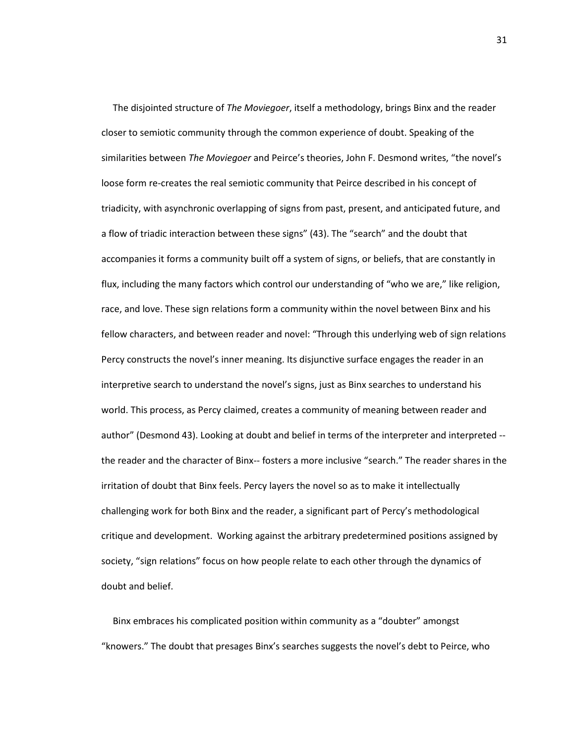The disjointed structure of *The Moviegoer*, itself a methodology, brings Binx and the reader closer to semiotic community through the common experience of doubt. Speaking of the similarities between *The Moviegoer* and Peirce's theories, John F. Desmond writes, "the novel's loose form re-creates the real semiotic community that Peirce described in his concept of triadicity, with asynchronic overlapping of signs from past, present, and anticipated future, and a flow of triadic interaction between these signs" (43). The "search" and the doubt that accompanies it forms a community built off a system of signs, or beliefs, that are constantly in flux, including the many factors which control our understanding of "who we are," like religion, race, and love. These sign relations form a community within the novel between Binx and his fellow characters, and between reader and novel: "Through this underlying web of sign relations Percy constructs the novel's inner meaning. Its disjunctive surface engages the reader in an interpretive search to understand the novel's signs, just as Binx searches to understand his world. This process, as Percy claimed, creates a community of meaning between reader and author" (Desmond 43). Looking at doubt and belief in terms of the interpreter and interpreted - the reader and the character of Binx-- fosters a more inclusive "search." The reader shares in the irritation of doubt that Binx feels. Percy layers the novel so as to make it intellectually challenging work for both Binx and the reader, a significant part of Percy's methodological critique and development. Working against the arbitrary predetermined positions assigned by society, "sign relations" focus on how people relate to each other through the dynamics of doubt and belief.

Binx embraces his complicated position within community as a "doubter" amongst "knowers." The doubt that presages Binx's searches suggests the novel's debt to Peirce, who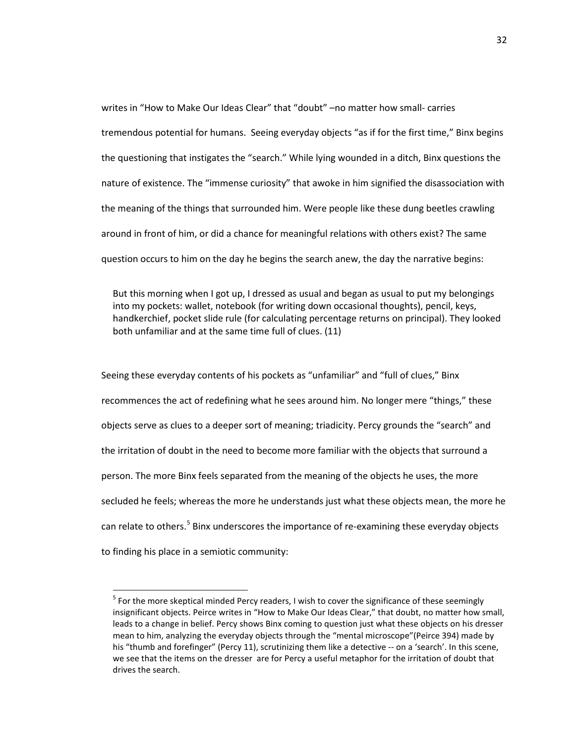writes in "How to Make Our Ideas Clear" that "doubt" –no matter how small- carries tremendous potential for humans. Seeing everyday objects "as if for the first time," Binx begins the questioning that instigates the "search." While lying wounded in a ditch, Binx questions the nature of existence. The "immense curiosity" that awoke in him signified the disassociation with the meaning of the things that surrounded him. Were people like these dung beetles crawling around in front of him, or did a chance for meaningful relations with others exist? The same question occurs to him on the day he begins the search anew, the day the narrative begins:

But this morning when I got up, I dressed as usual and began as usual to put my belongings into my pockets: wallet, notebook (for writing down occasional thoughts), pencil, keys, handkerchief, pocket slide rule (for calculating percentage returns on principal). They looked both unfamiliar and at the same time full of clues. (11)

Seeing these everyday contents of his pockets as "unfamiliar" and "full of clues," Binx recommences the act of redefining what he sees around him. No longer mere "things," these objects serve as clues to a deeper sort of meaning; triadicity. Percy grounds the "search" and the irritation of doubt in the need to become more familiar with the objects that surround a person. The more Binx feels separated from the meaning of the objects he uses, the more secluded he feels; whereas the more he understands just what these objects mean, the more he can relate to others.<sup>[5](#page-36-0)</sup> Binx underscores the importance of re-examining these everyday objects to finding his place in a semiotic community:

<span id="page-36-0"></span> $<sup>5</sup>$  For the more skeptical minded Percy readers, I wish to cover the significance of these seemingly</sup> insignificant objects. Peirce writes in "How to Make Our Ideas Clear," that doubt, no matter how small, leads to a change in belief. Percy shows Binx coming to question just what these objects on his dresser mean to him, analyzing the everyday objects through the "mental microscope"(Peirce 394) made by his "thumb and forefinger" (Percy 11), scrutinizing them like a detective -- on a 'search'. In this scene, we see that the items on the dresser are for Percy a useful metaphor for the irritation of doubt that drives the search.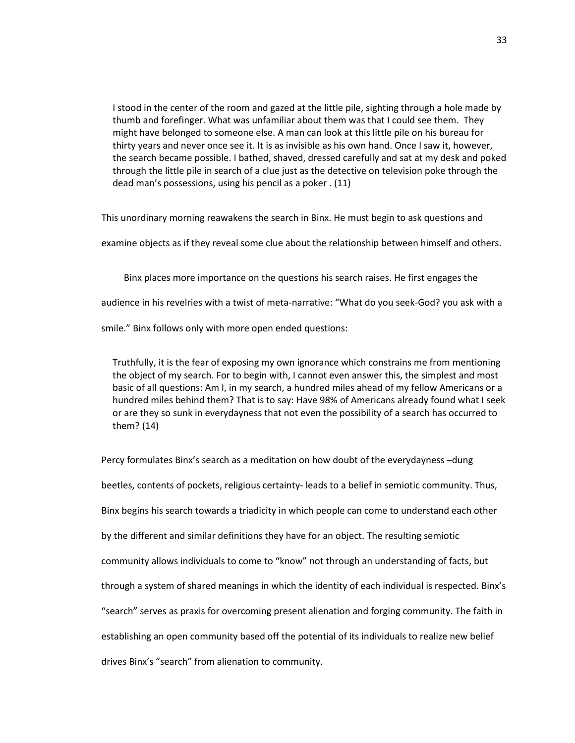I stood in the center of the room and gazed at the little pile, sighting through a hole made by thumb and forefinger. What was unfamiliar about them was that I could see them. They might have belonged to someone else. A man can look at this little pile on his bureau for thirty years and never once see it. It is as invisible as his own hand. Once I saw it, however, the search became possible. I bathed, shaved, dressed carefully and sat at my desk and poked through the little pile in search of a clue just as the detective on television poke through the dead man's possessions, using his pencil as a poker . (11)

This unordinary morning reawakens the search in Binx. He must begin to ask questions and

examine objects as if they reveal some clue about the relationship between himself and others.

Binx places more importance on the questions his search raises. He first engages the

audience in his revelries with a twist of meta-narrative: "What do you seek-God? you ask with a

smile." Binx follows only with more open ended questions:

Truthfully, it is the fear of exposing my own ignorance which constrains me from mentioning the object of my search. For to begin with, I cannot even answer this, the simplest and most basic of all questions: Am I, in my search, a hundred miles ahead of my fellow Americans or a hundred miles behind them? That is to say: Have 98% of Americans already found what I seek or are they so sunk in everydayness that not even the possibility of a search has occurred to them? (14)

Percy formulates Binx's search as a meditation on how doubt of the everydayness –dung beetles, contents of pockets, religious certainty- leads to a belief in semiotic community. Thus, Binx begins his search towards a triadicity in which people can come to understand each other by the different and similar definitions they have for an object. The resulting semiotic community allows individuals to come to "know" not through an understanding of facts, but through a system of shared meanings in which the identity of each individual is respected. Binx's "search" serves as praxis for overcoming present alienation and forging community. The faith in establishing an open community based off the potential of its individuals to realize new belief drives Binx's "search" from alienation to community.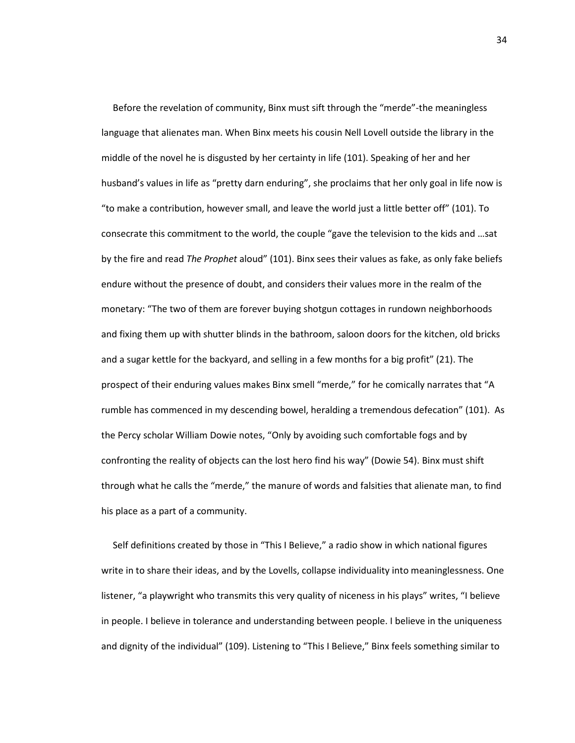Before the revelation of community, Binx must sift through the "merde"-the meaningless language that alienates man. When Binx meets his cousin Nell Lovell outside the library in the middle of the novel he is disgusted by her certainty in life (101). Speaking of her and her husband's values in life as "pretty darn enduring", she proclaims that her only goal in life now is "to make a contribution, however small, and leave the world just a little better off" (101). To consecrate this commitment to the world, the couple "gave the television to the kids and …sat by the fire and read *The Prophet* aloud" (101). Binx sees their values as fake, as only fake beliefs endure without the presence of doubt, and considers their values more in the realm of the monetary: "The two of them are forever buying shotgun cottages in rundown neighborhoods and fixing them up with shutter blinds in the bathroom, saloon doors for the kitchen, old bricks and a sugar kettle for the backyard, and selling in a few months for a big profit" (21). The prospect of their enduring values makes Binx smell "merde," for he comically narrates that "A rumble has commenced in my descending bowel, heralding a tremendous defecation" (101). As the Percy scholar William Dowie notes, "Only by avoiding such comfortable fogs and by confronting the reality of objects can the lost hero find his way" (Dowie 54). Binx must shift through what he calls the "merde," the manure of words and falsities that alienate man, to find his place as a part of a community.

Self definitions created by those in "This I Believe," a radio show in which national figures write in to share their ideas, and by the Lovells, collapse individuality into meaninglessness. One listener, "a playwright who transmits this very quality of niceness in his plays" writes, "I believe in people. I believe in tolerance and understanding between people. I believe in the uniqueness and dignity of the individual" (109). Listening to "This I Believe," Binx feels something similar to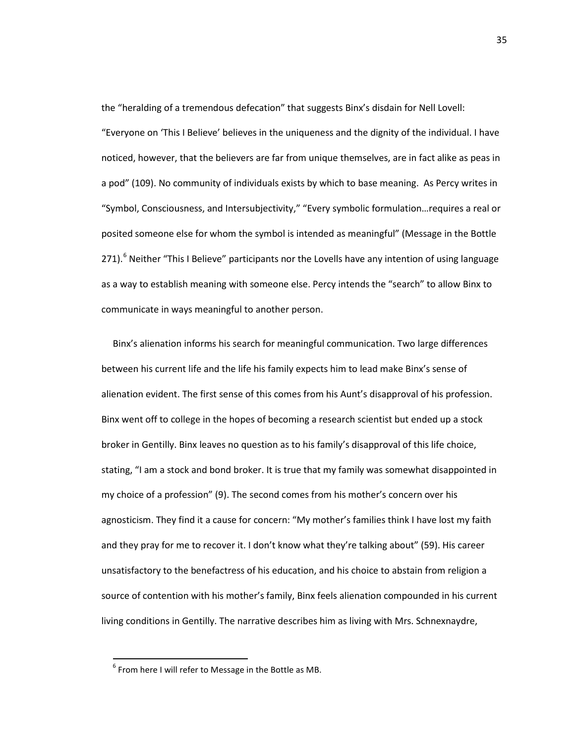the "heralding of a tremendous defecation" that suggests Binx's disdain for Nell Lovell:

"Everyone on 'This I Believe' believes in the uniqueness and the dignity of the individual. I have noticed, however, that the believers are far from unique themselves, are in fact alike as peas in a pod" (109). No community of individuals exists by which to base meaning. As Percy writes in "Symbol, Consciousness, and Intersubjectivity," "Every symbolic formulation…requires a real or posited someone else for whom the symbol is intended as meaningful" (Message in the Bottle 271).<sup>[6](#page-39-0)</sup> Neither "This I Believe" participants nor the Lovells have any intention of using language as a way to establish meaning with someone else. Percy intends the "search" to allow Binx to communicate in ways meaningful to another person.

Binx's alienation informs his search for meaningful communication. Two large differences between his current life and the life his family expects him to lead make Binx's sense of alienation evident. The first sense of this comes from his Aunt's disapproval of his profession. Binx went off to college in the hopes of becoming a research scientist but ended up a stock broker in Gentilly. Binx leaves no question as to his family's disapproval of this life choice, stating, "I am a stock and bond broker. It is true that my family was somewhat disappointed in my choice of a profession" (9). The second comes from his mother's concern over his agnosticism. They find it a cause for concern: "My mother's families think I have lost my faith and they pray for me to recover it. I don't know what they're talking about" (59). His career unsatisfactory to the benefactress of his education, and his choice to abstain from religion a source of contention with his mother's family, Binx feels alienation compounded in his current living conditions in Gentilly. The narrative describes him as living with Mrs. Schnexnaydre,

<span id="page-39-0"></span> $6$  From here I will refer to Message in the Bottle as MB.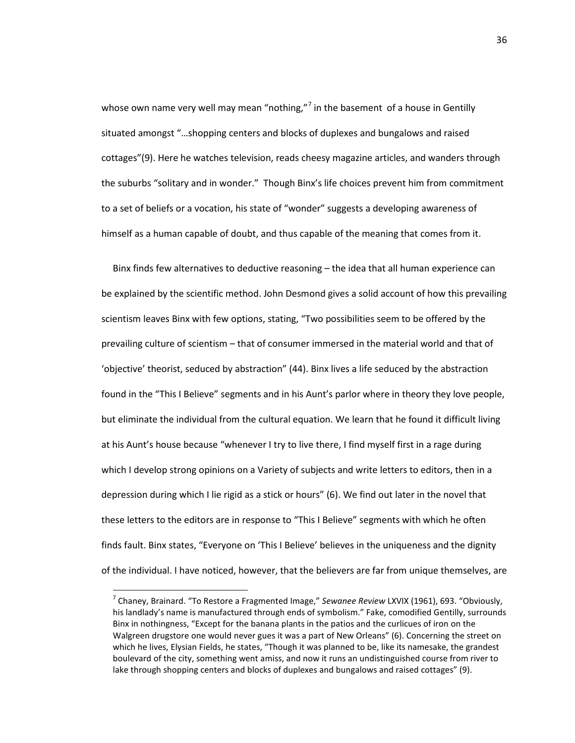whose own name very well may mean "nothing,"<sup>[7](#page-40-0)</sup> in the basement of a house in Gentilly situated amongst "…shopping centers and blocks of duplexes and bungalows and raised cottages"(9). Here he watches television, reads cheesy magazine articles, and wanders through the suburbs "solitary and in wonder." Though Binx's life choices prevent him from commitment to a set of beliefs or a vocation, his state of "wonder" suggests a developing awareness of himself as a human capable of doubt, and thus capable of the meaning that comes from it.

Binx finds few alternatives to deductive reasoning – the idea that all human experience can be explained by the scientific method. John Desmond gives a solid account of how this prevailing scientism leaves Binx with few options, stating, "Two possibilities seem to be offered by the prevailing culture of scientism – that of consumer immersed in the material world and that of 'objective' theorist, seduced by abstraction" (44). Binx lives a life seduced by the abstraction found in the "This I Believe" segments and in his Aunt's parlor where in theory they love people, but eliminate the individual from the cultural equation. We learn that he found it difficult living at his Aunt's house because "whenever I try to live there, I find myself first in a rage during which I develop strong opinions on a Variety of subjects and write letters to editors, then in a depression during which I lie rigid as a stick or hours" (6). We find out later in the novel that these letters to the editors are in response to "This I Believe" segments with which he often finds fault. Binx states, "Everyone on 'This I Believe' believes in the uniqueness and the dignity of the individual. I have noticed, however, that the believers are far from unique themselves, are

<span id="page-40-0"></span> <sup>7</sup> Chaney, Brainard. "To Restore a Fragmented Image," *Sewanee Review* LXVIX (1961), 693. "Obviously, his landlady's name is manufactured through ends of symbolism." Fake, comodified Gentilly, surrounds Binx in nothingness, "Except for the banana plants in the patios and the curlicues of iron on the Walgreen drugstore one would never gues it was a part of New Orleans" (6). Concerning the street on which he lives, Elysian Fields, he states, "Though it was planned to be, like its namesake, the grandest boulevard of the city, something went amiss, and now it runs an undistinguished course from river to lake through shopping centers and blocks of duplexes and bungalows and raised cottages" (9).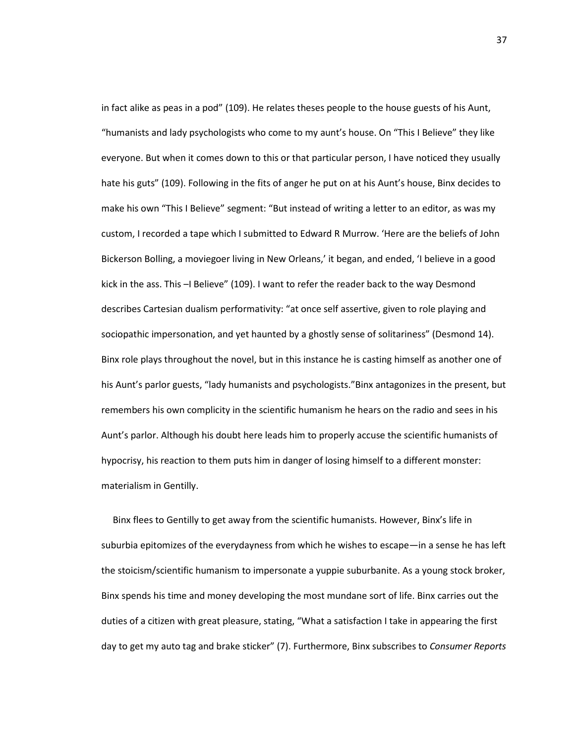in fact alike as peas in a pod" (109). He relates theses people to the house guests of his Aunt, "humanists and lady psychologists who come to my aunt's house. On "This I Believe" they like everyone. But when it comes down to this or that particular person, I have noticed they usually hate his guts" (109). Following in the fits of anger he put on at his Aunt's house, Binx decides to make his own "This I Believe" segment: "But instead of writing a letter to an editor, as was my custom, I recorded a tape which I submitted to Edward R Murrow. 'Here are the beliefs of John Bickerson Bolling, a moviegoer living in New Orleans,' it began, and ended, 'I believe in a good kick in the ass. This –I Believe" (109). I want to refer the reader back to the way Desmond describes Cartesian dualism performativity: "at once self assertive, given to role playing and sociopathic impersonation, and yet haunted by a ghostly sense of solitariness" (Desmond 14). Binx role plays throughout the novel, but in this instance he is casting himself as another one of his Aunt's parlor guests, "lady humanists and psychologists."Binx antagonizes in the present, but remembers his own complicity in the scientific humanism he hears on the radio and sees in his Aunt's parlor. Although his doubt here leads him to properly accuse the scientific humanists of hypocrisy, his reaction to them puts him in danger of losing himself to a different monster: materialism in Gentilly.

Binx flees to Gentilly to get away from the scientific humanists. However, Binx's life in suburbia epitomizes of the everydayness from which he wishes to escape—in a sense he has left the stoicism/scientific humanism to impersonate a yuppie suburbanite. As a young stock broker, Binx spends his time and money developing the most mundane sort of life. Binx carries out the duties of a citizen with great pleasure, stating, "What a satisfaction I take in appearing the first day to get my auto tag and brake sticker" (7). Furthermore, Binx subscribes to *Consumer Reports*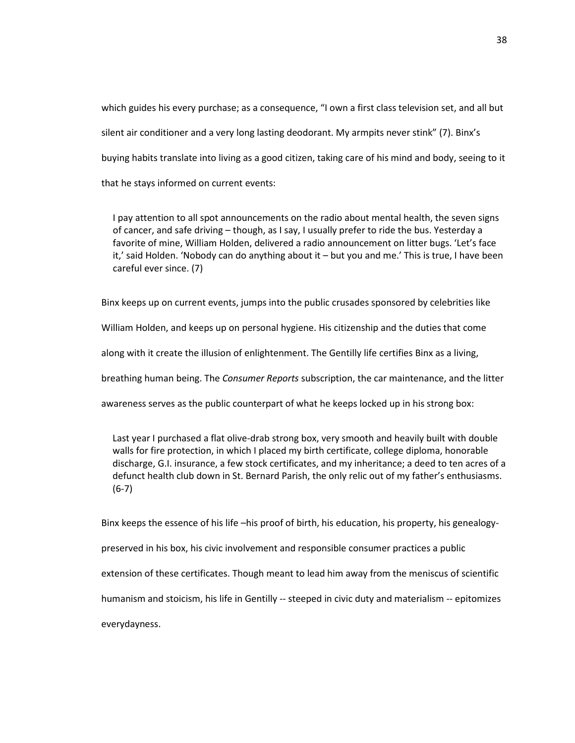which guides his every purchase; as a consequence, "I own a first class television set, and all but silent air conditioner and a very long lasting deodorant. My armpits never stink" (7). Binx's buying habits translate into living as a good citizen, taking care of his mind and body, seeing to it that he stays informed on current events:

I pay attention to all spot announcements on the radio about mental health, the seven signs of cancer, and safe driving – though, as I say, I usually prefer to ride the bus. Yesterday a favorite of mine, William Holden, delivered a radio announcement on litter bugs. 'Let's face it,' said Holden. 'Nobody can do anything about it – but you and me.' This is true, I have been careful ever since. (7)

Binx keeps up on current events, jumps into the public crusades sponsored by celebrities like

William Holden, and keeps up on personal hygiene. His citizenship and the duties that come

along with it create the illusion of enlightenment. The Gentilly life certifies Binx as a living,

breathing human being. The *Consumer Reports* subscription, the car maintenance, and the litter

awareness serves as the public counterpart of what he keeps locked up in his strong box:

Last year I purchased a flat olive-drab strong box, very smooth and heavily built with double walls for fire protection, in which I placed my birth certificate, college diploma, honorable discharge, G.I. insurance, a few stock certificates, and my inheritance; a deed to ten acres of a defunct health club down in St. Bernard Parish, the only relic out of my father's enthusiasms. (6-7)

Binx keeps the essence of his life –his proof of birth, his education, his property, his genealogy-

preserved in his box, his civic involvement and responsible consumer practices a public

extension of these certificates. Though meant to lead him away from the meniscus of scientific

humanism and stoicism, his life in Gentilly -- steeped in civic duty and materialism -- epitomizes

everydayness.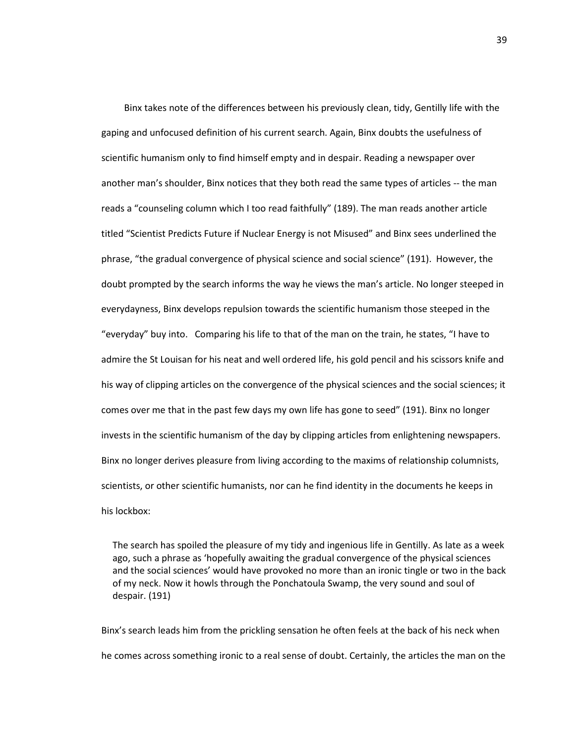Binx takes note of the differences between his previously clean, tidy, Gentilly life with the gaping and unfocused definition of his current search. Again, Binx doubts the usefulness of scientific humanism only to find himself empty and in despair. Reading a newspaper over another man's shoulder, Binx notices that they both read the same types of articles -- the man reads a "counseling column which I too read faithfully" (189). The man reads another article titled "Scientist Predicts Future if Nuclear Energy is not Misused" and Binx sees underlined the phrase, "the gradual convergence of physical science and social science" (191). However, the doubt prompted by the search informs the way he views the man's article. No longer steeped in everydayness, Binx develops repulsion towards the scientific humanism those steeped in the "everyday" buy into. Comparing his life to that of the man on the train, he states, "I have to admire the St Louisan for his neat and well ordered life, his gold pencil and his scissors knife and his way of clipping articles on the convergence of the physical sciences and the social sciences; it comes over me that in the past few days my own life has gone to seed" (191). Binx no longer invests in the scientific humanism of the day by clipping articles from enlightening newspapers. Binx no longer derives pleasure from living according to the maxims of relationship columnists, scientists, or other scientific humanists, nor can he find identity in the documents he keeps in his lockbox:

The search has spoiled the pleasure of my tidy and ingenious life in Gentilly. As late as a week ago, such a phrase as 'hopefully awaiting the gradual convergence of the physical sciences and the social sciences' would have provoked no more than an ironic tingle or two in the back of my neck. Now it howls through the Ponchatoula Swamp, the very sound and soul of despair. (191)

Binx's search leads him from the prickling sensation he often feels at the back of his neck when he comes across something ironic to a real sense of doubt. Certainly, the articles the man on the

39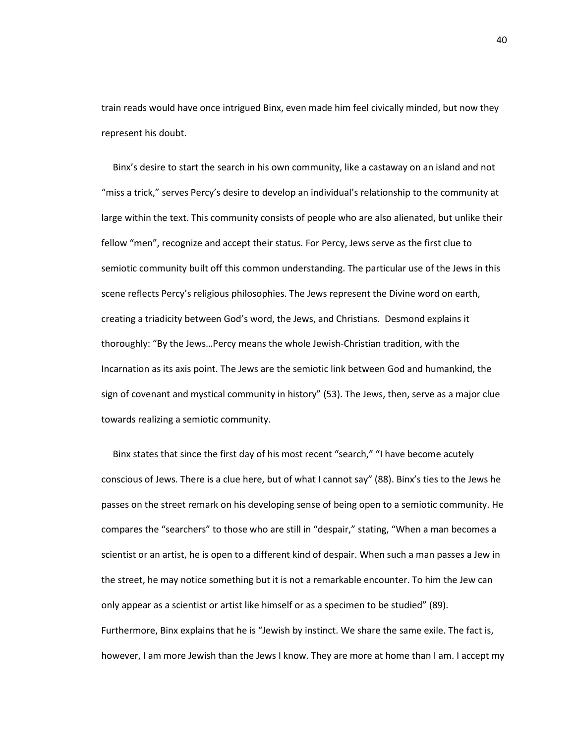train reads would have once intrigued Binx, even made him feel civically minded, but now they represent his doubt.

Binx's desire to start the search in his own community, like a castaway on an island and not "miss a trick," serves Percy's desire to develop an individual's relationship to the community at large within the text. This community consists of people who are also alienated, but unlike their fellow "men", recognize and accept their status. For Percy, Jews serve as the first clue to semiotic community built off this common understanding. The particular use of the Jews in this scene reflects Percy's religious philosophies. The Jews represent the Divine word on earth, creating a triadicity between God's word, the Jews, and Christians. Desmond explains it thoroughly: "By the Jews…Percy means the whole Jewish-Christian tradition, with the Incarnation as its axis point. The Jews are the semiotic link between God and humankind, the sign of covenant and mystical community in history" (53). The Jews, then, serve as a major clue towards realizing a semiotic community.

Binx states that since the first day of his most recent "search," "I have become acutely conscious of Jews. There is a clue here, but of what I cannot say" (88). Binx's ties to the Jews he passes on the street remark on his developing sense of being open to a semiotic community. He compares the "searchers" to those who are still in "despair," stating, "When a man becomes a scientist or an artist, he is open to a different kind of despair. When such a man passes a Jew in the street, he may notice something but it is not a remarkable encounter. To him the Jew can only appear as a scientist or artist like himself or as a specimen to be studied" (89). Furthermore, Binx explains that he is "Jewish by instinct. We share the same exile. The fact is, however, I am more Jewish than the Jews I know. They are more at home than I am. I accept my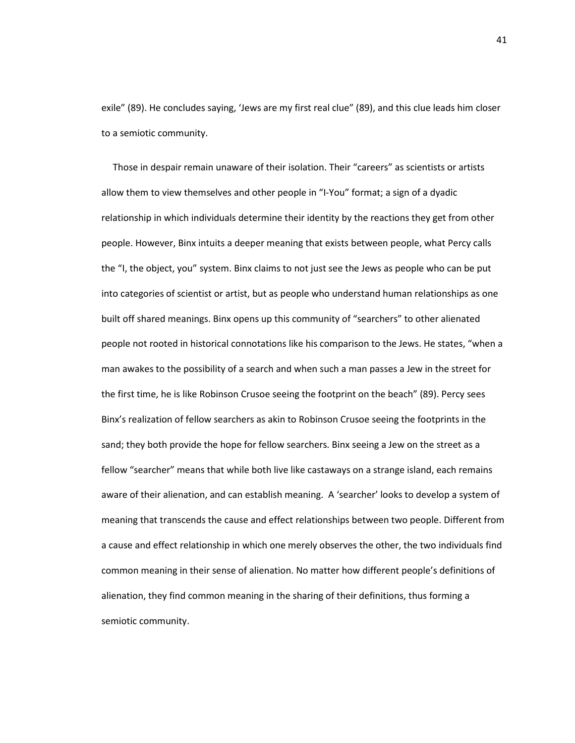exile" (89). He concludes saying, 'Jews are my first real clue" (89), and this clue leads him closer to a semiotic community.

Those in despair remain unaware of their isolation. Their "careers" as scientists or artists allow them to view themselves and other people in "I-You" format; a sign of a dyadic relationship in which individuals determine their identity by the reactions they get from other people. However, Binx intuits a deeper meaning that exists between people, what Percy calls the "I, the object, you" system. Binx claims to not just see the Jews as people who can be put into categories of scientist or artist, but as people who understand human relationships as one built off shared meanings. Binx opens up this community of "searchers" to other alienated people not rooted in historical connotations like his comparison to the Jews. He states, "when a man awakes to the possibility of a search and when such a man passes a Jew in the street for the first time, he is like Robinson Crusoe seeing the footprint on the beach" (89). Percy sees Binx's realization of fellow searchers as akin to Robinson Crusoe seeing the footprints in the sand; they both provide the hope for fellow searchers. Binx seeing a Jew on the street as a fellow "searcher" means that while both live like castaways on a strange island, each remains aware of their alienation, and can establish meaning. A 'searcher' looks to develop a system of meaning that transcends the cause and effect relationships between two people. Different from a cause and effect relationship in which one merely observes the other, the two individuals find common meaning in their sense of alienation. No matter how different people's definitions of alienation, they find common meaning in the sharing of their definitions, thus forming a semiotic community.

41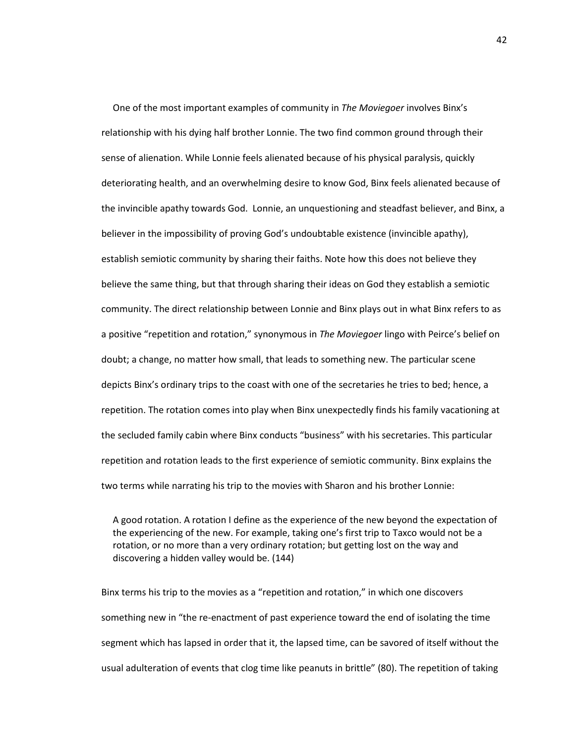One of the most important examples of community in *The Moviegoer* involves Binx's relationship with his dying half brother Lonnie. The two find common ground through their sense of alienation. While Lonnie feels alienated because of his physical paralysis, quickly deteriorating health, and an overwhelming desire to know God, Binx feels alienated because of the invincible apathy towards God. Lonnie, an unquestioning and steadfast believer, and Binx, a believer in the impossibility of proving God's undoubtable existence (invincible apathy), establish semiotic community by sharing their faiths. Note how this does not believe they believe the same thing, but that through sharing their ideas on God they establish a semiotic community. The direct relationship between Lonnie and Binx plays out in what Binx refers to as a positive "repetition and rotation," synonymous in *The Moviegoer* lingo with Peirce's belief on doubt; a change, no matter how small, that leads to something new. The particular scene depicts Binx's ordinary trips to the coast with one of the secretaries he tries to bed; hence, a repetition. The rotation comes into play when Binx unexpectedly finds his family vacationing at the secluded family cabin where Binx conducts "business" with his secretaries. This particular repetition and rotation leads to the first experience of semiotic community. Binx explains the two terms while narrating his trip to the movies with Sharon and his brother Lonnie:

A good rotation. A rotation I define as the experience of the new beyond the expectation of the experiencing of the new. For example, taking one's first trip to Taxco would not be a rotation, or no more than a very ordinary rotation; but getting lost on the way and discovering a hidden valley would be. (144)

Binx terms his trip to the movies as a "repetition and rotation," in which one discovers something new in "the re-enactment of past experience toward the end of isolating the time segment which has lapsed in order that it, the lapsed time, can be savored of itself without the usual adulteration of events that clog time like peanuts in brittle" (80). The repetition of taking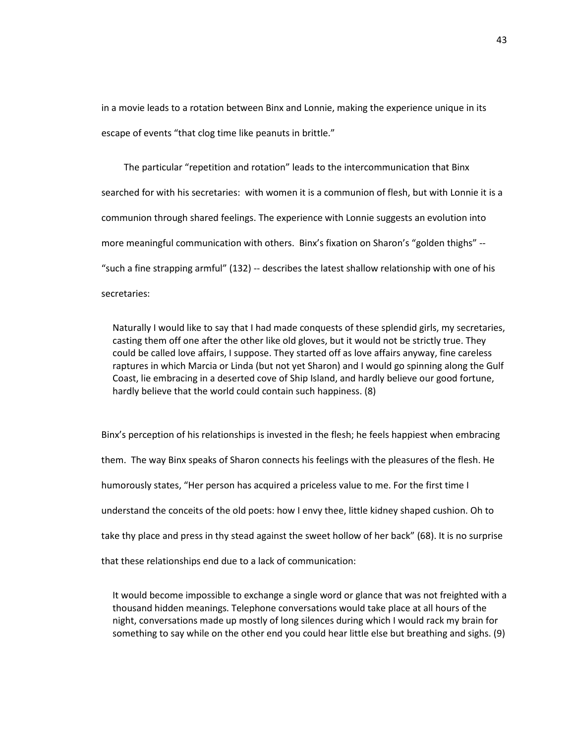in a movie leads to a rotation between Binx and Lonnie, making the experience unique in its escape of events "that clog time like peanuts in brittle."

The particular "repetition and rotation" leads to the intercommunication that Binx searched for with his secretaries: with women it is a communion of flesh, but with Lonnie it is a communion through shared feelings. The experience with Lonnie suggests an evolution into more meaningful communication with others. Binx's fixation on Sharon's "golden thighs" -- "such a fine strapping armful" (132) -- describes the latest shallow relationship with one of his secretaries:

Naturally I would like to say that I had made conquests of these splendid girls, my secretaries, casting them off one after the other like old gloves, but it would not be strictly true. They could be called love affairs, I suppose. They started off as love affairs anyway, fine careless raptures in which Marcia or Linda (but not yet Sharon) and I would go spinning along the Gulf Coast, lie embracing in a deserted cove of Ship Island, and hardly believe our good fortune, hardly believe that the world could contain such happiness. (8)

Binx's perception of his relationships is invested in the flesh; he feels happiest when embracing them. The way Binx speaks of Sharon connects his feelings with the pleasures of the flesh. He humorously states, "Her person has acquired a priceless value to me. For the first time I understand the conceits of the old poets: how I envy thee, little kidney shaped cushion. Oh to take thy place and press in thy stead against the sweet hollow of her back" (68). It is no surprise that these relationships end due to a lack of communication:

It would become impossible to exchange a single word or glance that was not freighted with a thousand hidden meanings. Telephone conversations would take place at all hours of the night, conversations made up mostly of long silences during which I would rack my brain for something to say while on the other end you could hear little else but breathing and sighs. (9)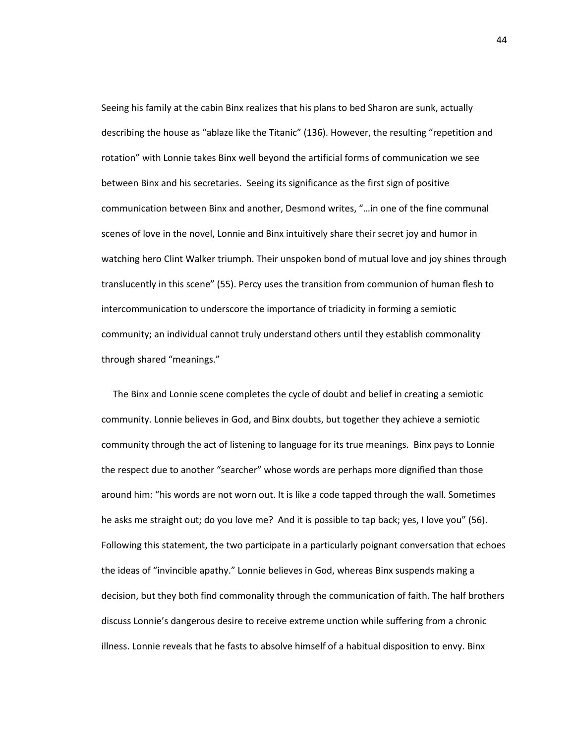Seeing his family at the cabin Binx realizes that his plans to bed Sharon are sunk, actually describing the house as "ablaze like the Titanic" (136). However, the resulting "repetition and rotation" with Lonnie takes Binx well beyond the artificial forms of communication we see between Binx and his secretaries. Seeing its significance as the first sign of positive communication between Binx and another, Desmond writes, "…in one of the fine communal scenes of love in the novel, Lonnie and Binx intuitively share their secret joy and humor in watching hero Clint Walker triumph. Their unspoken bond of mutual love and joy shines through translucently in this scene" (55). Percy uses the transition from communion of human flesh to intercommunication to underscore the importance of triadicity in forming a semiotic community; an individual cannot truly understand others until they establish commonality through shared "meanings."

The Binx and Lonnie scene completes the cycle of doubt and belief in creating a semiotic community. Lonnie believes in God, and Binx doubts, but together they achieve a semiotic community through the act of listening to language for its true meanings. Binx pays to Lonnie the respect due to another "searcher" whose words are perhaps more dignified than those around him: "his words are not worn out. It is like a code tapped through the wall. Sometimes he asks me straight out; do you love me? And it is possible to tap back; yes, I love you" (56). Following this statement, the two participate in a particularly poignant conversation that echoes the ideas of "invincible apathy." Lonnie believes in God, whereas Binx suspends making a decision, but they both find commonality through the communication of faith. The half brothers discuss Lonnie's dangerous desire to receive extreme unction while suffering from a chronic illness. Lonnie reveals that he fasts to absolve himself of a habitual disposition to envy. Binx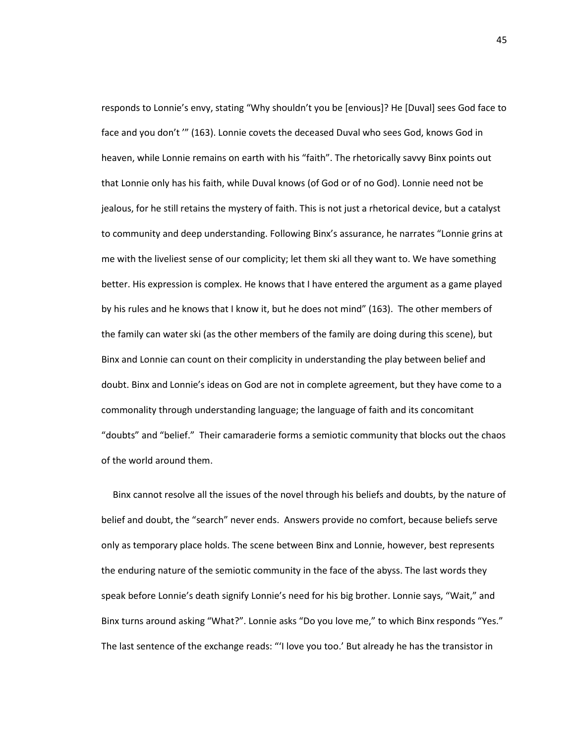responds to Lonnie's envy, stating "Why shouldn't you be [envious]? He [Duval] sees God face to face and you don't '" (163). Lonnie covets the deceased Duval who sees God, knows God in heaven, while Lonnie remains on earth with his "faith". The rhetorically savvy Binx points out that Lonnie only has his faith, while Duval knows (of God or of no God). Lonnie need not be jealous, for he still retains the mystery of faith. This is not just a rhetorical device, but a catalyst to community and deep understanding. Following Binx's assurance, he narrates "Lonnie grins at me with the liveliest sense of our complicity; let them ski all they want to. We have something better. His expression is complex. He knows that I have entered the argument as a game played by his rules and he knows that I know it, but he does not mind" (163). The other members of the family can water ski (as the other members of the family are doing during this scene), but Binx and Lonnie can count on their complicity in understanding the play between belief and doubt. Binx and Lonnie's ideas on God are not in complete agreement, but they have come to a commonality through understanding language; the language of faith and its concomitant "doubts" and "belief." Their camaraderie forms a semiotic community that blocks out the chaos of the world around them.

Binx cannot resolve all the issues of the novel through his beliefs and doubts, by the nature of belief and doubt, the "search" never ends. Answers provide no comfort, because beliefs serve only as temporary place holds. The scene between Binx and Lonnie, however, best represents the enduring nature of the semiotic community in the face of the abyss. The last words they speak before Lonnie's death signify Lonnie's need for his big brother. Lonnie says, "Wait," and Binx turns around asking "What?". Lonnie asks "Do you love me," to which Binx responds "Yes." The last sentence of the exchange reads: "'I love you too.' But already he has the transistor in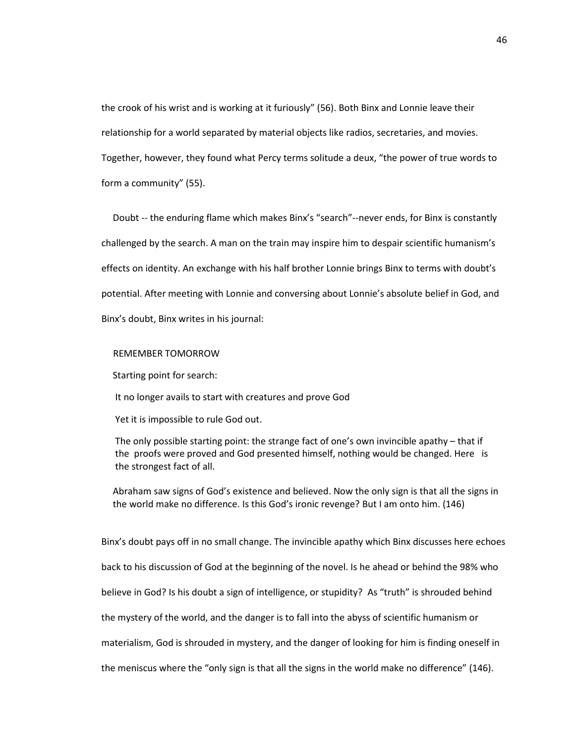the crook of his wrist and is working at it furiously" (56). Both Binx and Lonnie leave their relationship for a world separated by material objects like radios, secretaries, and movies. Together, however, they found what Percy terms solitude a deux, "the power of true words to form a community" (55).

Doubt -- the enduring flame which makes Binx's "search"--never ends, for Binx is constantly challenged by the search. A man on the train may inspire him to despair scientific humanism's effects on identity. An exchange with his half brother Lonnie brings Binx to terms with doubt's potential. After meeting with Lonnie and conversing about Lonnie's absolute belief in God, and Binx's doubt, Binx writes in his journal:

## REMEMBER TOMORROW

Starting point for search:

It no longer avails to start with creatures and prove God

Yet it is impossible to rule God out.

The only possible starting point: the strange fact of one's own invincible apathy – that if the proofs were proved and God presented himself, nothing would be changed. Here is the strongest fact of all.

Abraham saw signs of God's existence and believed. Now the only sign is that all the signs in the world make no difference. Is this God's ironic revenge? But I am onto him. (146)

Binx's doubt pays off in no small change. The invincible apathy which Binx discusses here echoes back to his discussion of God at the beginning of the novel. Is he ahead or behind the 98% who believe in God? Is his doubt a sign of intelligence, or stupidity? As "truth" is shrouded behind the mystery of the world, and the danger is to fall into the abyss of scientific humanism or materialism, God is shrouded in mystery, and the danger of looking for him is finding oneself in the meniscus where the "only sign is that all the signs in the world make no difference" (146).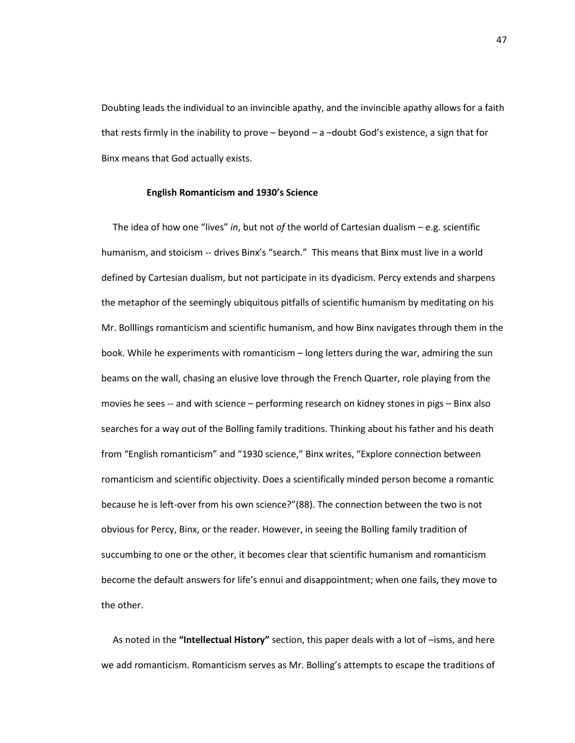Doubting leads the individual to an invincible apathy, and the invincible apathy allows for a faith that rests firmly in the inability to prove – beyond – a –doubt God's existence, a sign that for Binx means that God actually exists.

## **English Romanticism and 1930's Science**

The idea of how one "lives" *in*, but not *of* the world of Cartesian dualism – e.g. scientific humanism, and stoicism -- drives Binx's "search." This means that Binx must live in a world defined by Cartesian dualism, but not participate in its dyadicism. Percy extends and sharpens the metaphor of the seemingly ubiquitous pitfalls of scientific humanism by meditating on his Mr. Bolllings romanticism and scientific humanism, and how Binx navigates through them in the book. While he experiments with romanticism – long letters during the war, admiring the sun beams on the wall, chasing an elusive love through the French Quarter, role playing from the movies he sees -- and with science – performing research on kidney stones in pigs – Binx also searches for a way out of the Bolling family traditions. Thinking about his father and his death from "English romanticism" and "1930 science," Binx writes, "Explore connection between romanticism and scientific objectivity. Does a scientifically minded person become a romantic because he is left-over from his own science?"(88). The connection between the two is not obvious for Percy, Binx, or the reader. However, in seeing the Bolling family tradition of succumbing to one or the other, it becomes clear that scientific humanism and romanticism become the default answers for life's ennui and disappointment; when one fails, they move to the other.

As noted in the **"Intellectual History"** section, this paper deals with a lot of –isms, and here we add romanticism. Romanticism serves as Mr. Bolling's attempts to escape the traditions of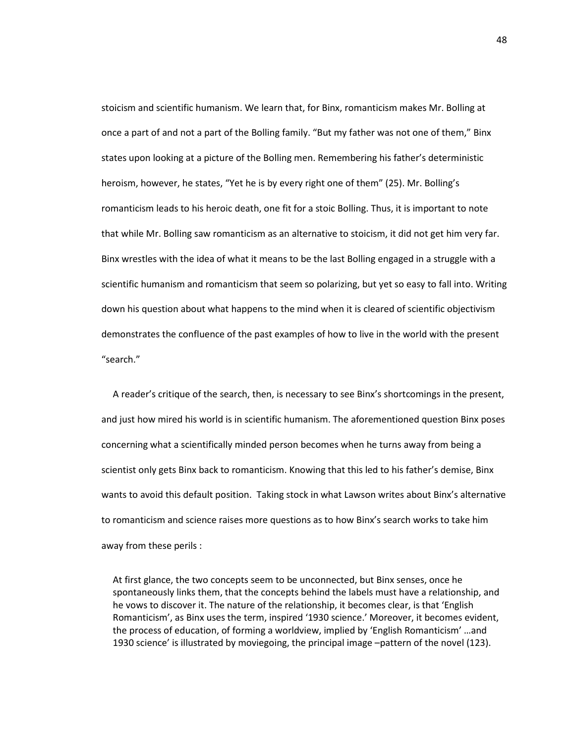stoicism and scientific humanism. We learn that, for Binx, romanticism makes Mr. Bolling at once a part of and not a part of the Bolling family. "But my father was not one of them," Binx states upon looking at a picture of the Bolling men. Remembering his father's deterministic heroism, however, he states, "Yet he is by every right one of them" (25). Mr. Bolling's romanticism leads to his heroic death, one fit for a stoic Bolling. Thus, it is important to note that while Mr. Bolling saw romanticism as an alternative to stoicism, it did not get him very far. Binx wrestles with the idea of what it means to be the last Bolling engaged in a struggle with a scientific humanism and romanticism that seem so polarizing, but yet so easy to fall into. Writing down his question about what happens to the mind when it is cleared of scientific objectivism demonstrates the confluence of the past examples of how to live in the world with the present "search."

A reader's critique of the search, then, is necessary to see Binx's shortcomings in the present, and just how mired his world is in scientific humanism. The aforementioned question Binx poses concerning what a scientifically minded person becomes when he turns away from being a scientist only gets Binx back to romanticism. Knowing that this led to his father's demise, Binx wants to avoid this default position. Taking stock in what Lawson writes about Binx's alternative to romanticism and science raises more questions as to how Binx's search works to take him away from these perils :

At first glance, the two concepts seem to be unconnected, but Binx senses, once he spontaneously links them, that the concepts behind the labels must have a relationship, and he vows to discover it. The nature of the relationship, it becomes clear, is that 'English Romanticism', as Binx uses the term, inspired '1930 science.' Moreover, it becomes evident, the process of education, of forming a worldview, implied by 'English Romanticism' …and 1930 science' is illustrated by moviegoing, the principal image –pattern of the novel (123).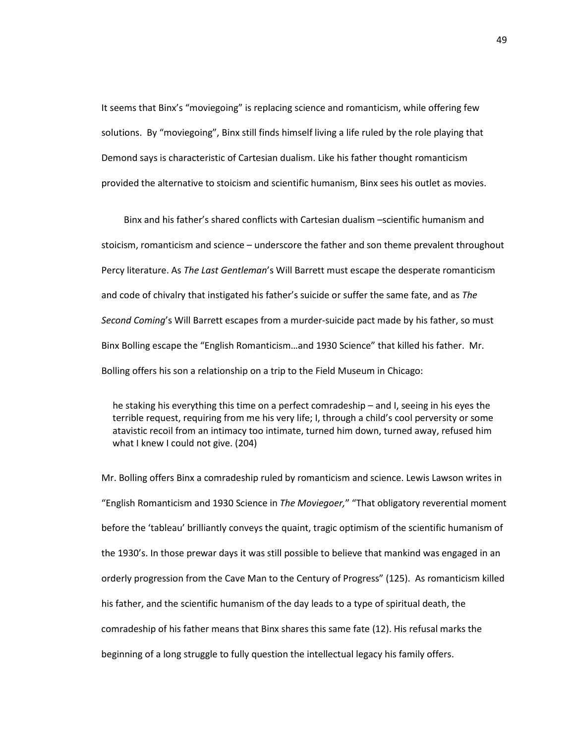It seems that Binx's "moviegoing" is replacing science and romanticism, while offering few solutions. By "moviegoing", Binx still finds himself living a life ruled by the role playing that Demond says is characteristic of Cartesian dualism. Like his father thought romanticism provided the alternative to stoicism and scientific humanism, Binx sees his outlet as movies.

Binx and his father's shared conflicts with Cartesian dualism –scientific humanism and stoicism, romanticism and science – underscore the father and son theme prevalent throughout Percy literature. As *The Last Gentleman*'s Will Barrett must escape the desperate romanticism and code of chivalry that instigated his father's suicide or suffer the same fate, and as *The Second Coming*'s Will Barrett escapes from a murder-suicide pact made by his father, so must Binx Bolling escape the "English Romanticism…and 1930 Science" that killed his father. Mr. Bolling offers his son a relationship on a trip to the Field Museum in Chicago:

he staking his everything this time on a perfect comradeship – and I, seeing in his eyes the terrible request, requiring from me his very life; I, through a child's cool perversity or some atavistic recoil from an intimacy too intimate, turned him down, turned away, refused him what I knew I could not give. (204)

Mr. Bolling offers Binx a comradeship ruled by romanticism and science. Lewis Lawson writes in "English Romanticism and 1930 Science in *The Moviegoer,*" "That obligatory reverential moment before the 'tableau' brilliantly conveys the quaint, tragic optimism of the scientific humanism of the 1930's. In those prewar days it was still possible to believe that mankind was engaged in an orderly progression from the Cave Man to the Century of Progress" (125). As romanticism killed his father, and the scientific humanism of the day leads to a type of spiritual death, the comradeship of his father means that Binx shares this same fate (12). His refusal marks the beginning of a long struggle to fully question the intellectual legacy his family offers.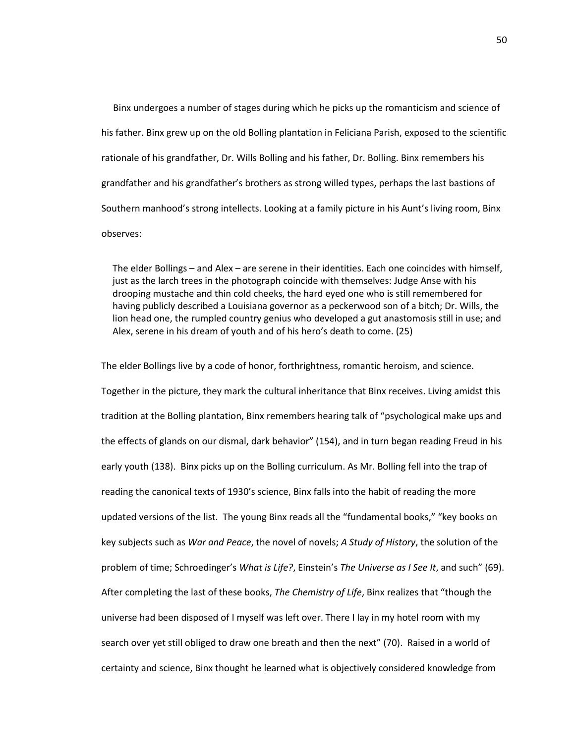Binx undergoes a number of stages during which he picks up the romanticism and science of his father. Binx grew up on the old Bolling plantation in Feliciana Parish, exposed to the scientific rationale of his grandfather, Dr. Wills Bolling and his father, Dr. Bolling. Binx remembers his grandfather and his grandfather's brothers as strong willed types, perhaps the last bastions of Southern manhood's strong intellects. Looking at a family picture in his Aunt's living room, Binx observes:

The elder Bollings – and Alex – are serene in their identities. Each one coincides with himself, just as the larch trees in the photograph coincide with themselves: Judge Anse with his drooping mustache and thin cold cheeks, the hard eyed one who is still remembered for having publicly described a Louisiana governor as a peckerwood son of a bitch; Dr. Wills, the lion head one, the rumpled country genius who developed a gut anastomosis still in use; and Alex, serene in his dream of youth and of his hero's death to come. (25)

The elder Bollings live by a code of honor, forthrightness, romantic heroism, and science. Together in the picture, they mark the cultural inheritance that Binx receives. Living amidst this tradition at the Bolling plantation, Binx remembers hearing talk of "psychological make ups and the effects of glands on our dismal, dark behavior" (154), and in turn began reading Freud in his early youth (138). Binx picks up on the Bolling curriculum. As Mr. Bolling fell into the trap of reading the canonical texts of 1930's science, Binx falls into the habit of reading the more updated versions of the list. The young Binx reads all the "fundamental books," "key books on key subjects such as *War and Peace*, the novel of novels; *A Study of History*, the solution of the problem of time; Schroedinger's *What is Life?*, Einstein's *The Universe as I See It*, and such" (69). After completing the last of these books, *The Chemistry of Life*, Binx realizes that "though the universe had been disposed of I myself was left over. There I lay in my hotel room with my search over yet still obliged to draw one breath and then the next" (70). Raised in a world of certainty and science, Binx thought he learned what is objectively considered knowledge from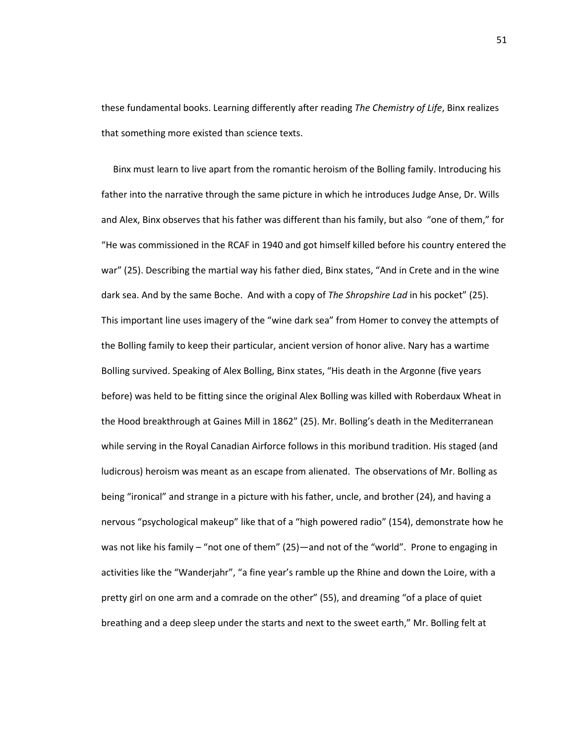these fundamental books. Learning differently after reading *The Chemistry of Life*, Binx realizes that something more existed than science texts.

 Binx must learn to live apart from the romantic heroism of the Bolling family. Introducing his father into the narrative through the same picture in which he introduces Judge Anse, Dr. Wills and Alex, Binx observes that his father was different than his family, but also "one of them," for "He was commissioned in the RCAF in 1940 and got himself killed before his country entered the war" (25). Describing the martial way his father died, Binx states, "And in Crete and in the wine dark sea. And by the same Boche. And with a copy of *The Shropshire Lad* in his pocket" (25). This important line uses imagery of the "wine dark sea" from Homer to convey the attempts of the Bolling family to keep their particular, ancient version of honor alive. Nary has a wartime Bolling survived. Speaking of Alex Bolling, Binx states, "His death in the Argonne (five years before) was held to be fitting since the original Alex Bolling was killed with Roberdaux Wheat in the Hood breakthrough at Gaines Mill in 1862" (25). Mr. Bolling's death in the Mediterranean while serving in the Royal Canadian Airforce follows in this moribund tradition. His staged (and ludicrous) heroism was meant as an escape from alienated. The observations of Mr. Bolling as being "ironical" and strange in a picture with his father, uncle, and brother (24), and having a nervous "psychological makeup" like that of a "high powered radio" (154), demonstrate how he was not like his family – "not one of them" (25)—and not of the "world". Prone to engaging in activities like the "Wanderjahr", "a fine year's ramble up the Rhine and down the Loire, with a pretty girl on one arm and a comrade on the other" (55), and dreaming "of a place of quiet breathing and a deep sleep under the starts and next to the sweet earth," Mr. Bolling felt at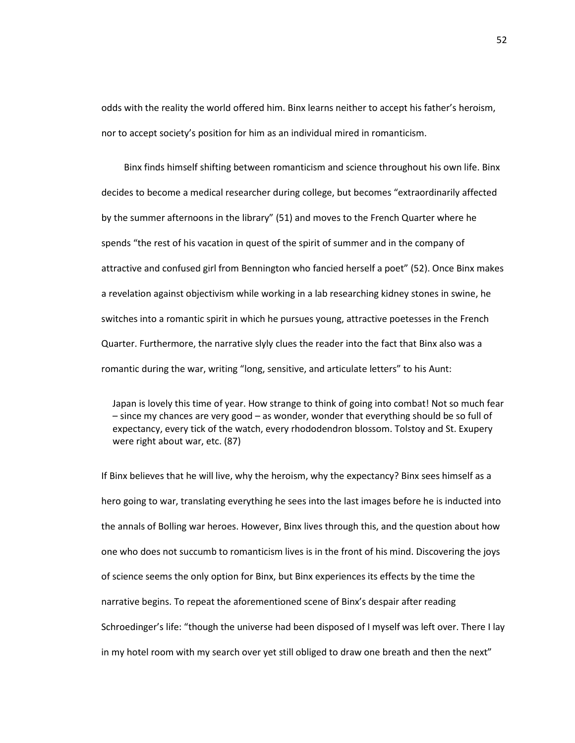odds with the reality the world offered him. Binx learns neither to accept his father's heroism, nor to accept society's position for him as an individual mired in romanticism.

Binx finds himself shifting between romanticism and science throughout his own life. Binx decides to become a medical researcher during college, but becomes "extraordinarily affected by the summer afternoons in the library" (51) and moves to the French Quarter where he spends "the rest of his vacation in quest of the spirit of summer and in the company of attractive and confused girl from Bennington who fancied herself a poet" (52). Once Binx makes a revelation against objectivism while working in a lab researching kidney stones in swine, he switches into a romantic spirit in which he pursues young, attractive poetesses in the French Quarter. Furthermore, the narrative slyly clues the reader into the fact that Binx also was a romantic during the war, writing "long, sensitive, and articulate letters" to his Aunt:

Japan is lovely this time of year. How strange to think of going into combat! Not so much fear – since my chances are very good – as wonder, wonder that everything should be so full of expectancy, every tick of the watch, every rhododendron blossom. Tolstoy and St. Exupery were right about war, etc. (87)

If Binx believes that he will live, why the heroism, why the expectancy? Binx sees himself as a hero going to war, translating everything he sees into the last images before he is inducted into the annals of Bolling war heroes. However, Binx lives through this, and the question about how one who does not succumb to romanticism lives is in the front of his mind. Discovering the joys of science seems the only option for Binx, but Binx experiences its effects by the time the narrative begins. To repeat the aforementioned scene of Binx's despair after reading Schroedinger's life: "though the universe had been disposed of I myself was left over. There I lay in my hotel room with my search over yet still obliged to draw one breath and then the next"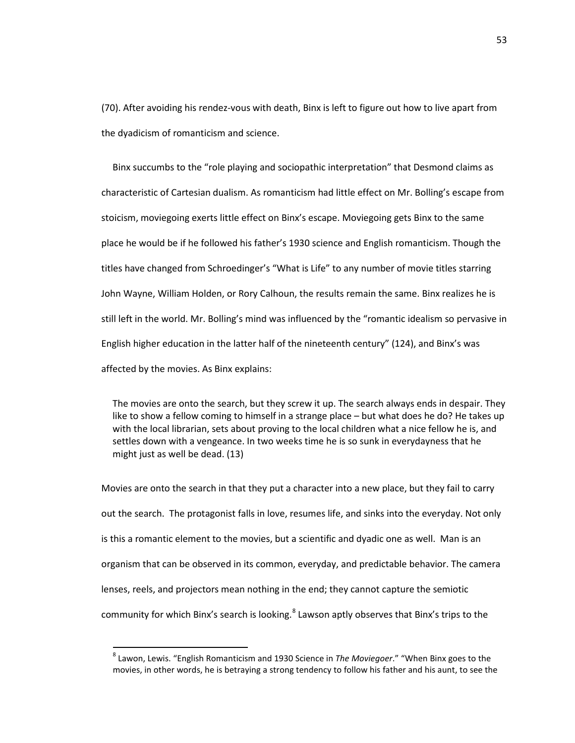(70). After avoiding his rendez-vous with death, Binx is left to figure out how to live apart from the dyadicism of romanticism and science.

Binx succumbs to the "role playing and sociopathic interpretation" that Desmond claims as characteristic of Cartesian dualism. As romanticism had little effect on Mr. Bolling's escape from stoicism, moviegoing exerts little effect on Binx's escape. Moviegoing gets Binx to the same place he would be if he followed his father's 1930 science and English romanticism. Though the titles have changed from Schroedinger's "What is Life" to any number of movie titles starring John Wayne, William Holden, or Rory Calhoun, the results remain the same. Binx realizes he is still left in the world. Mr. Bolling's mind was influenced by the "romantic idealism so pervasive in English higher education in the latter half of the nineteenth century" (124), and Binx's was affected by the movies. As Binx explains:

The movies are onto the search, but they screw it up. The search always ends in despair. They like to show a fellow coming to himself in a strange place – but what does he do? He takes up with the local librarian, sets about proving to the local children what a nice fellow he is, and settles down with a vengeance. In two weeks time he is so sunk in everydayness that he might just as well be dead. (13)

Movies are onto the search in that they put a character into a new place, but they fail to carry out the search. The protagonist falls in love, resumes life, and sinks into the everyday. Not only is this a romantic element to the movies, but a scientific and dyadic one as well. Man is an organism that can be observed in its common, everyday, and predictable behavior. The camera lenses, reels, and projectors mean nothing in the end; they cannot capture the semiotic community for which Binx's search is looking.<sup>[8](#page-57-0)</sup> Lawson aptly observes that Binx's trips to the

<span id="page-57-0"></span> <sup>8</sup> Lawon, Lewis. "English Romanticism and 1930 Science in *The Moviegoer*." "When Binx goes to the movies, in other words, he is betraying a strong tendency to follow his father and his aunt, to see the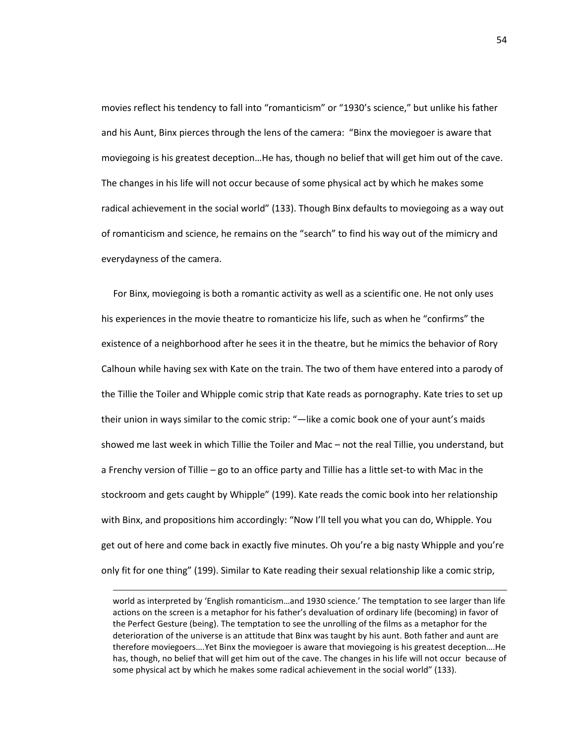movies reflect his tendency to fall into "romanticism" or "1930's science," but unlike his father and his Aunt, Binx pierces through the lens of the camera: "Binx the moviegoer is aware that moviegoing is his greatest deception…He has, though no belief that will get him out of the cave. The changes in his life will not occur because of some physical act by which he makes some radical achievement in the social world" (133). Though Binx defaults to moviegoing as a way out of romanticism and science, he remains on the "search" to find his way out of the mimicry and everydayness of the camera.

 For Binx, moviegoing is both a romantic activity as well as a scientific one. He not only uses his experiences in the movie theatre to romanticize his life, such as when he "confirms" the existence of a neighborhood after he sees it in the theatre, but he mimics the behavior of Rory Calhoun while having sex with Kate on the train. The two of them have entered into a parody of the Tillie the Toiler and Whipple comic strip that Kate reads as pornography. Kate tries to set up their union in ways similar to the comic strip: "—like a comic book one of your aunt's maids showed me last week in which Tillie the Toiler and Mac – not the real Tillie, you understand, but a Frenchy version of Tillie – go to an office party and Tillie has a little set-to with Mac in the stockroom and gets caught by Whipple" (199). Kate reads the comic book into her relationship with Binx, and propositions him accordingly: "Now I'll tell you what you can do, Whipple. You get out of here and come back in exactly five minutes. Oh you're a big nasty Whipple and you're only fit for one thing" (199). Similar to Kate reading their sexual relationship like a comic strip,

world as interpreted by 'English romanticism…and 1930 science.' The temptation to see larger than life actions on the screen is a metaphor for his father's devaluation of ordinary life (becoming) in favor of the Perfect Gesture (being). The temptation to see the unrolling of the films as a metaphor for the deterioration of the universe is an attitude that Binx was taught by his aunt. Both father and aunt are therefore moviegoers….Yet Binx the moviegoer is aware that moviegoing is his greatest deception….He has, though, no belief that will get him out of the cave. The changes in his life will not occur because of some physical act by which he makes some radical achievement in the social world" (133).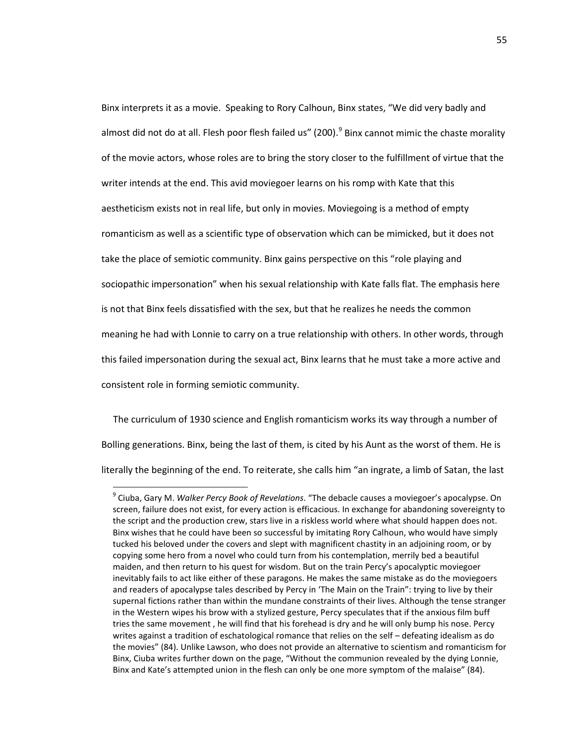Binx interprets it as a movie. Speaking to Rory Calhoun, Binx states, "We did very badly and almost did not do at all. Flesh poor flesh failed us" (200).<sup>[9](#page-59-0)</sup> Binx cannot mimic the chaste morality of the movie actors, whose roles are to bring the story closer to the fulfillment of virtue that the writer intends at the end. This avid moviegoer learns on his romp with Kate that this aestheticism exists not in real life, but only in movies. Moviegoing is a method of empty romanticism as well as a scientific type of observation which can be mimicked, but it does not take the place of semiotic community. Binx gains perspective on this "role playing and sociopathic impersonation" when his sexual relationship with Kate falls flat. The emphasis here is not that Binx feels dissatisfied with the sex, but that he realizes he needs the common meaning he had with Lonnie to carry on a true relationship with others. In other words, through this failed impersonation during the sexual act, Binx learns that he must take a more active and consistent role in forming semiotic community.

 The curriculum of 1930 science and English romanticism works its way through a number of Bolling generations. Binx, being the last of them, is cited by his Aunt as the worst of them. He is literally the beginning of the end. To reiterate, she calls him "an ingrate, a limb of Satan, the last

<span id="page-59-0"></span> <sup>9</sup> Ciuba, Gary M. *Walker Percy Book of Revelations*. "The debacle causes a moviegoer's apocalypse. On screen, failure does not exist, for every action is efficacious. In exchange for abandoning sovereignty to the script and the production crew, stars live in a riskless world where what should happen does not. Binx wishes that he could have been so successful by imitating Rory Calhoun, who would have simply tucked his beloved under the covers and slept with magnificent chastity in an adjoining room, or by copying some hero from a novel who could turn from his contemplation, merrily bed a beautiful maiden, and then return to his quest for wisdom. But on the train Percy's apocalyptic moviegoer inevitably fails to act like either of these paragons. He makes the same mistake as do the moviegoers and readers of apocalypse tales described by Percy in 'The Main on the Train": trying to live by their supernal fictions rather than within the mundane constraints of their lives. Although the tense stranger in the Western wipes his brow with a stylized gesture, Percy speculates that if the anxious film buff tries the same movement , he will find that his forehead is dry and he will only bump his nose. Percy writes against a tradition of eschatological romance that relies on the self – defeating idealism as do the movies" (84). Unlike Lawson, who does not provide an alternative to scientism and romanticism for Binx, Ciuba writes further down on the page, "Without the communion revealed by the dying Lonnie, Binx and Kate's attempted union in the flesh can only be one more symptom of the malaise" (84).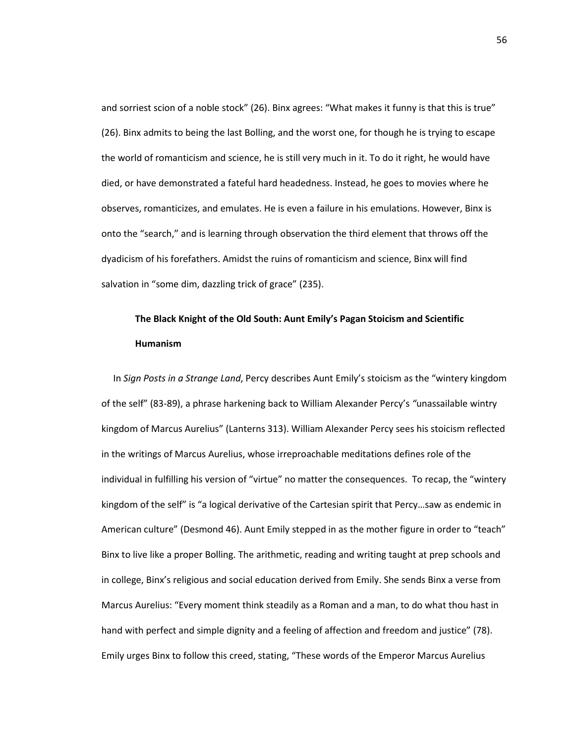and sorriest scion of a noble stock" (26). Binx agrees: "What makes it funny is that this is true" (26). Binx admits to being the last Bolling, and the worst one, for though he is trying to escape the world of romanticism and science, he is still very much in it. To do it right, he would have died, or have demonstrated a fateful hard headedness. Instead, he goes to movies where he observes, romanticizes, and emulates. He is even a failure in his emulations. However, Binx is onto the "search," and is learning through observation the third element that throws off the dyadicism of his forefathers. Amidst the ruins of romanticism and science, Binx will find salvation in "some dim, dazzling trick of grace" (235).

## **The Black Knight of the Old South: Aunt Emily's Pagan Stoicism and Scientific Humanism**

 In *Sign Posts in a Strange Land*, Percy describes Aunt Emily's stoicism as the "wintery kingdom of the self" (83-89), a phrase harkening back to William Alexander Percy's *"*unassailable wintry kingdom of Marcus Aurelius" (Lanterns 313). William Alexander Percy sees his stoicism reflected in the writings of Marcus Aurelius, whose irreproachable meditations defines role of the individual in fulfilling his version of "virtue" no matter the consequences. To recap, the "wintery kingdom of the self" is "a logical derivative of the Cartesian spirit that Percy…saw as endemic in American culture" (Desmond 46). Aunt Emily stepped in as the mother figure in order to "teach" Binx to live like a proper Bolling. The arithmetic, reading and writing taught at prep schools and in college, Binx's religious and social education derived from Emily. She sends Binx a verse from Marcus Aurelius: "Every moment think steadily as a Roman and a man, to do what thou hast in hand with perfect and simple dignity and a feeling of affection and freedom and justice" (78). Emily urges Binx to follow this creed, stating, "These words of the Emperor Marcus Aurelius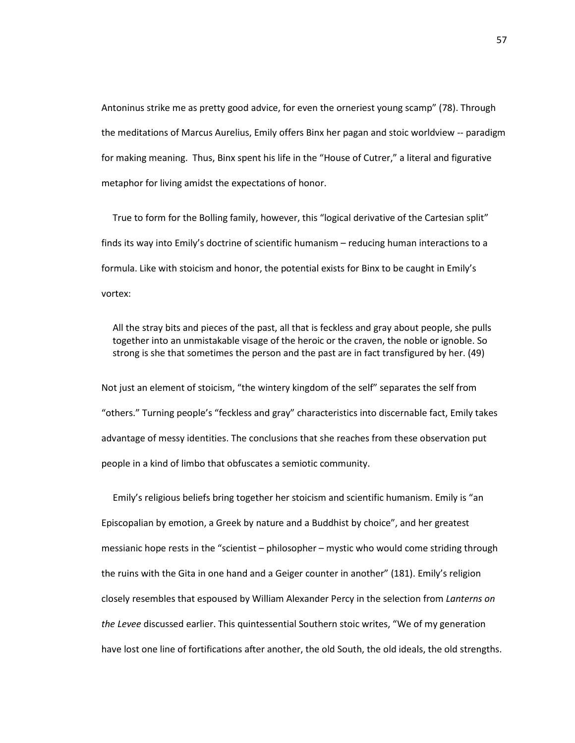Antoninus strike me as pretty good advice, for even the orneriest young scamp" (78). Through the meditations of Marcus Aurelius, Emily offers Binx her pagan and stoic worldview -- paradigm for making meaning. Thus, Binx spent his life in the "House of Cutrer," a literal and figurative metaphor for living amidst the expectations of honor.

True to form for the Bolling family, however, this "logical derivative of the Cartesian split" finds its way into Emily's doctrine of scientific humanism – reducing human interactions to a formula. Like with stoicism and honor, the potential exists for Binx to be caught in Emily's vortex:

All the stray bits and pieces of the past, all that is feckless and gray about people, she pulls together into an unmistakable visage of the heroic or the craven, the noble or ignoble. So strong is she that sometimes the person and the past are in fact transfigured by her. (49)

Not just an element of stoicism, "the wintery kingdom of the self" separates the self from "others." Turning people's "feckless and gray" characteristics into discernable fact, Emily takes advantage of messy identities. The conclusions that she reaches from these observation put people in a kind of limbo that obfuscates a semiotic community.

Emily's religious beliefs bring together her stoicism and scientific humanism. Emily is "an Episcopalian by emotion, a Greek by nature and a Buddhist by choice", and her greatest messianic hope rests in the "scientist – philosopher – mystic who would come striding through the ruins with the Gita in one hand and a Geiger counter in another" (181). Emily's religion closely resembles that espoused by William Alexander Percy in the selection from *Lanterns on the Levee* discussed earlier. This quintessential Southern stoic writes, "We of my generation have lost one line of fortifications after another, the old South, the old ideals, the old strengths.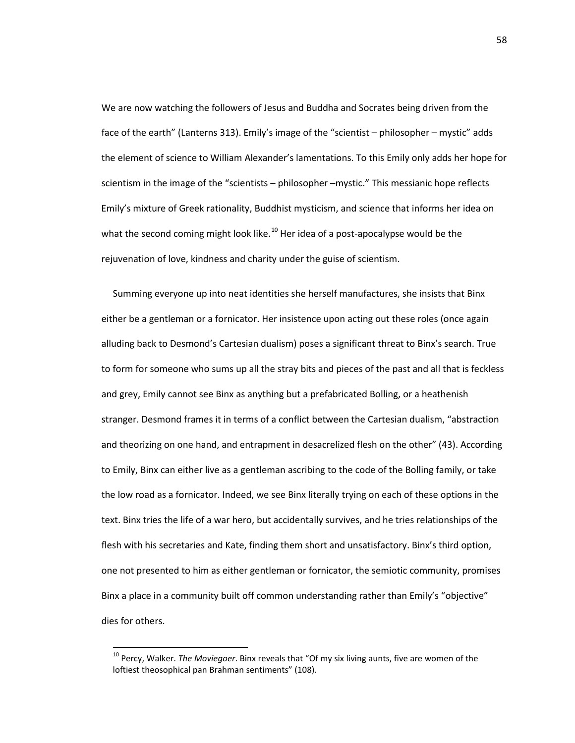We are now watching the followers of Jesus and Buddha and Socrates being driven from the face of the earth" (Lanterns 313). Emily's image of the "scientist – philosopher – mystic" adds the element of science to William Alexander's lamentations. To this Emily only adds her hope for scientism in the image of the "scientists – philosopher –mystic." This messianic hope reflects Emily's mixture of Greek rationality, Buddhist mysticism, and science that informs her idea on what the second coming might look like.<sup>[10](#page-62-0)</sup> Her idea of a post-apocalypse would be the rejuvenation of love, kindness and charity under the guise of scientism.

Summing everyone up into neat identities she herself manufactures, she insists that Binx either be a gentleman or a fornicator. Her insistence upon acting out these roles (once again alluding back to Desmond's Cartesian dualism) poses a significant threat to Binx's search. True to form for someone who sums up all the stray bits and pieces of the past and all that is feckless and grey, Emily cannot see Binx as anything but a prefabricated Bolling, or a heathenish stranger. Desmond frames it in terms of a conflict between the Cartesian dualism, "abstraction and theorizing on one hand, and entrapment in desacrelized flesh on the other" (43). According to Emily, Binx can either live as a gentleman ascribing to the code of the Bolling family, or take the low road as a fornicator. Indeed, we see Binx literally trying on each of these options in the text. Binx tries the life of a war hero, but accidentally survives, and he tries relationships of the flesh with his secretaries and Kate, finding them short and unsatisfactory. Binx's third option, one not presented to him as either gentleman or fornicator, the semiotic community, promises Binx a place in a community built off common understanding rather than Emily's "objective" dies for others.

<span id="page-62-0"></span> <sup>10</sup> Percy, Walker. *The Moviegoer*. Binx reveals that "Of my six living aunts, five are women of the loftiest theosophical pan Brahman sentiments" (108).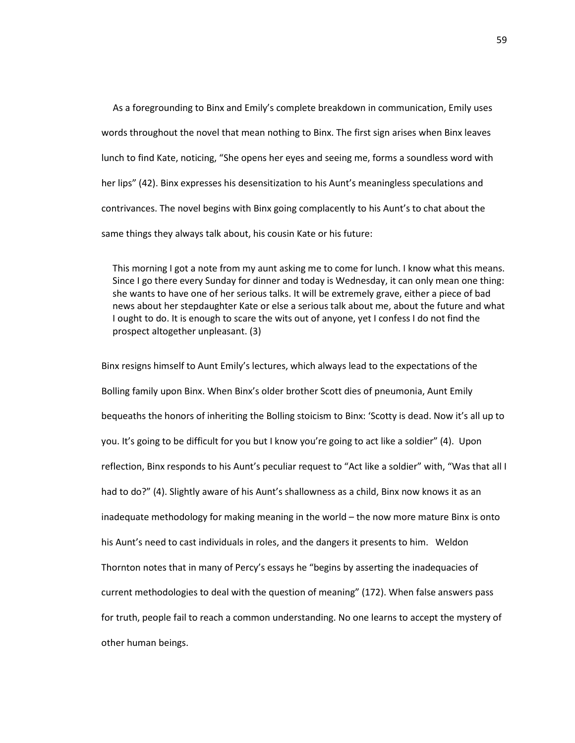As a foregrounding to Binx and Emily's complete breakdown in communication, Emily uses words throughout the novel that mean nothing to Binx. The first sign arises when Binx leaves lunch to find Kate, noticing, "She opens her eyes and seeing me, forms a soundless word with her lips" (42). Binx expresses his desensitization to his Aunt's meaningless speculations and contrivances. The novel begins with Binx going complacently to his Aunt's to chat about the same things they always talk about, his cousin Kate or his future:

This morning I got a note from my aunt asking me to come for lunch. I know what this means. Since I go there every Sunday for dinner and today is Wednesday, it can only mean one thing: she wants to have one of her serious talks. It will be extremely grave, either a piece of bad news about her stepdaughter Kate or else a serious talk about me, about the future and what I ought to do. It is enough to scare the wits out of anyone, yet I confess I do not find the prospect altogether unpleasant. (3)

Binx resigns himself to Aunt Emily's lectures, which always lead to the expectations of the Bolling family upon Binx. When Binx's older brother Scott dies of pneumonia, Aunt Emily bequeaths the honors of inheriting the Bolling stoicism to Binx: 'Scotty is dead. Now it's all up to you. It's going to be difficult for you but I know you're going to act like a soldier" (4). Upon reflection, Binx responds to his Aunt's peculiar request to "Act like a soldier" with, "Was that all I had to do?" (4). Slightly aware of his Aunt's shallowness as a child, Binx now knows it as an inadequate methodology for making meaning in the world – the now more mature Binx is onto his Aunt's need to cast individuals in roles, and the dangers it presents to him. Weldon Thornton notes that in many of Percy's essays he "begins by asserting the inadequacies of current methodologies to deal with the question of meaning" (172). When false answers pass for truth, people fail to reach a common understanding. No one learns to accept the mystery of other human beings.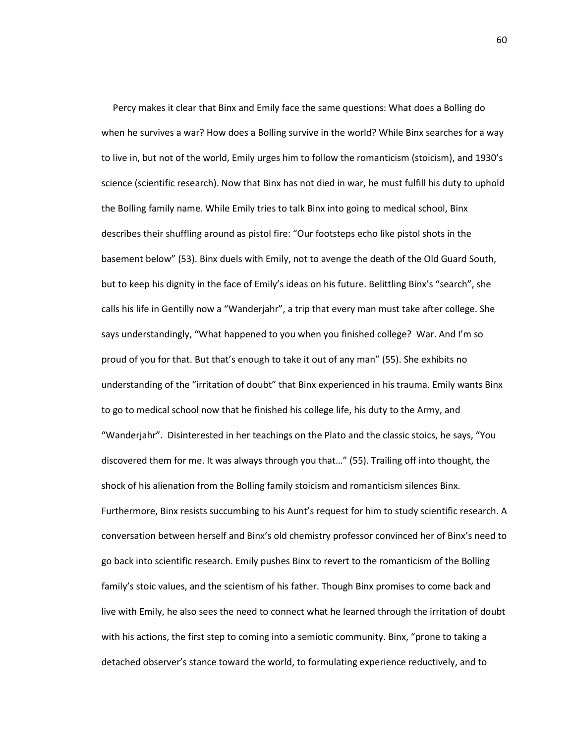Percy makes it clear that Binx and Emily face the same questions: What does a Bolling do when he survives a war? How does a Bolling survive in the world? While Binx searches for a way to live in, but not of the world, Emily urges him to follow the romanticism (stoicism), and 1930's science (scientific research). Now that Binx has not died in war, he must fulfill his duty to uphold the Bolling family name. While Emily tries to talk Binx into going to medical school, Binx describes their shuffling around as pistol fire: "Our footsteps echo like pistol shots in the basement below" (53). Binx duels with Emily, not to avenge the death of the Old Guard South, but to keep his dignity in the face of Emily's ideas on his future. Belittling Binx's "search", she calls his life in Gentilly now a "Wanderjahr", a trip that every man must take after college. She says understandingly, "What happened to you when you finished college? War. And I'm so proud of you for that. But that's enough to take it out of any man" (55). She exhibits no understanding of the "irritation of doubt" that Binx experienced in his trauma. Emily wants Binx to go to medical school now that he finished his college life, his duty to the Army, and "Wanderjahr". Disinterested in her teachings on the Plato and the classic stoics, he says, "You discovered them for me. It was always through you that…" (55). Trailing off into thought, the shock of his alienation from the Bolling family stoicism and romanticism silences Binx. Furthermore, Binx resists succumbing to his Aunt's request for him to study scientific research. A conversation between herself and Binx's old chemistry professor convinced her of Binx's need to go back into scientific research. Emily pushes Binx to revert to the romanticism of the Bolling family's stoic values, and the scientism of his father. Though Binx promises to come back and live with Emily, he also sees the need to connect what he learned through the irritation of doubt with his actions, the first step to coming into a semiotic community. Binx, "prone to taking a detached observer's stance toward the world, to formulating experience reductively, and to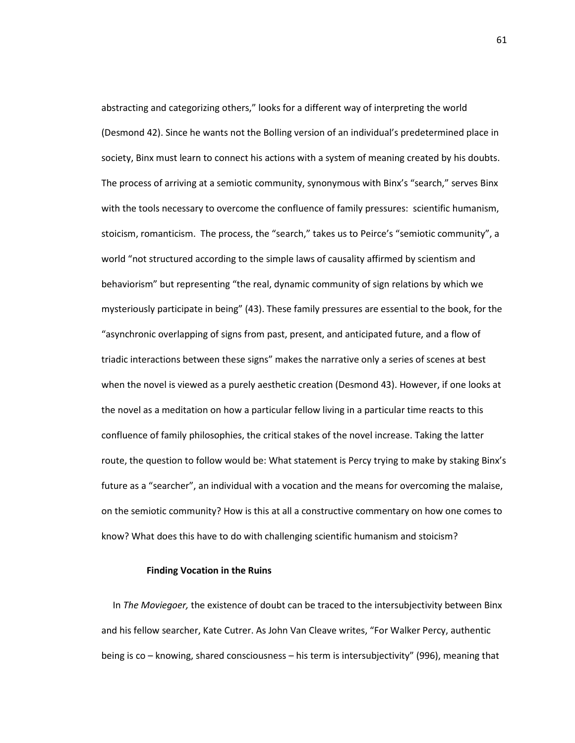abstracting and categorizing others," looks for a different way of interpreting the world (Desmond 42). Since he wants not the Bolling version of an individual's predetermined place in society, Binx must learn to connect his actions with a system of meaning created by his doubts. The process of arriving at a semiotic community, synonymous with Binx's "search," serves Binx with the tools necessary to overcome the confluence of family pressures: scientific humanism, stoicism, romanticism. The process, the "search," takes us to Peirce's "semiotic community", a world "not structured according to the simple laws of causality affirmed by scientism and behaviorism" but representing "the real, dynamic community of sign relations by which we mysteriously participate in being" (43). These family pressures are essential to the book, for the "asynchronic overlapping of signs from past, present, and anticipated future, and a flow of triadic interactions between these signs" makes the narrative only a series of scenes at best when the novel is viewed as a purely aesthetic creation (Desmond 43). However, if one looks at the novel as a meditation on how a particular fellow living in a particular time reacts to this confluence of family philosophies, the critical stakes of the novel increase. Taking the latter route, the question to follow would be: What statement is Percy trying to make by staking Binx's future as a "searcher", an individual with a vocation and the means for overcoming the malaise, on the semiotic community? How is this at all a constructive commentary on how one comes to know? What does this have to do with challenging scientific humanism and stoicism?

## **Finding Vocation in the Ruins**

In *The Moviegoer,* the existence of doubt can be traced to the intersubjectivity between Binx and his fellow searcher, Kate Cutrer. As John Van Cleave writes, "For Walker Percy, authentic being is co – knowing, shared consciousness – his term is intersubjectivity" (996), meaning that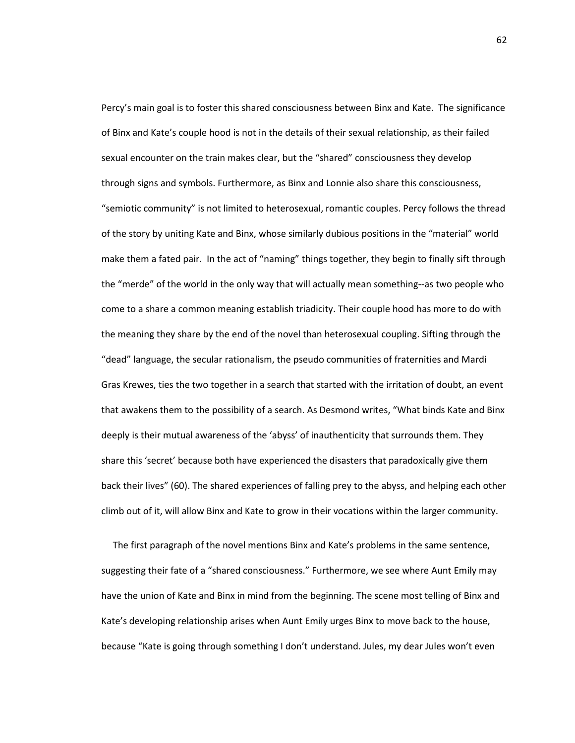Percy's main goal is to foster this shared consciousness between Binx and Kate. The significance of Binx and Kate's couple hood is not in the details of their sexual relationship, as their failed sexual encounter on the train makes clear, but the "shared" consciousness they develop through signs and symbols. Furthermore, as Binx and Lonnie also share this consciousness, "semiotic community" is not limited to heterosexual, romantic couples. Percy follows the thread of the story by uniting Kate and Binx, whose similarly dubious positions in the "material" world make them a fated pair. In the act of "naming" things together, they begin to finally sift through the "merde" of the world in the only way that will actually mean something--as two people who come to a share a common meaning establish triadicity. Their couple hood has more to do with the meaning they share by the end of the novel than heterosexual coupling. Sifting through the "dead" language, the secular rationalism, the pseudo communities of fraternities and Mardi Gras Krewes, ties the two together in a search that started with the irritation of doubt, an event that awakens them to the possibility of a search. As Desmond writes, "What binds Kate and Binx deeply is their mutual awareness of the 'abyss' of inauthenticity that surrounds them. They share this 'secret' because both have experienced the disasters that paradoxically give them back their lives" (60). The shared experiences of falling prey to the abyss, and helping each other climb out of it, will allow Binx and Kate to grow in their vocations within the larger community.

The first paragraph of the novel mentions Binx and Kate's problems in the same sentence, suggesting their fate of a "shared consciousness." Furthermore, we see where Aunt Emily may have the union of Kate and Binx in mind from the beginning. The scene most telling of Binx and Kate's developing relationship arises when Aunt Emily urges Binx to move back to the house, because "Kate is going through something I don't understand. Jules, my dear Jules won't even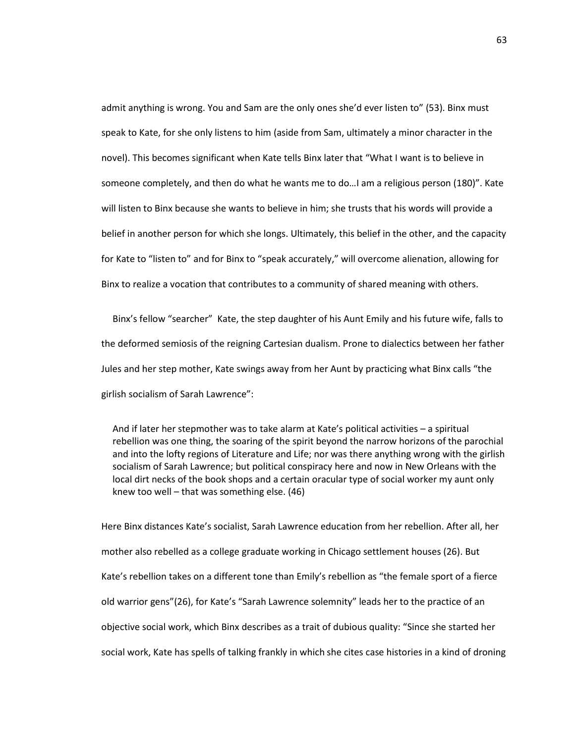admit anything is wrong. You and Sam are the only ones she'd ever listen to" (53). Binx must speak to Kate, for she only listens to him (aside from Sam, ultimately a minor character in the novel). This becomes significant when Kate tells Binx later that "What I want is to believe in someone completely, and then do what he wants me to do…I am a religious person (180)". Kate will listen to Binx because she wants to believe in him; she trusts that his words will provide a belief in another person for which she longs. Ultimately, this belief in the other, and the capacity for Kate to "listen to" and for Binx to "speak accurately," will overcome alienation, allowing for Binx to realize a vocation that contributes to a community of shared meaning with others.

Binx's fellow "searcher" Kate, the step daughter of his Aunt Emily and his future wife, falls to the deformed semiosis of the reigning Cartesian dualism. Prone to dialectics between her father Jules and her step mother, Kate swings away from her Aunt by practicing what Binx calls "the girlish socialism of Sarah Lawrence":

And if later her stepmother was to take alarm at Kate's political activities – a spiritual rebellion was one thing, the soaring of the spirit beyond the narrow horizons of the parochial and into the lofty regions of Literature and Life; nor was there anything wrong with the girlish socialism of Sarah Lawrence; but political conspiracy here and now in New Orleans with the local dirt necks of the book shops and a certain oracular type of social worker my aunt only knew too well – that was something else. (46)

Here Binx distances Kate's socialist, Sarah Lawrence education from her rebellion. After all, her mother also rebelled as a college graduate working in Chicago settlement houses (26). But Kate's rebellion takes on a different tone than Emily's rebellion as "the female sport of a fierce old warrior gens"(26), for Kate's "Sarah Lawrence solemnity" leads her to the practice of an objective social work, which Binx describes as a trait of dubious quality: "Since she started her social work, Kate has spells of talking frankly in which she cites case histories in a kind of droning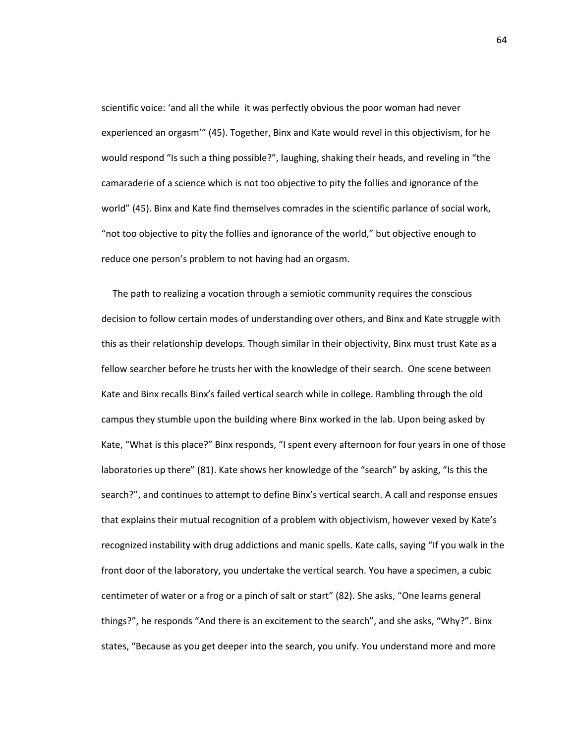scientific voice: 'and all the while it was perfectly obvious the poor woman had never experienced an orgasm'" (45). Together, Binx and Kate would revel in this objectivism, for he would respond "Is such a thing possible?", laughing, shaking their heads, and reveling in "the camaraderie of a science which is not too objective to pity the follies and ignorance of the world" (45). Binx and Kate find themselves comrades in the scientific parlance of social work, "not too objective to pity the follies and ignorance of the world," but objective enough to reduce one person's problem to not having had an orgasm.

The path to realizing a vocation through a semiotic community requires the conscious decision to follow certain modes of understanding over others, and Binx and Kate struggle with this as their relationship develops. Though similar in their objectivity, Binx must trust Kate as a fellow searcher before he trusts her with the knowledge of their search. One scene between Kate and Binx recalls Binx's failed vertical search while in college. Rambling through the old campus they stumble upon the building where Binx worked in the lab. Upon being asked by Kate, "What is this place?" Binx responds, "I spent every afternoon for four years in one of those laboratories up there" (81). Kate shows her knowledge of the "search" by asking, "Is this the search?", and continues to attempt to define Binx's vertical search. A call and response ensues that explains their mutual recognition of a problem with objectivism, however vexed by Kate's recognized instability with drug addictions and manic spells. Kate calls, saying "If you walk in the front door of the laboratory, you undertake the vertical search. You have a specimen, a cubic centimeter of water or a frog or a pinch of salt or start" (82). She asks, "One learns general things?", he responds "And there is an excitement to the search", and she asks, "Why?". Binx states, "Because as you get deeper into the search, you unify. You understand more and more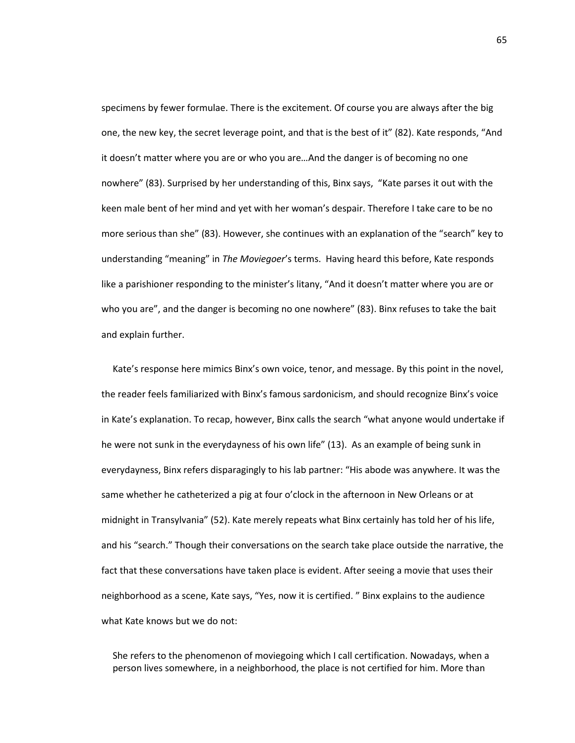specimens by fewer formulae. There is the excitement. Of course you are always after the big one, the new key, the secret leverage point, and that is the best of it" (82). Kate responds, "And it doesn't matter where you are or who you are…And the danger is of becoming no one nowhere" (83). Surprised by her understanding of this, Binx says, "Kate parses it out with the keen male bent of her mind and yet with her woman's despair. Therefore I take care to be no more serious than she" (83). However, she continues with an explanation of the "search" key to understanding "meaning" in *The Moviegoer*'s terms. Having heard this before, Kate responds like a parishioner responding to the minister's litany, "And it doesn't matter where you are or who you are", and the danger is becoming no one nowhere" (83). Binx refuses to take the bait and explain further.

Kate's response here mimics Binx's own voice, tenor, and message. By this point in the novel, the reader feels familiarized with Binx's famous sardonicism, and should recognize Binx's voice in Kate's explanation. To recap, however, Binx calls the search "what anyone would undertake if he were not sunk in the everydayness of his own life" (13). As an example of being sunk in everydayness, Binx refers disparagingly to his lab partner: "His abode was anywhere. It was the same whether he catheterized a pig at four o'clock in the afternoon in New Orleans or at midnight in Transylvania" (52). Kate merely repeats what Binx certainly has told her of his life, and his "search." Though their conversations on the search take place outside the narrative, the fact that these conversations have taken place is evident. After seeing a movie that uses their neighborhood as a scene, Kate says, "Yes, now it is certified. " Binx explains to the audience what Kate knows but we do not:

She refers to the phenomenon of moviegoing which I call certification. Nowadays, when a person lives somewhere, in a neighborhood, the place is not certified for him. More than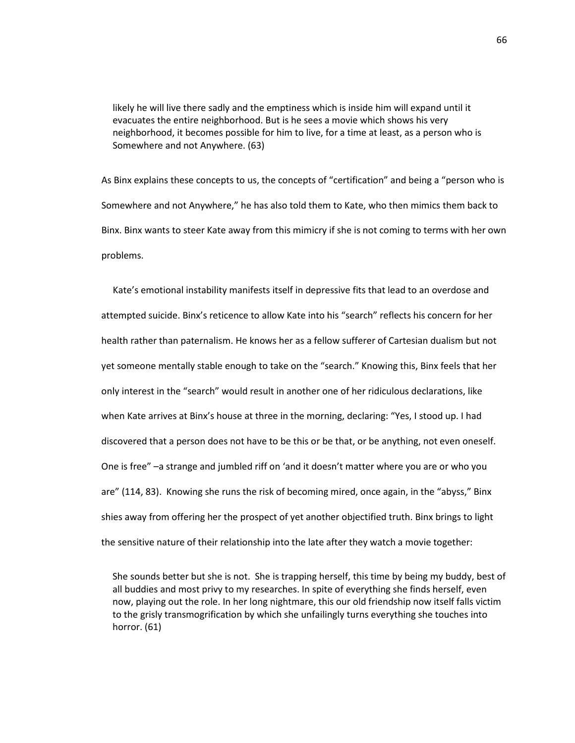likely he will live there sadly and the emptiness which is inside him will expand until it evacuates the entire neighborhood. But is he sees a movie which shows his very neighborhood, it becomes possible for him to live, for a time at least, as a person who is Somewhere and not Anywhere. (63)

As Binx explains these concepts to us, the concepts of "certification" and being a "person who is Somewhere and not Anywhere," he has also told them to Kate, who then mimics them back to Binx. Binx wants to steer Kate away from this mimicry if she is not coming to terms with her own problems.

Kate's emotional instability manifests itself in depressive fits that lead to an overdose and attempted suicide. Binx's reticence to allow Kate into his "search" reflects his concern for her health rather than paternalism. He knows her as a fellow sufferer of Cartesian dualism but not yet someone mentally stable enough to take on the "search." Knowing this, Binx feels that her only interest in the "search" would result in another one of her ridiculous declarations, like when Kate arrives at Binx's house at three in the morning, declaring: "Yes, I stood up. I had discovered that a person does not have to be this or be that, or be anything, not even oneself. One is free" –a strange and jumbled riff on 'and it doesn't matter where you are or who you are" (114, 83). Knowing she runs the risk of becoming mired, once again, in the "abyss," Binx shies away from offering her the prospect of yet another objectified truth. Binx brings to light the sensitive nature of their relationship into the late after they watch a movie together:

She sounds better but she is not. She is trapping herself, this time by being my buddy, best of all buddies and most privy to my researches. In spite of everything she finds herself, even now, playing out the role. In her long nightmare, this our old friendship now itself falls victim to the grisly transmogrification by which she unfailingly turns everything she touches into horror. (61)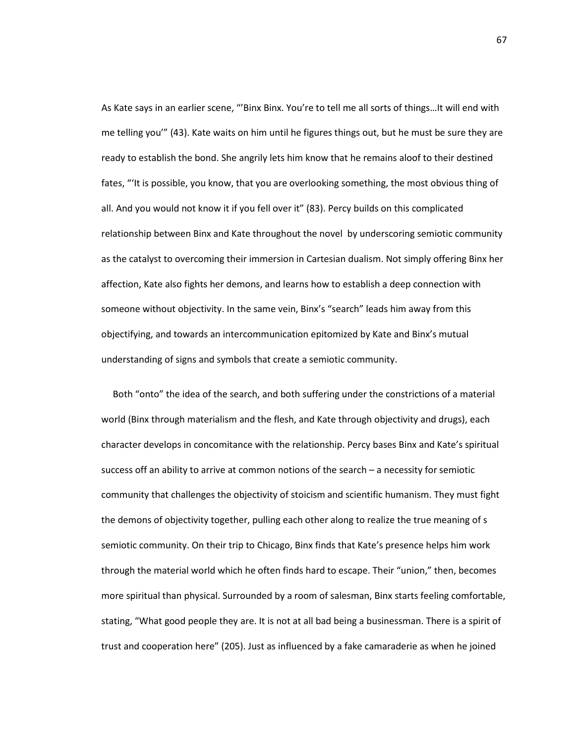As Kate says in an earlier scene, "'Binx Binx. You're to tell me all sorts of things…It will end with me telling you'" (43). Kate waits on him until he figures things out, but he must be sure they are ready to establish the bond. She angrily lets him know that he remains aloof to their destined fates, "'It is possible, you know, that you are overlooking something, the most obvious thing of all. And you would not know it if you fell over it" (83). Percy builds on this complicated relationship between Binx and Kate throughout the novel by underscoring semiotic community as the catalyst to overcoming their immersion in Cartesian dualism. Not simply offering Binx her affection, Kate also fights her demons, and learns how to establish a deep connection with someone without objectivity. In the same vein, Binx's "search" leads him away from this objectifying, and towards an intercommunication epitomized by Kate and Binx's mutual understanding of signs and symbols that create a semiotic community.

Both "onto" the idea of the search, and both suffering under the constrictions of a material world (Binx through materialism and the flesh, and Kate through objectivity and drugs), each character develops in concomitance with the relationship. Percy bases Binx and Kate's spiritual success off an ability to arrive at common notions of the search – a necessity for semiotic community that challenges the objectivity of stoicism and scientific humanism. They must fight the demons of objectivity together, pulling each other along to realize the true meaning of s semiotic community. On their trip to Chicago, Binx finds that Kate's presence helps him work through the material world which he often finds hard to escape. Their "union," then, becomes more spiritual than physical. Surrounded by a room of salesman, Binx starts feeling comfortable, stating, "What good people they are. It is not at all bad being a businessman. There is a spirit of trust and cooperation here" (205). Just as influenced by a fake camaraderie as when he joined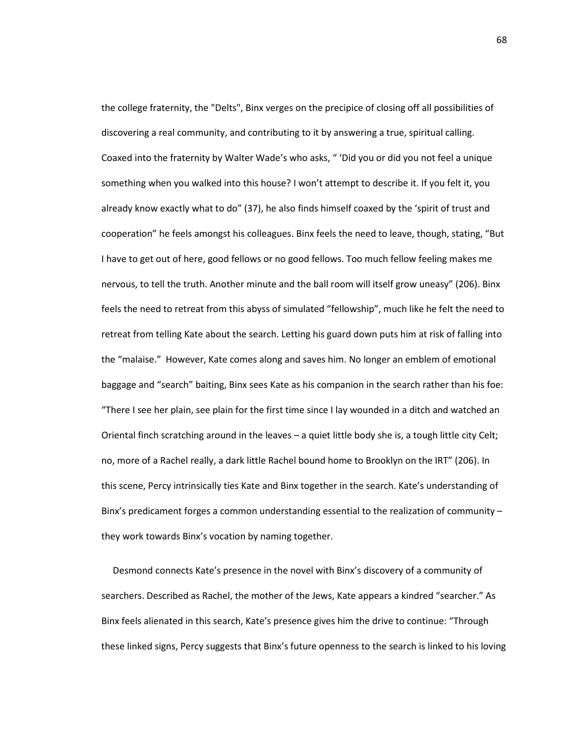the college fraternity, the "Delts", Binx verges on the precipice of closing off all possibilities of discovering a real community, and contributing to it by answering a true, spiritual calling. Coaxed into the fraternity by Walter Wade's who asks, " 'Did you or did you not feel a unique something when you walked into this house? I won't attempt to describe it. If you felt it, you already know exactly what to do" (37), he also finds himself coaxed by the 'spirit of trust and cooperation" he feels amongst his colleagues. Binx feels the need to leave, though, stating, "But I have to get out of here, good fellows or no good fellows. Too much fellow feeling makes me nervous, to tell the truth. Another minute and the ball room will itself grow uneasy" (206). Binx feels the need to retreat from this abyss of simulated "fellowship", much like he felt the need to retreat from telling Kate about the search. Letting his guard down puts him at risk of falling into the "malaise." However, Kate comes along and saves him. No longer an emblem of emotional baggage and "search" baiting, Binx sees Kate as his companion in the search rather than his foe: "There I see her plain, see plain for the first time since I lay wounded in a ditch and watched an Oriental finch scratching around in the leaves – a quiet little body she is, a tough little city Celt; no, more of a Rachel really, a dark little Rachel bound home to Brooklyn on the IRT" (206). In this scene, Percy intrinsically ties Kate and Binx together in the search. Kate's understanding of Binx's predicament forges a common understanding essential to the realization of community – they work towards Binx's vocation by naming together.

Desmond connects Kate's presence in the novel with Binx's discovery of a community of searchers. Described as Rachel, the mother of the Jews, Kate appears a kindred "searcher." As Binx feels alienated in this search, Kate's presence gives him the drive to continue: "Through these linked signs, Percy suggests that Binx's future openness to the search is linked to his loving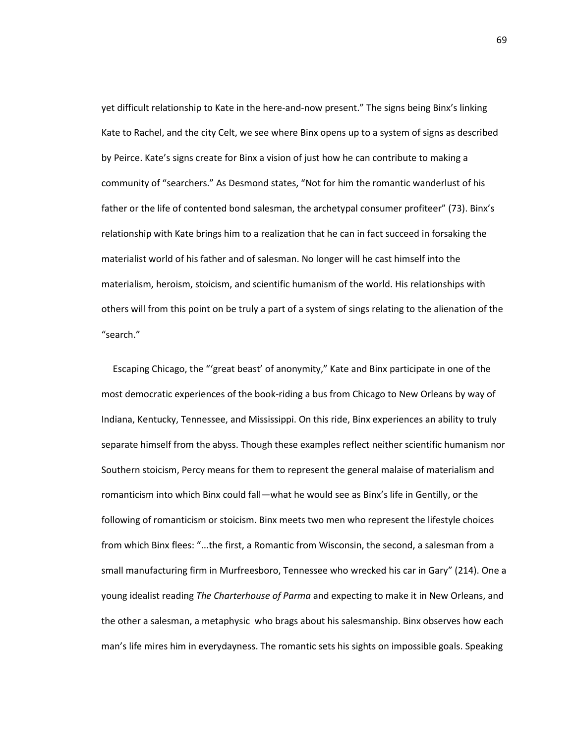yet difficult relationship to Kate in the here-and-now present." The signs being Binx's linking Kate to Rachel, and the city Celt, we see where Binx opens up to a system of signs as described by Peirce. Kate's signs create for Binx a vision of just how he can contribute to making a community of "searchers." As Desmond states, "Not for him the romantic wanderlust of his father or the life of contented bond salesman, the archetypal consumer profiteer" (73). Binx's relationship with Kate brings him to a realization that he can in fact succeed in forsaking the materialist world of his father and of salesman. No longer will he cast himself into the materialism, heroism, stoicism, and scientific humanism of the world. His relationships with others will from this point on be truly a part of a system of sings relating to the alienation of the "search."

Escaping Chicago, the "'great beast' of anonymity," Kate and Binx participate in one of the most democratic experiences of the book-riding a bus from Chicago to New Orleans by way of Indiana, Kentucky, Tennessee, and Mississippi. On this ride, Binx experiences an ability to truly separate himself from the abyss. Though these examples reflect neither scientific humanism nor Southern stoicism, Percy means for them to represent the general malaise of materialism and romanticism into which Binx could fall—what he would see as Binx's life in Gentilly, or the following of romanticism or stoicism. Binx meets two men who represent the lifestyle choices from which Binx flees: "...the first, a Romantic from Wisconsin, the second, a salesman from a small manufacturing firm in Murfreesboro, Tennessee who wrecked his car in Gary" (214). One a young idealist reading *The Charterhouse of Parma* and expecting to make it in New Orleans, and the other a salesman, a metaphysic who brags about his salesmanship. Binx observes how each man's life mires him in everydayness. The romantic sets his sights on impossible goals. Speaking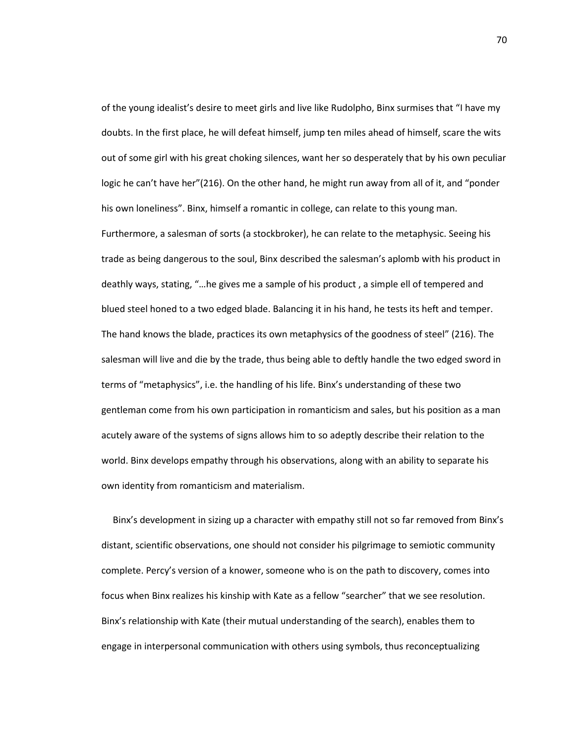of the young idealist's desire to meet girls and live like Rudolpho, Binx surmises that "I have my doubts. In the first place, he will defeat himself, jump ten miles ahead of himself, scare the wits out of some girl with his great choking silences, want her so desperately that by his own peculiar logic he can't have her"(216). On the other hand, he might run away from all of it, and "ponder his own loneliness". Binx, himself a romantic in college, can relate to this young man. Furthermore, a salesman of sorts (a stockbroker), he can relate to the metaphysic. Seeing his trade as being dangerous to the soul, Binx described the salesman's aplomb with his product in deathly ways, stating, "…he gives me a sample of his product , a simple ell of tempered and blued steel honed to a two edged blade. Balancing it in his hand, he tests its heft and temper. The hand knows the blade, practices its own metaphysics of the goodness of steel" (216). The salesman will live and die by the trade, thus being able to deftly handle the two edged sword in terms of "metaphysics", i.e. the handling of his life. Binx's understanding of these two gentleman come from his own participation in romanticism and sales, but his position as a man acutely aware of the systems of signs allows him to so adeptly describe their relation to the world. Binx develops empathy through his observations, along with an ability to separate his own identity from romanticism and materialism.

Binx's development in sizing up a character with empathy still not so far removed from Binx's distant, scientific observations, one should not consider his pilgrimage to semiotic community complete. Percy's version of a knower, someone who is on the path to discovery, comes into focus when Binx realizes his kinship with Kate as a fellow "searcher" that we see resolution. Binx's relationship with Kate (their mutual understanding of the search), enables them to engage in interpersonal communication with others using symbols, thus reconceptualizing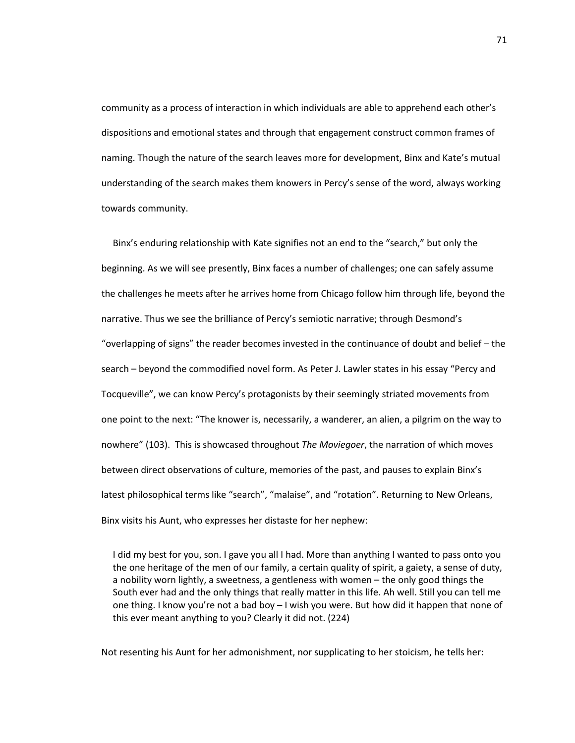community as a process of interaction in which individuals are able to apprehend each other's dispositions and emotional states and through that engagement construct common frames of naming. Though the nature of the search leaves more for development, Binx and Kate's mutual understanding of the search makes them knowers in Percy's sense of the word, always working towards community.

Binx's enduring relationship with Kate signifies not an end to the "search," but only the beginning. As we will see presently, Binx faces a number of challenges; one can safely assume the challenges he meets after he arrives home from Chicago follow him through life, beyond the narrative. Thus we see the brilliance of Percy's semiotic narrative; through Desmond's "overlapping of signs" the reader becomes invested in the continuance of doubt and belief – the search – beyond the commodified novel form. As Peter J. Lawler states in his essay "Percy and Tocqueville", we can know Percy's protagonists by their seemingly striated movements from one point to the next: "The knower is, necessarily, a wanderer, an alien, a pilgrim on the way to nowhere" (103). This is showcased throughout *The Moviegoer*, the narration of which moves between direct observations of culture, memories of the past, and pauses to explain Binx's latest philosophical terms like "search", "malaise", and "rotation". Returning to New Orleans, Binx visits his Aunt, who expresses her distaste for her nephew:

I did my best for you, son. I gave you all I had. More than anything I wanted to pass onto you the one heritage of the men of our family, a certain quality of spirit, a gaiety, a sense of duty, a nobility worn lightly, a sweetness, a gentleness with women – the only good things the South ever had and the only things that really matter in this life. Ah well. Still you can tell me one thing. I know you're not a bad boy – I wish you were. But how did it happen that none of this ever meant anything to you? Clearly it did not. (224)

Not resenting his Aunt for her admonishment, nor supplicating to her stoicism, he tells her: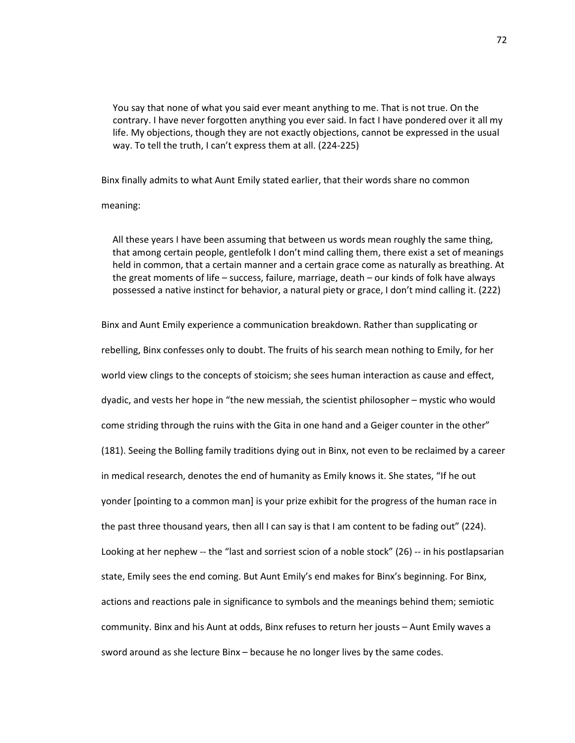You say that none of what you said ever meant anything to me. That is not true. On the contrary. I have never forgotten anything you ever said. In fact I have pondered over it all my life. My objections, though they are not exactly objections, cannot be expressed in the usual way. To tell the truth, I can't express them at all. (224-225)

Binx finally admits to what Aunt Emily stated earlier, that their words share no common

meaning:

All these years I have been assuming that between us words mean roughly the same thing, that among certain people, gentlefolk I don't mind calling them, there exist a set of meanings held in common, that a certain manner and a certain grace come as naturally as breathing. At the great moments of life – success, failure, marriage, death – our kinds of folk have always possessed a native instinct for behavior, a natural piety or grace, I don't mind calling it. (222)

Binx and Aunt Emily experience a communication breakdown. Rather than supplicating or rebelling, Binx confesses only to doubt. The fruits of his search mean nothing to Emily, for her world view clings to the concepts of stoicism; she sees human interaction as cause and effect, dyadic, and vests her hope in "the new messiah, the scientist philosopher – mystic who would come striding through the ruins with the Gita in one hand and a Geiger counter in the other" (181). Seeing the Bolling family traditions dying out in Binx, not even to be reclaimed by a career in medical research, denotes the end of humanity as Emily knows it. She states, "If he out yonder [pointing to a common man] is your prize exhibit for the progress of the human race in the past three thousand years, then all I can say is that I am content to be fading out" (224). Looking at her nephew -- the "last and sorriest scion of a noble stock" (26) -- in his postlapsarian state, Emily sees the end coming. But Aunt Emily's end makes for Binx's beginning. For Binx, actions and reactions pale in significance to symbols and the meanings behind them; semiotic community. Binx and his Aunt at odds, Binx refuses to return her jousts – Aunt Emily waves a sword around as she lecture Binx – because he no longer lives by the same codes.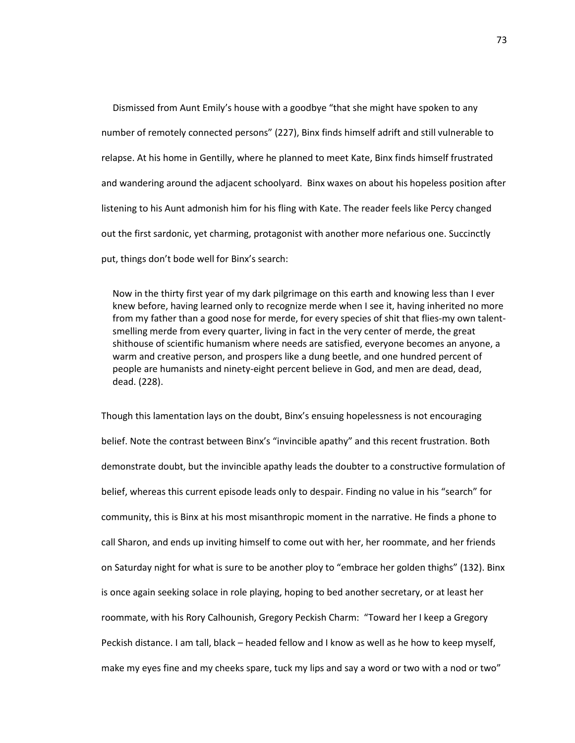Dismissed from Aunt Emily's house with a goodbye "that she might have spoken to any number of remotely connected persons" (227), Binx finds himself adrift and still vulnerable to relapse. At his home in Gentilly, where he planned to meet Kate, Binx finds himself frustrated and wandering around the adjacent schoolyard. Binx waxes on about his hopeless position after listening to his Aunt admonish him for his fling with Kate. The reader feels like Percy changed out the first sardonic, yet charming, protagonist with another more nefarious one. Succinctly put, things don't bode well for Binx's search:

Now in the thirty first year of my dark pilgrimage on this earth and knowing less than I ever knew before, having learned only to recognize merde when I see it, having inherited no more from my father than a good nose for merde, for every species of shit that flies-my own talentsmelling merde from every quarter, living in fact in the very center of merde, the great shithouse of scientific humanism where needs are satisfied, everyone becomes an anyone, a warm and creative person, and prospers like a dung beetle, and one hundred percent of people are humanists and ninety-eight percent believe in God, and men are dead, dead, dead. (228).

Though this lamentation lays on the doubt, Binx's ensuing hopelessness is not encouraging belief. Note the contrast between Binx's "invincible apathy" and this recent frustration. Both demonstrate doubt, but the invincible apathy leads the doubter to a constructive formulation of belief, whereas this current episode leads only to despair. Finding no value in his "search" for community, this is Binx at his most misanthropic moment in the narrative. He finds a phone to call Sharon, and ends up inviting himself to come out with her, her roommate, and her friends on Saturday night for what is sure to be another ploy to "embrace her golden thighs" (132). Binx is once again seeking solace in role playing, hoping to bed another secretary, or at least her roommate, with his Rory Calhounish, Gregory Peckish Charm: "Toward her I keep a Gregory Peckish distance. I am tall, black – headed fellow and I know as well as he how to keep myself, make my eyes fine and my cheeks spare, tuck my lips and say a word or two with a nod or two"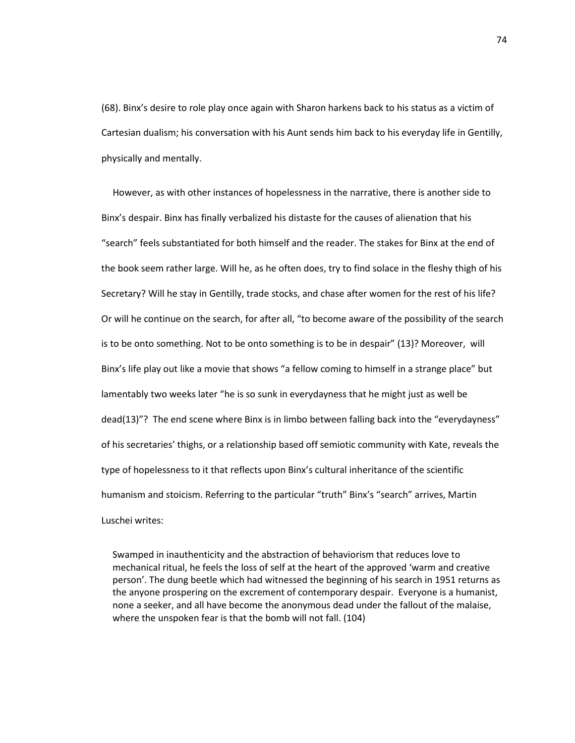(68). Binx's desire to role play once again with Sharon harkens back to his status as a victim of Cartesian dualism; his conversation with his Aunt sends him back to his everyday life in Gentilly, physically and mentally.

However, as with other instances of hopelessness in the narrative, there is another side to Binx's despair. Binx has finally verbalized his distaste for the causes of alienation that his "search" feels substantiated for both himself and the reader. The stakes for Binx at the end of the book seem rather large. Will he, as he often does, try to find solace in the fleshy thigh of his Secretary? Will he stay in Gentilly, trade stocks, and chase after women for the rest of his life? Or will he continue on the search, for after all, "to become aware of the possibility of the search is to be onto something. Not to be onto something is to be in despair" (13)? Moreover, will Binx's life play out like a movie that shows "a fellow coming to himself in a strange place" but lamentably two weeks later "he is so sunk in everydayness that he might just as well be dead(13)"? The end scene where Binx is in limbo between falling back into the "everydayness" of his secretaries' thighs, or a relationship based off semiotic community with Kate, reveals the type of hopelessness to it that reflects upon Binx's cultural inheritance of the scientific humanism and stoicism. Referring to the particular "truth" Binx's "search" arrives, Martin Luschei writes:

Swamped in inauthenticity and the abstraction of behaviorism that reduces love to mechanical ritual, he feels the loss of self at the heart of the approved 'warm and creative person'. The dung beetle which had witnessed the beginning of his search in 1951 returns as the anyone prospering on the excrement of contemporary despair. Everyone is a humanist, none a seeker, and all have become the anonymous dead under the fallout of the malaise, where the unspoken fear is that the bomb will not fall. (104)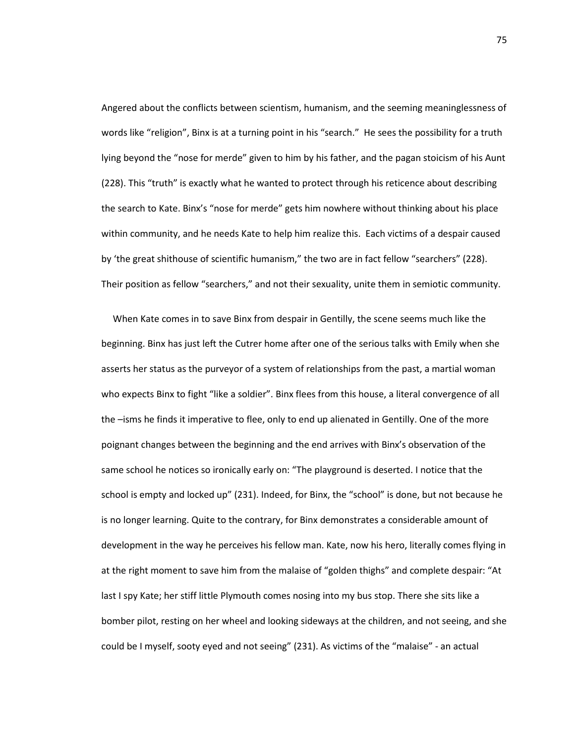Angered about the conflicts between scientism, humanism, and the seeming meaninglessness of words like "religion", Binx is at a turning point in his "search." He sees the possibility for a truth lying beyond the "nose for merde" given to him by his father, and the pagan stoicism of his Aunt (228). This "truth" is exactly what he wanted to protect through his reticence about describing the search to Kate. Binx's "nose for merde" gets him nowhere without thinking about his place within community, and he needs Kate to help him realize this. Each victims of a despair caused by 'the great shithouse of scientific humanism," the two are in fact fellow "searchers" (228). Their position as fellow "searchers," and not their sexuality, unite them in semiotic community.

When Kate comes in to save Binx from despair in Gentilly, the scene seems much like the beginning. Binx has just left the Cutrer home after one of the serious talks with Emily when she asserts her status as the purveyor of a system of relationships from the past, a martial woman who expects Binx to fight "like a soldier". Binx flees from this house, a literal convergence of all the –isms he finds it imperative to flee, only to end up alienated in Gentilly. One of the more poignant changes between the beginning and the end arrives with Binx's observation of the same school he notices so ironically early on: "The playground is deserted. I notice that the school is empty and locked up" (231). Indeed, for Binx, the "school" is done, but not because he is no longer learning. Quite to the contrary, for Binx demonstrates a considerable amount of development in the way he perceives his fellow man. Kate, now his hero, literally comes flying in at the right moment to save him from the malaise of "golden thighs" and complete despair: "At last I spy Kate; her stiff little Plymouth comes nosing into my bus stop. There she sits like a bomber pilot, resting on her wheel and looking sideways at the children, and not seeing, and she could be I myself, sooty eyed and not seeing" (231). As victims of the "malaise" - an actual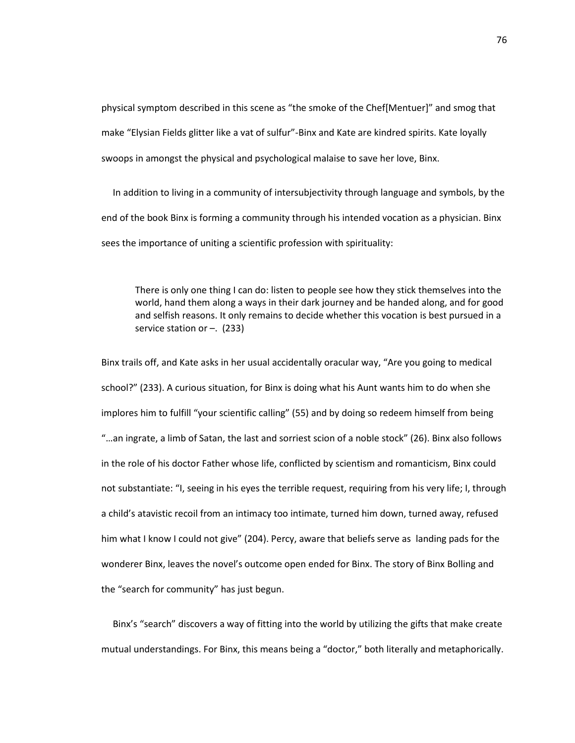physical symptom described in this scene as "the smoke of the Chef[Mentuer]" and smog that make "Elysian Fields glitter like a vat of sulfur"-Binx and Kate are kindred spirits. Kate loyally swoops in amongst the physical and psychological malaise to save her love, Binx.

In addition to living in a community of intersubjectivity through language and symbols, by the end of the book Binx is forming a community through his intended vocation as a physician. Binx sees the importance of uniting a scientific profession with spirituality:

There is only one thing I can do: listen to people see how they stick themselves into the world, hand them along a ways in their dark journey and be handed along, and for good and selfish reasons. It only remains to decide whether this vocation is best pursued in a service station or  $-$ . (233)

Binx trails off, and Kate asks in her usual accidentally oracular way, "Are you going to medical school?" (233). A curious situation, for Binx is doing what his Aunt wants him to do when she implores him to fulfill "your scientific calling" (55) and by doing so redeem himself from being "…an ingrate, a limb of Satan, the last and sorriest scion of a noble stock" (26). Binx also follows in the role of his doctor Father whose life, conflicted by scientism and romanticism, Binx could not substantiate: "I, seeing in his eyes the terrible request, requiring from his very life; I, through a child's atavistic recoil from an intimacy too intimate, turned him down, turned away, refused him what I know I could not give" (204). Percy, aware that beliefs serve as landing pads for the wonderer Binx, leaves the novel's outcome open ended for Binx. The story of Binx Bolling and the "search for community" has just begun.

Binx's "search" discovers a way of fitting into the world by utilizing the gifts that make create mutual understandings. For Binx, this means being a "doctor," both literally and metaphorically.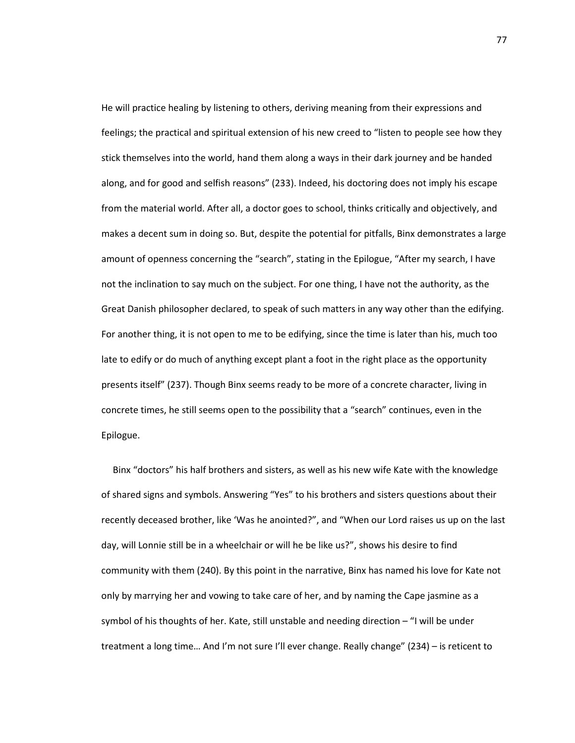He will practice healing by listening to others, deriving meaning from their expressions and feelings; the practical and spiritual extension of his new creed to "listen to people see how they stick themselves into the world, hand them along a ways in their dark journey and be handed along, and for good and selfish reasons" (233). Indeed, his doctoring does not imply his escape from the material world. After all, a doctor goes to school, thinks critically and objectively, and makes a decent sum in doing so. But, despite the potential for pitfalls, Binx demonstrates a large amount of openness concerning the "search", stating in the Epilogue, "After my search, I have not the inclination to say much on the subject. For one thing, I have not the authority, as the Great Danish philosopher declared, to speak of such matters in any way other than the edifying. For another thing, it is not open to me to be edifying, since the time is later than his, much too late to edify or do much of anything except plant a foot in the right place as the opportunity presents itself" (237). Though Binx seems ready to be more of a concrete character, living in concrete times, he still seems open to the possibility that a "search" continues, even in the Epilogue.

Binx "doctors" his half brothers and sisters, as well as his new wife Kate with the knowledge of shared signs and symbols. Answering "Yes" to his brothers and sisters questions about their recently deceased brother, like 'Was he anointed?", and "When our Lord raises us up on the last day, will Lonnie still be in a wheelchair or will he be like us?", shows his desire to find community with them (240). By this point in the narrative, Binx has named his love for Kate not only by marrying her and vowing to take care of her, and by naming the Cape jasmine as a symbol of his thoughts of her. Kate, still unstable and needing direction – "I will be under treatment a long time… And I'm not sure I'll ever change. Really change" (234) – is reticent to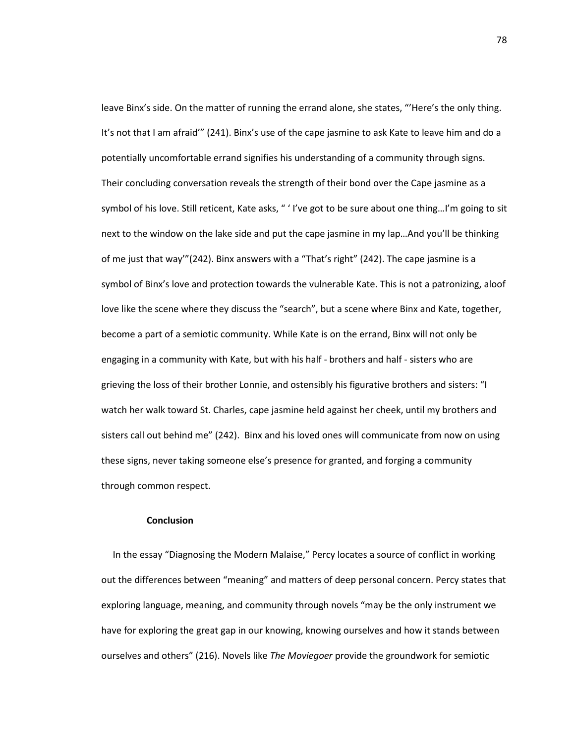leave Binx's side. On the matter of running the errand alone, she states, "'Here's the only thing. It's not that I am afraid'" (241). Binx's use of the cape jasmine to ask Kate to leave him and do a potentially uncomfortable errand signifies his understanding of a community through signs. Their concluding conversation reveals the strength of their bond over the Cape jasmine as a symbol of his love. Still reticent, Kate asks, " ' I've got to be sure about one thing...I'm going to sit next to the window on the lake side and put the cape jasmine in my lap…And you'll be thinking of me just that way'"(242). Binx answers with a "That's right" (242). The cape jasmine is a symbol of Binx's love and protection towards the vulnerable Kate. This is not a patronizing, aloof love like the scene where they discuss the "search", but a scene where Binx and Kate, together, become a part of a semiotic community. While Kate is on the errand, Binx will not only be engaging in a community with Kate, but with his half - brothers and half - sisters who are grieving the loss of their brother Lonnie, and ostensibly his figurative brothers and sisters: "I watch her walk toward St. Charles, cape jasmine held against her cheek, until my brothers and sisters call out behind me" (242). Binx and his loved ones will communicate from now on using these signs, never taking someone else's presence for granted, and forging a community through common respect.

## **Conclusion**

In the essay "Diagnosing the Modern Malaise," Percy locates a source of conflict in working out the differences between "meaning" and matters of deep personal concern. Percy states that exploring language, meaning, and community through novels "may be the only instrument we have for exploring the great gap in our knowing, knowing ourselves and how it stands between ourselves and others" (216). Novels like *The Moviegoer* provide the groundwork for semiotic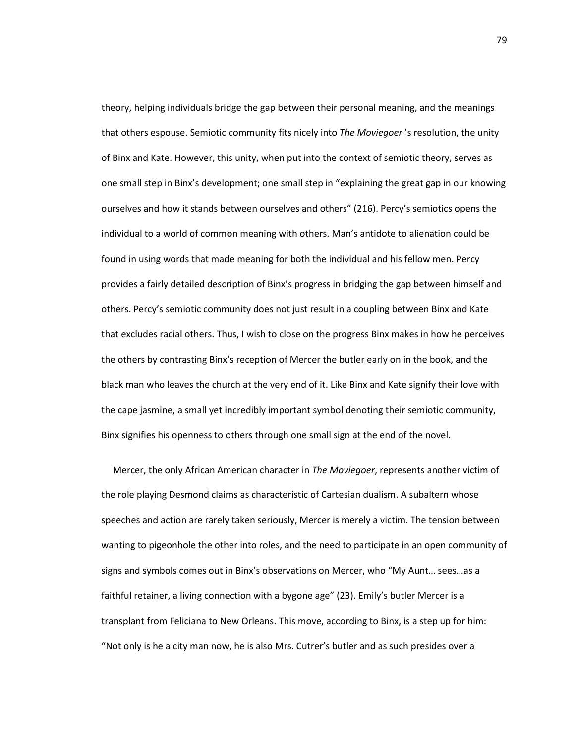theory, helping individuals bridge the gap between their personal meaning, and the meanings that others espouse. Semiotic community fits nicely into *The Moviegoer* 's resolution, the unity of Binx and Kate. However, this unity, when put into the context of semiotic theory, serves as one small step in Binx's development; one small step in "explaining the great gap in our knowing ourselves and how it stands between ourselves and others" (216). Percy's semiotics opens the individual to a world of common meaning with others. Man's antidote to alienation could be found in using words that made meaning for both the individual and his fellow men. Percy provides a fairly detailed description of Binx's progress in bridging the gap between himself and others. Percy's semiotic community does not just result in a coupling between Binx and Kate that excludes racial others. Thus, I wish to close on the progress Binx makes in how he perceives the others by contrasting Binx's reception of Mercer the butler early on in the book, and the black man who leaves the church at the very end of it. Like Binx and Kate signify their love with the cape jasmine, a small yet incredibly important symbol denoting their semiotic community, Binx signifies his openness to others through one small sign at the end of the novel.

Mercer, the only African American character in *The Moviegoer*, represents another victim of the role playing Desmond claims as characteristic of Cartesian dualism. A subaltern whose speeches and action are rarely taken seriously, Mercer is merely a victim. The tension between wanting to pigeonhole the other into roles, and the need to participate in an open community of signs and symbols comes out in Binx's observations on Mercer, who "My Aunt… sees…as a faithful retainer, a living connection with a bygone age" (23). Emily's butler Mercer is a transplant from Feliciana to New Orleans. This move, according to Binx, is a step up for him: "Not only is he a city man now, he is also Mrs. Cutrer's butler and as such presides over a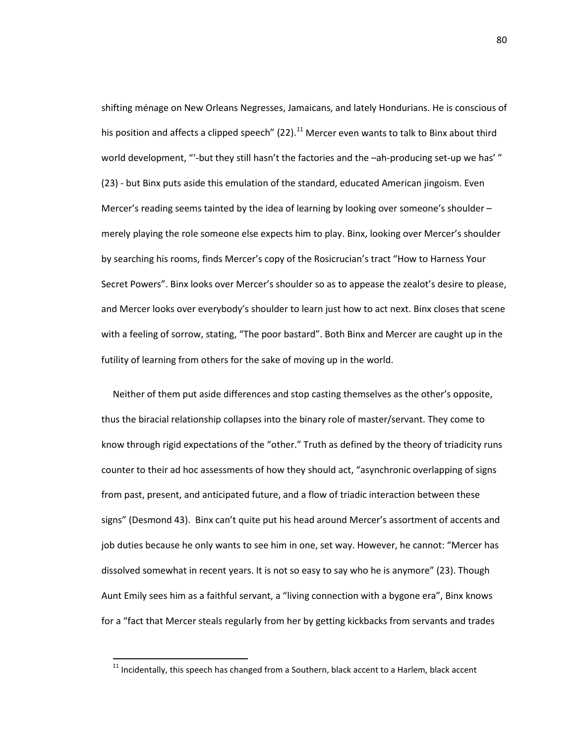shifting ménage on New Orleans Negresses, Jamaicans, and lately Hondurians. He is conscious of his position and affects a clipped speech" (22).<sup>[11](#page-84-0)</sup> Mercer even wants to talk to Binx about third world development, "'-but they still hasn't the factories and the –ah-producing set-up we has' " (23) - but Binx puts aside this emulation of the standard, educated American jingoism. Even Mercer's reading seems tainted by the idea of learning by looking over someone's shoulder merely playing the role someone else expects him to play. Binx, looking over Mercer's shoulder by searching his rooms, finds Mercer's copy of the Rosicrucian's tract "How to Harness Your Secret Powers". Binx looks over Mercer's shoulder so as to appease the zealot's desire to please, and Mercer looks over everybody's shoulder to learn just how to act next. Binx closes that scene with a feeling of sorrow, stating, "The poor bastard". Both Binx and Mercer are caught up in the futility of learning from others for the sake of moving up in the world.

Neither of them put aside differences and stop casting themselves as the other's opposite, thus the biracial relationship collapses into the binary role of master/servant. They come to know through rigid expectations of the "other." Truth as defined by the theory of triadicity runs counter to their ad hoc assessments of how they should act, "asynchronic overlapping of signs from past, present, and anticipated future, and a flow of triadic interaction between these signs" (Desmond 43). Binx can't quite put his head around Mercer's assortment of accents and job duties because he only wants to see him in one, set way. However, he cannot: "Mercer has dissolved somewhat in recent years. It is not so easy to say who he is anymore" (23). Though Aunt Emily sees him as a faithful servant, a "living connection with a bygone era", Binx knows for a "fact that Mercer steals regularly from her by getting kickbacks from servants and trades

<span id="page-84-0"></span> $11$  Incidentally, this speech has changed from a Southern, black accent to a Harlem, black accent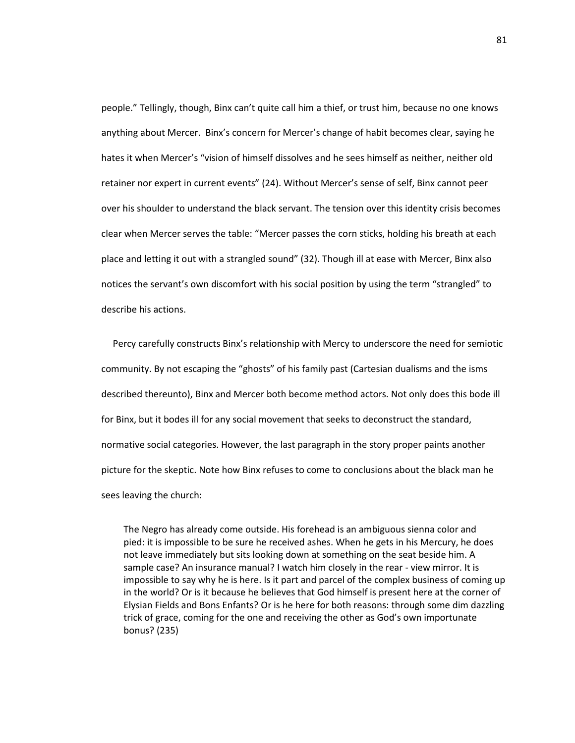people." Tellingly, though, Binx can't quite call him a thief, or trust him, because no one knows anything about Mercer. Binx's concern for Mercer's change of habit becomes clear, saying he hates it when Mercer's "vision of himself dissolves and he sees himself as neither, neither old retainer nor expert in current events" (24). Without Mercer's sense of self, Binx cannot peer over his shoulder to understand the black servant. The tension over this identity crisis becomes clear when Mercer serves the table: "Mercer passes the corn sticks, holding his breath at each place and letting it out with a strangled sound" (32). Though ill at ease with Mercer, Binx also notices the servant's own discomfort with his social position by using the term "strangled" to describe his actions.

Percy carefully constructs Binx's relationship with Mercy to underscore the need for semiotic community. By not escaping the "ghosts" of his family past (Cartesian dualisms and the isms described thereunto), Binx and Mercer both become method actors. Not only does this bode ill for Binx, but it bodes ill for any social movement that seeks to deconstruct the standard, normative social categories. However, the last paragraph in the story proper paints another picture for the skeptic. Note how Binx refuses to come to conclusions about the black man he sees leaving the church:

The Negro has already come outside. His forehead is an ambiguous sienna color and pied: it is impossible to be sure he received ashes. When he gets in his Mercury, he does not leave immediately but sits looking down at something on the seat beside him. A sample case? An insurance manual? I watch him closely in the rear - view mirror. It is impossible to say why he is here. Is it part and parcel of the complex business of coming up in the world? Or is it because he believes that God himself is present here at the corner of Elysian Fields and Bons Enfants? Or is he here for both reasons: through some dim dazzling trick of grace, coming for the one and receiving the other as God's own importunate bonus? (235)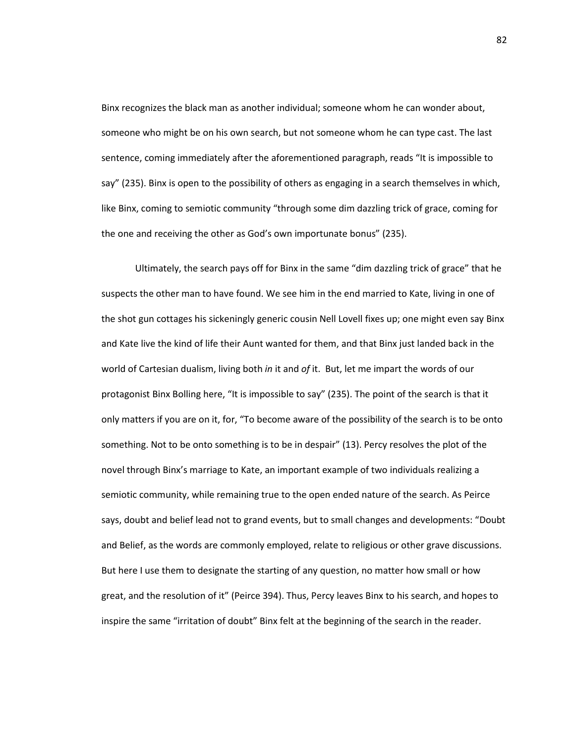Binx recognizes the black man as another individual; someone whom he can wonder about, someone who might be on his own search, but not someone whom he can type cast. The last sentence, coming immediately after the aforementioned paragraph, reads "It is impossible to say" (235). Binx is open to the possibility of others as engaging in a search themselves in which, like Binx, coming to semiotic community "through some dim dazzling trick of grace, coming for the one and receiving the other as God's own importunate bonus" (235).

Ultimately, the search pays off for Binx in the same "dim dazzling trick of grace" that he suspects the other man to have found. We see him in the end married to Kate, living in one of the shot gun cottages his sickeningly generic cousin Nell Lovell fixes up; one might even say Binx and Kate live the kind of life their Aunt wanted for them, and that Binx just landed back in the world of Cartesian dualism, living both *in* it and *of* it. But, let me impart the words of our protagonist Binx Bolling here, "It is impossible to say" (235). The point of the search is that it only matters if you are on it, for, "To become aware of the possibility of the search is to be onto something. Not to be onto something is to be in despair" (13). Percy resolves the plot of the novel through Binx's marriage to Kate, an important example of two individuals realizing a semiotic community, while remaining true to the open ended nature of the search. As Peirce says, doubt and belief lead not to grand events, but to small changes and developments: "Doubt and Belief, as the words are commonly employed, relate to religious or other grave discussions. But here I use them to designate the starting of any question, no matter how small or how great, and the resolution of it" (Peirce 394). Thus, Percy leaves Binx to his search, and hopes to inspire the same "irritation of doubt" Binx felt at the beginning of the search in the reader.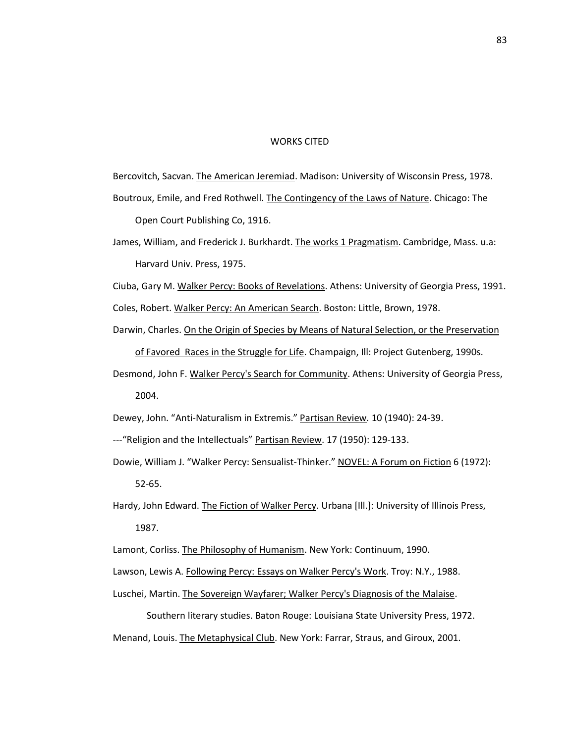## WORKS CITED

Bercovitch, Sacvan. The American Jeremiad. Madison: University of Wisconsin Press, 1978. Boutroux, Emile, and Fred Rothwell. The Contingency of the Laws of Nature. Chicago: The

Open Court Publishing Co, 1916.

- James, William, and Frederick J. Burkhardt. The works 1 Pragmatism. Cambridge, Mass. u.a: Harvard Univ. Press, 1975.
- Ciuba, Gary M. Walker Percy: Books of Revelations. Athens: University of Georgia Press, 1991.

Coles, Robert. Walker Percy: An American Search. Boston: Little, Brown, 1978.

- Darwin, Charles. On the Origin of Species by Means of Natural Selection, or the Preservation of Favored Races in the Struggle for Life. Champaign, Ill: Project Gutenberg, 1990s.
- Desmond, John F. Walker Percy's Search for Community. Athens: University of Georgia Press, 2004.

Dewey, John. "Anti-Naturalism in Extremis." Partisan Review*.* 10 (1940): 24-39.

- ---"Religion and the Intellectuals" Partisan Review. 17 (1950): 129-133.
- Dowie, William J. "Walker Percy: Sensualist-Thinker." NOVEL: A Forum on Fiction 6 (1972): 52-65.
- Hardy, John Edward. The Fiction of Walker Percy. Urbana [III.]: University of Illinois Press, 1987.
- Lamont, Corliss. The Philosophy of Humanism. New York: Continuum, 1990.

Lawson, Lewis A. Following Percy: Essays on Walker Percy's Work. Troy: N.Y., 1988.

Luschei, Martin. The Sovereign Wayfarer; Walker Percy's Diagnosis of the Malaise.

Southern literary studies. Baton Rouge: Louisiana State University Press, 1972. Menand, Louis. The Metaphysical Club. New York: Farrar, Straus, and Giroux, 2001.